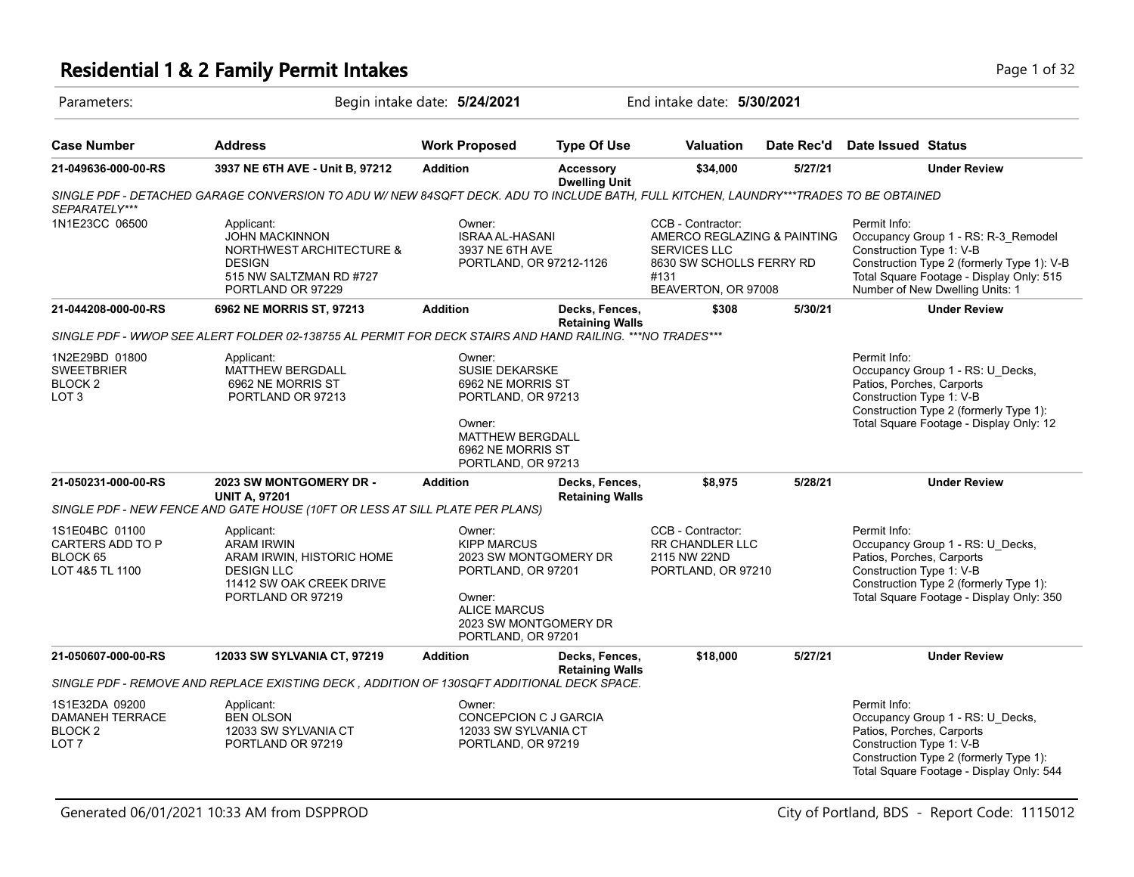## **Residential 1 & 2 Family Permit Intakes Page 1 of 32** Page 1 of 32

| Parameters:                                                              |                                                                                                                                       | Begin intake date: 5/24/2021                                                                                                                                |                                          | End intake date: 5/30/2021                                                                                                  |            |                                                                                                                                                                                                              |
|--------------------------------------------------------------------------|---------------------------------------------------------------------------------------------------------------------------------------|-------------------------------------------------------------------------------------------------------------------------------------------------------------|------------------------------------------|-----------------------------------------------------------------------------------------------------------------------------|------------|--------------------------------------------------------------------------------------------------------------------------------------------------------------------------------------------------------------|
| <b>Case Number</b>                                                       | <b>Address</b>                                                                                                                        | <b>Work Proposed</b>                                                                                                                                        | <b>Type Of Use</b>                       | <b>Valuation</b>                                                                                                            | Date Rec'd | Date Issued Status                                                                                                                                                                                           |
| 21-049636-000-00-RS                                                      | 3937 NE 6TH AVE - Unit B, 97212                                                                                                       | <b>Addition</b>                                                                                                                                             | <b>Accessory</b><br><b>Dwelling Unit</b> | \$34,000                                                                                                                    | 5/27/21    | <b>Under Review</b>                                                                                                                                                                                          |
| SEPARATELY***                                                            | SINGLE PDF - DETACHED GARAGE CONVERSION TO ADU W/ NEW 84SQFT DECK. ADU TO INCLUDE BATH, FULL KITCHEN, LAUNDRY***TRADES TO BE OBTAINED |                                                                                                                                                             |                                          |                                                                                                                             |            |                                                                                                                                                                                                              |
| 1N1E23CC 06500                                                           | Applicant:<br><b>JOHN MACKINNON</b><br>NORTHWEST ARCHITECTURE &<br><b>DESIGN</b><br>515 NW SALTZMAN RD #727<br>PORTLAND OR 97229      | Owner:<br><b>ISRAA AL-HASANI</b><br>3937 NE 6TH AVE<br>PORTLAND, OR 97212-1126                                                                              |                                          | CCB - Contractor:<br>AMERCO REGLAZING & PAINTING<br>SERVICES LLC<br>8630 SW SCHOLLS FERRY RD<br>#131<br>BEAVERTON, OR 97008 |            | Permit Info:<br>Occupancy Group 1 - RS: R-3_Remodel<br>Construction Type 1: V-B<br>Construction Type 2 (formerly Type 1): V-B<br>Total Square Footage - Display Only: 515<br>Number of New Dwelling Units: 1 |
| 21-044208-000-00-RS                                                      | 6962 NE MORRIS ST, 97213                                                                                                              | <b>Addition</b>                                                                                                                                             | Decks, Fences,<br><b>Retaining Walls</b> | \$308                                                                                                                       | 5/30/21    | <b>Under Review</b>                                                                                                                                                                                          |
|                                                                          | SINGLE PDF - WWOP SEE ALERT FOLDER 02-138755 AL PERMIT FOR DECK STAIRS AND HAND RAILING. *** NO TRADES***                             |                                                                                                                                                             |                                          |                                                                                                                             |            |                                                                                                                                                                                                              |
| 1N2E29BD 01800<br><b>SWEETBRIER</b><br>BLOCK 2<br>LOT 3                  | Applicant:<br><b>MATTHEW BERGDALL</b><br>6962 NE MORRIS ST<br>PORTLAND OR 97213                                                       | Owner:<br><b>SUSIE DEKARSKE</b><br>6962 NE MORRIS ST<br>PORTLAND, OR 97213<br>Owner:<br><b>MATTHEW BERGDALL</b><br>6962 NE MORRIS ST<br>PORTLAND, OR 97213  |                                          |                                                                                                                             |            | Permit Info:<br>Occupancy Group 1 - RS: U_Decks,<br>Patios, Porches, Carports<br>Construction Type 1: V-B<br>Construction Type 2 (formerly Type 1):<br>Total Square Footage - Display Only: 12               |
| 21-050231-000-00-RS                                                      | 2023 SW MONTGOMERY DR -<br><b>UNIT A, 97201</b>                                                                                       | <b>Addition</b>                                                                                                                                             | Decks, Fences,<br><b>Retaining Walls</b> | \$8,975                                                                                                                     | 5/28/21    | <b>Under Review</b>                                                                                                                                                                                          |
|                                                                          | SINGLE PDF - NEW FENCE AND GATE HOUSE (10FT OR LESS AT SILL PLATE PER PLANS)                                                          |                                                                                                                                                             |                                          |                                                                                                                             |            |                                                                                                                                                                                                              |
| 1S1E04BC 01100<br><b>CARTERS ADD TO P</b><br>BLOCK 65<br>LOT 4&5 TL 1100 | Applicant:<br><b>ARAM IRWIN</b><br>ARAM IRWIN, HISTORIC HOME<br><b>DESIGN LLC</b><br>11412 SW OAK CREEK DRIVE<br>PORTLAND OR 97219    | Owner:<br><b>KIPP MARCUS</b><br>2023 SW MONTGOMERY DR<br>PORTLAND, OR 97201<br>Owner:<br><b>ALICE MARCUS</b><br>2023 SW MONTGOMERY DR<br>PORTLAND, OR 97201 |                                          | CCB - Contractor:<br><b>RR CHANDLER LLC</b><br>2115 NW 22ND<br>PORTLAND, OR 97210                                           |            | Permit Info:<br>Occupancy Group 1 - RS: U_Decks,<br>Patios, Porches, Carports<br>Construction Type 1: V-B<br>Construction Type 2 (formerly Type 1):<br>Total Square Footage - Display Only: 350              |
| 21-050607-000-00-RS                                                      | <b>12033 SW SYLVANIA CT, 97219</b>                                                                                                    | <b>Addition</b>                                                                                                                                             | Decks, Fences,                           | \$18,000                                                                                                                    | 5/27/21    | <b>Under Review</b>                                                                                                                                                                                          |
|                                                                          | SINGLE PDF - REMOVE AND REPLACE EXISTING DECK , ADDITION OF 130SQFT ADDITIONAL DECK SPACE.                                            |                                                                                                                                                             | <b>Retaining Walls</b>                   |                                                                                                                             |            |                                                                                                                                                                                                              |
| 1S1E32DA 09200<br>DAMANEH TERRACE<br>BLOCK <sub>2</sub><br>LOT 7         | Applicant:<br><b>BEN OLSON</b><br>12033 SW SYLVANIA CT<br>PORTLAND OR 97219                                                           | Owner:<br>CONCEPCION C J GARCIA<br>12033 SW SYLVANIA CT<br>PORTLAND, OR 97219                                                                               |                                          |                                                                                                                             |            | Permit Info:<br>Occupancy Group 1 - RS: U_Decks,<br>Patios, Porches, Carports<br>Construction Type 1: V-B<br>Construction Type 2 (formerly Type 1):<br>Total Square Footage - Display Only: 544              |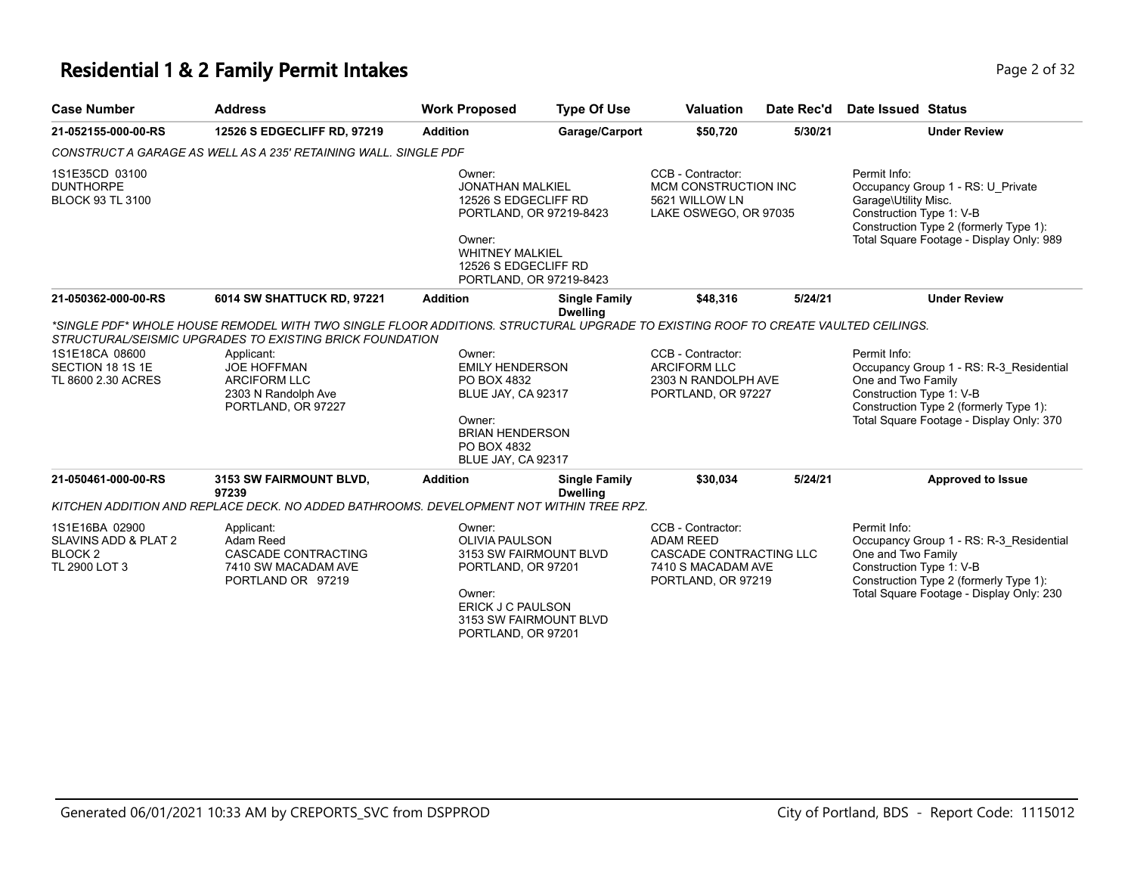#### **Residential 1 & 2 Family Permit Intakes Page 1 and 2 of 32** Page 2 of 32

| <b>Case Number</b>                                                            | <b>Address</b>                                                                                                                                                                                                                                                                                 | <b>Work Proposed</b>                                                                                                                                                        | <b>Type Of Use</b>                      | <b>Valuation</b>                                                                                             | Date Rec'd | Date Issued Status                                               |                                                                                                                               |
|-------------------------------------------------------------------------------|------------------------------------------------------------------------------------------------------------------------------------------------------------------------------------------------------------------------------------------------------------------------------------------------|-----------------------------------------------------------------------------------------------------------------------------------------------------------------------------|-----------------------------------------|--------------------------------------------------------------------------------------------------------------|------------|------------------------------------------------------------------|-------------------------------------------------------------------------------------------------------------------------------|
| 21-052155-000-00-RS                                                           | 12526 S EDGECLIFF RD, 97219                                                                                                                                                                                                                                                                    | <b>Addition</b>                                                                                                                                                             | Garage/Carport                          | \$50,720                                                                                                     | 5/30/21    |                                                                  | <b>Under Review</b>                                                                                                           |
|                                                                               | CONSTRUCT A GARAGE AS WELL AS A 235' RETAINING WALL. SINGLE PDF                                                                                                                                                                                                                                |                                                                                                                                                                             |                                         |                                                                                                              |            |                                                                  |                                                                                                                               |
| 1S1E35CD 03100<br><b>DUNTHORPE</b><br><b>BLOCK 93 TL 3100</b>                 |                                                                                                                                                                                                                                                                                                | Owner:<br><b>JONATHAN MALKIEL</b><br>12526 S EDGECLIFF RD<br>PORTLAND, OR 97219-8423<br>Owner:<br><b>WHITNEY MALKIEL</b><br>12526 S EDGECLIFF RD<br>PORTLAND, OR 97219-8423 |                                         | CCB - Contractor:<br>MCM CONSTRUCTION INC<br>5621 WILLOW LN<br>LAKE OSWEGO, OR 97035                         |            | Permit Info:<br>Garage\Utility Misc.<br>Construction Type 1: V-B | Occupancy Group 1 - RS: U Private<br>Construction Type 2 (formerly Type 1):<br>Total Square Footage - Display Only: 989       |
| 21-050362-000-00-RS                                                           | 6014 SW SHATTUCK RD, 97221                                                                                                                                                                                                                                                                     | <b>Addition</b>                                                                                                                                                             | <b>Single Family</b><br><b>Dwelling</b> | \$48,316                                                                                                     | 5/24/21    |                                                                  | <b>Under Review</b>                                                                                                           |
| 1S1E18CA 08600<br>SECTION 18 1S 1E<br>TL 8600 2.30 ACRES                      | *SINGLE PDF* WHOLE HOUSE REMODEL WITH TWO SINGLE FLOOR ADDITIONS. STRUCTURAL UPGRADE TO EXISTING ROOF TO CREATE VAULTED CEILINGS.<br>STRUCTURAL/SEISMIC UPGRADES TO EXISTING BRICK FOUNDATION<br>Applicant:<br><b>JOE HOFFMAN</b><br>ARCIFORM LLC<br>2303 N Randolph Ave<br>PORTLAND, OR 97227 | Owner:<br><b>EMILY HENDERSON</b><br>PO BOX 4832<br>BLUE JAY, CA 92317<br>Owner:<br><b>BRIAN HENDERSON</b><br>PO BOX 4832<br>BLUE JAY, CA 92317                              |                                         | CCB - Contractor:<br><b>ARCIFORM LLC</b><br>2303 N RANDOLPH AVE<br>PORTLAND, OR 97227                        |            | Permit Info:<br>One and Two Family<br>Construction Type 1: V-B   | Occupancy Group 1 - RS: R-3 Residential<br>Construction Type 2 (formerly Type 1):<br>Total Square Footage - Display Only: 370 |
| 21-050461-000-00-RS                                                           | 3153 SW FAIRMOUNT BLVD,<br>97239                                                                                                                                                                                                                                                               | <b>Addition</b>                                                                                                                                                             | <b>Single Family</b><br><b>Dwelling</b> | \$30.034                                                                                                     | 5/24/21    |                                                                  | <b>Approved to Issue</b>                                                                                                      |
|                                                                               | KITCHEN ADDITION AND REPLACE DECK. NO ADDED BATHROOMS. DEVELOPMENT NOT WITHIN TREE RPZ.                                                                                                                                                                                                        |                                                                                                                                                                             |                                         |                                                                                                              |            |                                                                  |                                                                                                                               |
| 1S1E16BA 02900<br>SLAVINS ADD & PLAT 2<br>BLOCK <sub>2</sub><br>TL 2900 LOT 3 | Applicant:<br>Adam Reed<br>CASCADE CONTRACTING<br>7410 SW MACADAM AVE<br>PORTLAND OR 97219                                                                                                                                                                                                     | Owner:<br><b>OLIVIA PAULSON</b><br>3153 SW FAIRMOUNT BLVD<br>PORTLAND, OR 97201<br>Owner:<br>ERICK J C PAULSON<br>3153 SW FAIRMOUNT BLVD<br>PORTLAND, OR 97201              |                                         | CCB - Contractor:<br><b>ADAM REED</b><br>CASCADE CONTRACTING LLC<br>7410 S MACADAM AVE<br>PORTLAND, OR 97219 |            | Permit Info:<br>One and Two Family<br>Construction Type 1: V-B   | Occupancy Group 1 - RS: R-3 Residential<br>Construction Type 2 (formerly Type 1):<br>Total Square Footage - Display Only: 230 |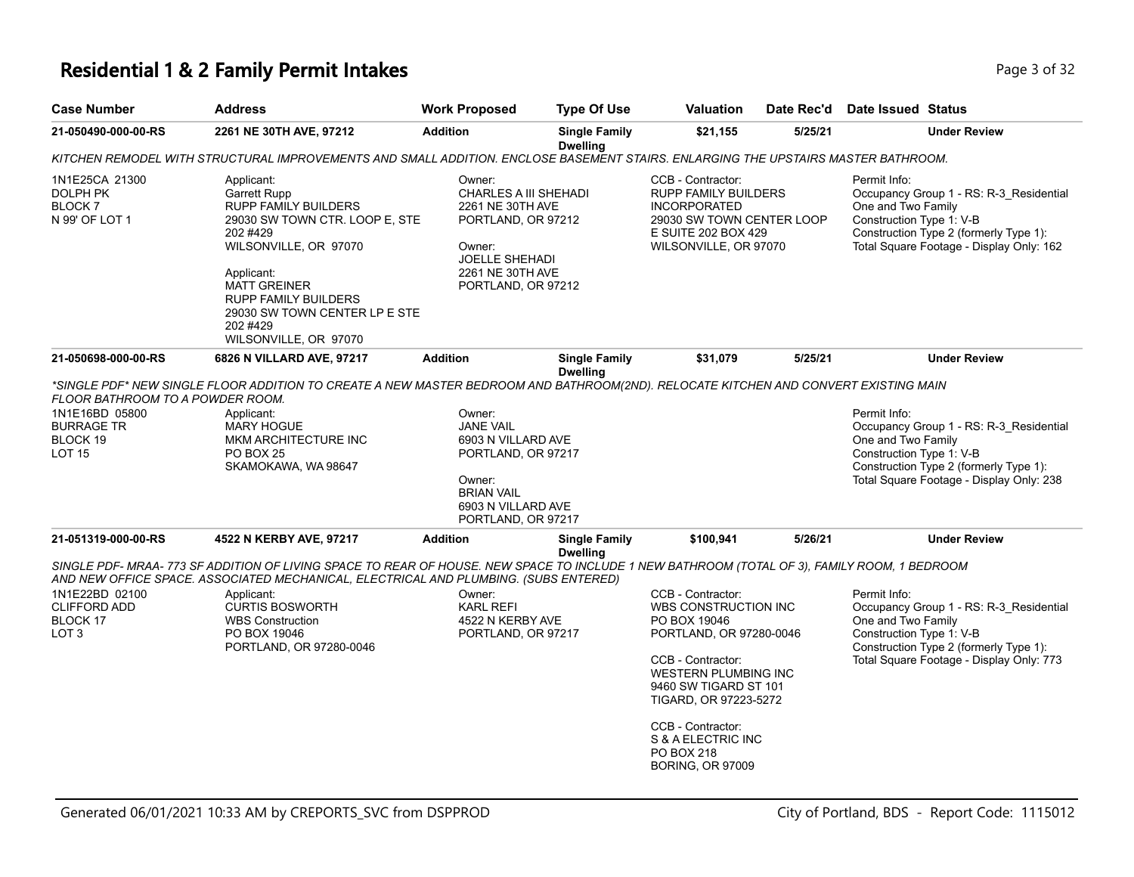#### **Residential 1 & 2 Family Permit Intakes Page 1 and 2 and 2 and 2 and 2 and 2 and 2 and 2 and 2 and 2 and 2 and 2 and 2 and 2 and 2 and 2 and 2 and 2 and 2 and 2 and 2 and 2 and 2 and 2 and 2 and 2 and 2 and 2 and 2 and**

| <b>Case Number</b>                                                        | <b>Address</b>                                                                                                                                                                                                                                                                                                                                     | <b>Work Proposed</b>                                                                                                                                   | <b>Type Of Use</b>                      | <b>Valuation</b>                                                                                                                                                                                                                                                               | Date Rec'd | Date Issued Status                                                                                                                                                                              |
|---------------------------------------------------------------------------|----------------------------------------------------------------------------------------------------------------------------------------------------------------------------------------------------------------------------------------------------------------------------------------------------------------------------------------------------|--------------------------------------------------------------------------------------------------------------------------------------------------------|-----------------------------------------|--------------------------------------------------------------------------------------------------------------------------------------------------------------------------------------------------------------------------------------------------------------------------------|------------|-------------------------------------------------------------------------------------------------------------------------------------------------------------------------------------------------|
| 21-050490-000-00-RS                                                       | 2261 NE 30TH AVE, 97212                                                                                                                                                                                                                                                                                                                            | <b>Addition</b>                                                                                                                                        | <b>Single Family</b><br><b>Dwelling</b> | \$21,155                                                                                                                                                                                                                                                                       | 5/25/21    | <b>Under Review</b>                                                                                                                                                                             |
|                                                                           | KITCHEN REMODEL WITH STRUCTURAL IMPROVEMENTS AND SMALL ADDITION. ENCLOSE BASEMENT STAIRS. ENLARGING THE UPSTAIRS MASTER BATHROOM.                                                                                                                                                                                                                  |                                                                                                                                                        |                                         |                                                                                                                                                                                                                                                                                |            |                                                                                                                                                                                                 |
| 1N1E25CA 21300<br><b>DOLPH PK</b><br>BLOCK <sub>7</sub><br>N 99' OF LOT 1 | Applicant:<br>Garrett Rupp<br>RUPP FAMILY BUILDERS<br>29030 SW TOWN CTR. LOOP E, STE<br>202 #429<br>WILSONVILLE, OR 97070<br>Applicant:<br><b>MATT GREINER</b><br><b>RUPP FAMILY BUILDERS</b><br>29030 SW TOWN CENTER LP E STE<br>202 #429<br>WILSONVILLE, OR 97070                                                                                | Owner:<br>CHARLES A III SHEHADI<br>2261 NE 30TH AVE<br>PORTLAND, OR 97212<br>Owner:<br><b>JOELLE SHEHADI</b><br>2261 NE 30TH AVE<br>PORTLAND, OR 97212 |                                         | CCB - Contractor:<br><b>RUPP FAMILY BUILDERS</b><br><b>INCORPORATED</b><br>29030 SW TOWN CENTER LOOP<br>E SUITE 202 BOX 429<br>WILSONVILLE, OR 97070                                                                                                                           |            | Permit Info:<br>Occupancy Group 1 - RS: R-3_Residential<br>One and Two Family<br>Construction Type 1: V-B<br>Construction Type 2 (formerly Type 1):<br>Total Square Footage - Display Only: 162 |
| 21-050698-000-00-RS                                                       | 6826 N VILLARD AVE, 97217                                                                                                                                                                                                                                                                                                                          | <b>Addition</b>                                                                                                                                        | <b>Single Family</b><br><b>Dwelling</b> | \$31,079                                                                                                                                                                                                                                                                       | 5/25/21    | <b>Under Review</b>                                                                                                                                                                             |
| 1N1E16BD 05800<br><b>BURRAGE TR</b><br>BLOCK 19<br><b>LOT 15</b>          | Applicant:<br><b>MARY HOGUE</b><br>MKM ARCHITECTURE INC<br><b>PO BOX 25</b><br>SKAMOKAWA, WA 98647                                                                                                                                                                                                                                                 | Owner:<br><b>JANE VAIL</b><br>6903 N VILLARD AVE<br>PORTLAND, OR 97217<br>Owner:<br><b>BRIAN VAIL</b><br>6903 N VILLARD AVE<br>PORTLAND, OR 97217      |                                         |                                                                                                                                                                                                                                                                                |            | Permit Info:<br>Occupancy Group 1 - RS: R-3_Residential<br>One and Two Family<br>Construction Type 1: V-B<br>Construction Type 2 (formerly Type 1):<br>Total Square Footage - Display Only: 238 |
| 21-051319-000-00-RS                                                       | 4522 N KERBY AVE, 97217                                                                                                                                                                                                                                                                                                                            | <b>Addition</b>                                                                                                                                        | <b>Single Family</b><br><b>Dwelling</b> | \$100,941                                                                                                                                                                                                                                                                      | 5/26/21    | <b>Under Review</b>                                                                                                                                                                             |
| 1N1E22BD 02100<br><b>CLIFFORD ADD</b><br>BLOCK 17<br>LOT <sub>3</sub>     | SINGLE PDF- MRAA- 773 SF ADDITION OF LIVING SPACE TO REAR OF HOUSE. NEW SPACE TO INCLUDE 1 NEW BATHROOM (TOTAL OF 3), FAMILY ROOM, 1 BEDROOM<br>AND NEW OFFICE SPACE. ASSOCIATED MECHANICAL, ELECTRICAL AND PLUMBING. (SUBS ENTERED)<br>Applicant:<br><b>CURTIS BOSWORTH</b><br><b>WBS Construction</b><br>PO BOX 19046<br>PORTLAND, OR 97280-0046 | Owner:<br><b>KARL REFI</b><br>4522 N KERBY AVE<br>PORTLAND, OR 97217                                                                                   |                                         | CCB - Contractor:<br>WBS CONSTRUCTION INC<br>PO BOX 19046<br>PORTLAND, OR 97280-0046<br>CCB - Contractor:<br><b>WESTERN PLUMBING INC</b><br>9460 SW TIGARD ST 101<br>TIGARD, OR 97223-5272<br>CCB - Contractor:<br>S & A ELECTRIC INC<br>PO BOX 218<br><b>BORING, OR 97009</b> |            | Permit Info:<br>Occupancy Group 1 - RS: R-3_Residential<br>One and Two Family<br>Construction Type 1: V-B<br>Construction Type 2 (formerly Type 1):<br>Total Square Footage - Display Only: 773 |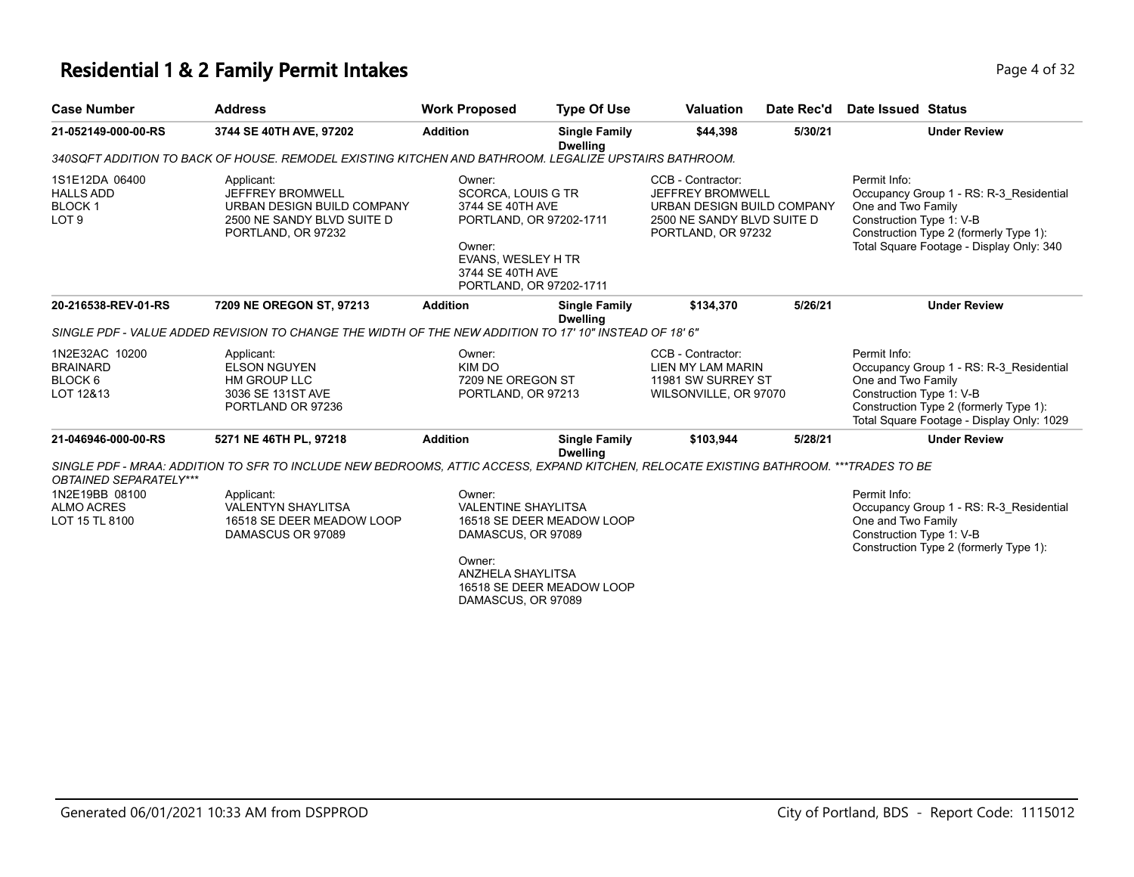# **Residential 1 & 2 Family Permit Intakes Page 4 of 32**

| <b>Case Number</b>                                                                     | <b>Address</b>                                                                                                                                                                                                                     | <b>Work Proposed</b>                                                                                                                                       | <b>Type Of Use</b>                                     | <b>Valuation</b>                                                                                                        | Date Rec'd | Date Issued Status                                                                                                                                                                               |
|----------------------------------------------------------------------------------------|------------------------------------------------------------------------------------------------------------------------------------------------------------------------------------------------------------------------------------|------------------------------------------------------------------------------------------------------------------------------------------------------------|--------------------------------------------------------|-------------------------------------------------------------------------------------------------------------------------|------------|--------------------------------------------------------------------------------------------------------------------------------------------------------------------------------------------------|
| 21-052149-000-00-RS                                                                    | 3744 SE 40TH AVE, 97202                                                                                                                                                                                                            | <b>Addition</b>                                                                                                                                            | <b>Single Family</b><br><b>Dwelling</b>                | \$44,398                                                                                                                | 5/30/21    | <b>Under Review</b>                                                                                                                                                                              |
|                                                                                        | 340SQFT ADDITION TO BACK OF HOUSE. REMODEL EXISTING KITCHEN AND BATHROOM. LEGALIZE UPSTAIRS BATHROOM.                                                                                                                              |                                                                                                                                                            |                                                        |                                                                                                                         |            |                                                                                                                                                                                                  |
| 1S1E12DA 06400<br><b>HALLS ADD</b><br><b>BLOCK1</b><br>LOT <sub>9</sub>                | Applicant:<br><b>JEFFREY BROMWELL</b><br>URBAN DESIGN BUILD COMPANY<br>2500 NE SANDY BLVD SUITE D<br>PORTLAND, OR 97232                                                                                                            | Owner:<br>SCORCA, LOUIS G TR<br>3744 SE 40TH AVE<br>PORTLAND, OR 97202-1711<br>Owner:<br>EVANS, WESLEY H TR<br>3744 SE 40TH AVE<br>PORTLAND, OR 97202-1711 |                                                        | CCB - Contractor:<br>JEFFREY BROMWELL<br>URBAN DESIGN BUILD COMPANY<br>2500 NE SANDY BLVD SUITE D<br>PORTLAND, OR 97232 |            | Permit Info:<br>Occupancy Group 1 - RS: R-3 Residential<br>One and Two Family<br>Construction Type 1: V-B<br>Construction Type 2 (formerly Type 1):<br>Total Square Footage - Display Only: 340  |
| 20-216538-REV-01-RS                                                                    | 7209 NE OREGON ST, 97213                                                                                                                                                                                                           | <b>Addition</b>                                                                                                                                            | <b>Single Family</b><br><b>Dwelling</b>                | \$134,370                                                                                                               | 5/26/21    | <b>Under Review</b>                                                                                                                                                                              |
|                                                                                        | "SINGLE PDF - VALUE ADDED REVISION TO CHANGE THE WIDTH OF THE NEW ADDITION TO 17' 10" INSTEAD OF 18' 6                                                                                                                             |                                                                                                                                                            |                                                        |                                                                                                                         |            |                                                                                                                                                                                                  |
| 1N2E32AC 10200<br><b>BRAINARD</b><br>BLOCK 6<br>LOT 12&13                              | Applicant:<br><b>ELSON NGUYEN</b><br>HM GROUP LLC<br>3036 SE 131ST AVE<br>PORTLAND OR 97236                                                                                                                                        | Owner:<br>KIM DO<br>7209 NE OREGON ST<br>PORTLAND, OR 97213                                                                                                |                                                        | CCB - Contractor:<br>LIEN MY LAM MARIN<br>11981 SW SURREY ST<br>WILSONVILLE, OR 97070                                   |            | Permit Info:<br>Occupancy Group 1 - RS: R-3_Residential<br>One and Two Family<br>Construction Type 1: V-B<br>Construction Type 2 (formerly Type 1):<br>Total Square Footage - Display Only: 1029 |
| 21-046946-000-00-RS                                                                    | 5271 NE 46TH PL, 97218                                                                                                                                                                                                             | <b>Addition</b>                                                                                                                                            | <b>Single Family</b><br><b>Dwelling</b>                | \$103,944                                                                                                               | 5/28/21    | <b>Under Review</b>                                                                                                                                                                              |
| <b>OBTAINED SEPARATELY***</b><br>1N2E19BB 08100<br><b>ALMO ACRES</b><br>LOT 15 TL 8100 | SINGLE PDF - MRAA: ADDITION TO SFR TO INCLUDE NEW BEDROOMS, ATTIC ACCESS, EXPAND KITCHEN, RELOCATE EXISTING BATHROOM. ***TRADES TO BE<br>Applicant:<br><b>VALENTYN SHAYLITSA</b><br>16518 SE DEER MEADOW LOOP<br>DAMASCUS OR 97089 | Owner:<br><b>VALENTINE SHAYLITSA</b><br>DAMASCUS, OR 97089<br>Owner:<br>ANZHELA SHAYLITSA<br>DAMASCUS, OR 97089                                            | 16518 SE DEER MEADOW LOOP<br>16518 SE DEER MEADOW LOOP |                                                                                                                         |            | Permit Info:<br>Occupancy Group 1 - RS: R-3 Residential<br>One and Two Family<br>Construction Type 1: V-B<br>Construction Type 2 (formerly Type 1):                                              |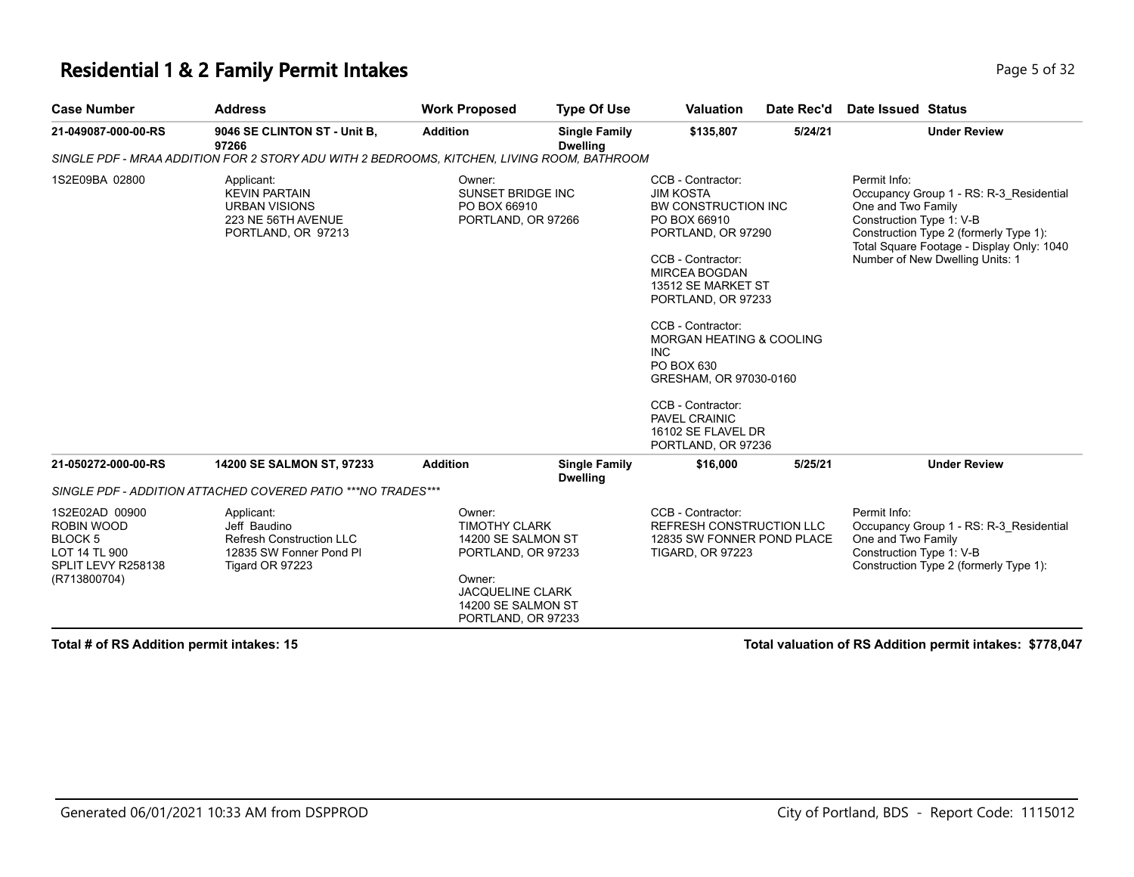#### **Residential 1 & 2 Family Permit Intakes Page 1 and 2 and 2 and 2 and 2 and 2 and 2 and 2 and 2 and 2 and 2 and 2 and 2 and 2 and 2 and 2 and 2 and 2 and 2 and 2 and 2 and 2 and 2 and 2 and 2 and 2 and 2 and 2 and 2 and**

| <b>Case Number</b>                                                                             | <b>Address</b>                                                                                              | <b>Work Proposed</b>                                                                                                                                        | <b>Type Of Use</b>                      | <b>Valuation</b>                                                                                                                                                                                                                                                                                                                                                                                       | Date Rec'd | <b>Date Issued Status</b>                                                                                                                                                                                                           |
|------------------------------------------------------------------------------------------------|-------------------------------------------------------------------------------------------------------------|-------------------------------------------------------------------------------------------------------------------------------------------------------------|-----------------------------------------|--------------------------------------------------------------------------------------------------------------------------------------------------------------------------------------------------------------------------------------------------------------------------------------------------------------------------------------------------------------------------------------------------------|------------|-------------------------------------------------------------------------------------------------------------------------------------------------------------------------------------------------------------------------------------|
| 21-049087-000-00-RS                                                                            | 9046 SE CLINTON ST - Unit B,<br>97266                                                                       | <b>Addition</b>                                                                                                                                             | <b>Single Family</b><br><b>Dwelling</b> | \$135,807                                                                                                                                                                                                                                                                                                                                                                                              | 5/24/21    | <b>Under Review</b>                                                                                                                                                                                                                 |
|                                                                                                | SINGLE PDF - MRAA ADDITION FOR 2 STORY ADU WITH 2 BEDROOMS, KITCHEN, LIVING ROOM, BATHROOM                  |                                                                                                                                                             |                                         |                                                                                                                                                                                                                                                                                                                                                                                                        |            |                                                                                                                                                                                                                                     |
| 1S2E09BA 02800                                                                                 | Applicant:<br><b>KEVIN PARTAIN</b><br><b>URBAN VISIONS</b><br>223 NE 56TH AVENUE<br>PORTLAND, OR 97213      | Owner:<br>SUNSET BRIDGE INC<br>PO BOX 66910<br>PORTLAND, OR 97266                                                                                           |                                         | CCB - Contractor:<br><b>JIM KOSTA</b><br>BW CONSTRUCTION INC<br>PO BOX 66910<br>PORTLAND, OR 97290<br>CCB - Contractor:<br><b>MIRCEA BOGDAN</b><br>13512 SE MARKET ST<br>PORTLAND, OR 97233<br>CCB - Contractor:<br><b>MORGAN HEATING &amp; COOLING</b><br><b>INC</b><br>PO BOX 630<br>GRESHAM, OR 97030-0160<br>CCB - Contractor:<br><b>PAVEL CRAINIC</b><br>16102 SE FLAVEL DR<br>PORTLAND, OR 97236 |            | Permit Info:<br>Occupancy Group 1 - RS: R-3 Residential<br>One and Two Family<br>Construction Type 1: V-B<br>Construction Type 2 (formerly Type 1):<br>Total Square Footage - Display Only: 1040<br>Number of New Dwelling Units: 1 |
| 21-050272-000-00-RS                                                                            | 14200 SE SALMON ST, 97233                                                                                   | <b>Addition</b>                                                                                                                                             | <b>Single Family</b><br><b>Dwelling</b> | \$16,000                                                                                                                                                                                                                                                                                                                                                                                               | 5/25/21    | <b>Under Review</b>                                                                                                                                                                                                                 |
|                                                                                                | SINGLE PDF - ADDITION ATTACHED COVERED PATIO ***NO TRADES***                                                |                                                                                                                                                             |                                         |                                                                                                                                                                                                                                                                                                                                                                                                        |            |                                                                                                                                                                                                                                     |
| 1S2E02AD 00900<br>ROBIN WOOD<br>BLOCK 5<br>LOT 14 TL 900<br>SPLIT LEVY R258138<br>(R713800704) | Applicant:<br>Jeff Baudino<br><b>Refresh Construction LLC</b><br>12835 SW Fonner Pond PI<br>Tigard OR 97223 | Owner:<br><b>TIMOTHY CLARK</b><br>14200 SE SALMON ST<br>PORTLAND, OR 97233<br>Owner:<br><b>JACQUELINE CLARK</b><br>14200 SE SALMON ST<br>PORTLAND, OR 97233 |                                         | CCB - Contractor:<br><b>REFRESH CONSTRUCTION LLC</b><br>12835 SW FONNER POND PLACE<br><b>TIGARD, OR 97223</b>                                                                                                                                                                                                                                                                                          |            | Permit Info:<br>Occupancy Group 1 - RS: R-3 Residential<br>One and Two Family<br>Construction Type 1: V-B<br>Construction Type 2 (formerly Type 1):                                                                                 |

**Total # of RS Addition permit intakes: 15 Total valuation of RS Addition permit intakes: \$778,047**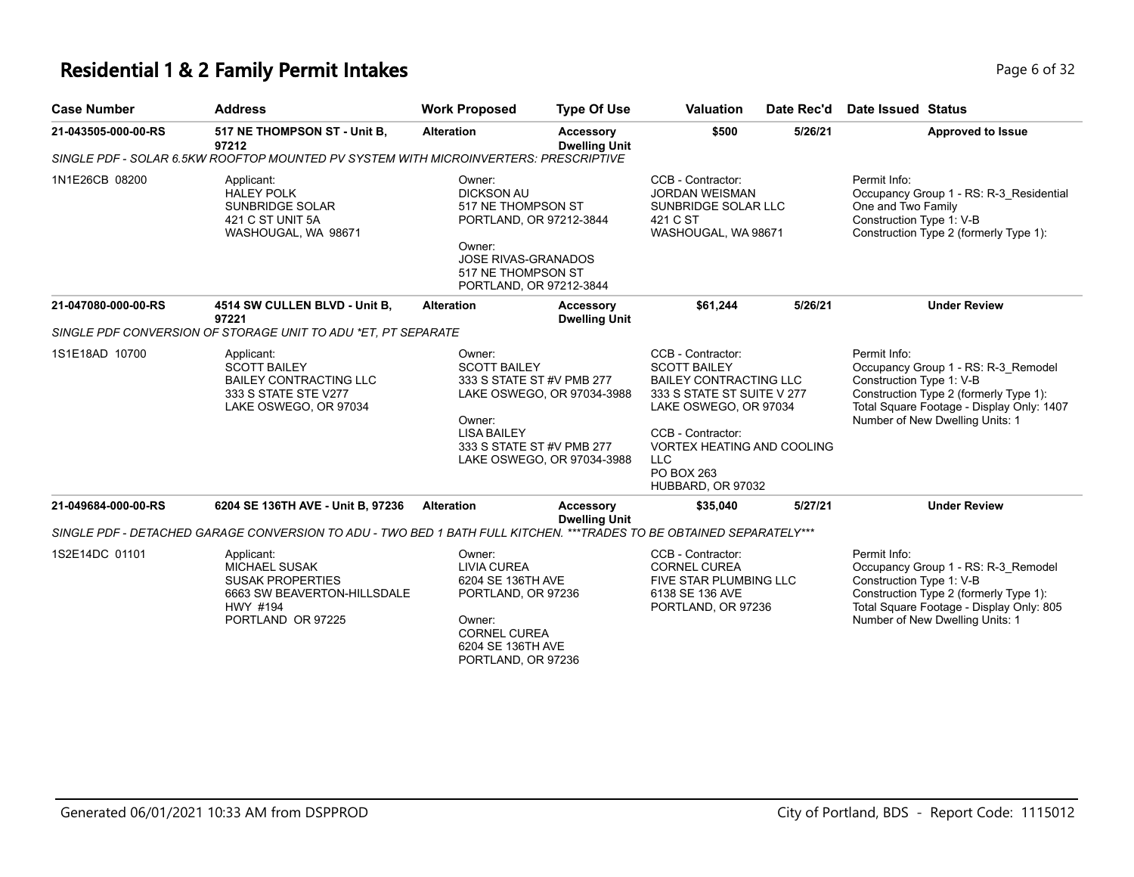# **Residential 1 & 2 Family Permit Intakes Page 6 of 32**

| <b>Case Number</b>  | <b>Address</b>                                                                                                                | <b>Work Proposed</b>                                                                                                                                                  | <b>Type Of Use</b>                                       | <b>Valuation</b>                                                                                                                                                                                                                            | Date Rec'd | <b>Date Issued Status</b>                                                                                                                                                                                 |
|---------------------|-------------------------------------------------------------------------------------------------------------------------------|-----------------------------------------------------------------------------------------------------------------------------------------------------------------------|----------------------------------------------------------|---------------------------------------------------------------------------------------------------------------------------------------------------------------------------------------------------------------------------------------------|------------|-----------------------------------------------------------------------------------------------------------------------------------------------------------------------------------------------------------|
| 21-043505-000-00-RS | 517 NE THOMPSON ST - Unit B,<br>97212                                                                                         | <b>Alteration</b>                                                                                                                                                     | <b>Accessory</b><br><b>Dwelling Unit</b>                 | \$500                                                                                                                                                                                                                                       | 5/26/21    | <b>Approved to Issue</b>                                                                                                                                                                                  |
|                     | SINGLE PDF - SOLAR 6.5KW ROOFTOP MOUNTED PV SYSTEM WITH MICROINVERTERS: PRESCRIPTIVE                                          |                                                                                                                                                                       |                                                          |                                                                                                                                                                                                                                             |            |                                                                                                                                                                                                           |
| 1N1E26CB 08200      | Applicant:<br><b>HALEY POLK</b><br>SUNBRIDGE SOLAR<br>421 C ST UNIT 5A<br>WASHOUGAL, WA 98671                                 | Owner:<br><b>DICKSON AU</b><br>517 NE THOMPSON ST<br>PORTLAND, OR 97212-3844<br>Owner:<br><b>JOSE RIVAS-GRANADOS</b><br>517 NE THOMPSON ST<br>PORTLAND, OR 97212-3844 |                                                          | CCB - Contractor:<br><b>JORDAN WEISMAN</b><br>SUNBRIDGE SOLAR LLC<br>421 C ST<br>WASHOUGAL, WA 98671                                                                                                                                        |            | Permit Info:<br>Occupancy Group 1 - RS: R-3 Residential<br>One and Two Family<br>Construction Type 1: V-B<br>Construction Type 2 (formerly Type 1):                                                       |
| 21-047080-000-00-RS | 4514 SW CULLEN BLVD - Unit B,<br>97221                                                                                        | <b>Alteration</b>                                                                                                                                                     | Accessory<br><b>Dwelling Unit</b>                        | \$61,244                                                                                                                                                                                                                                    | 5/26/21    | <b>Under Review</b>                                                                                                                                                                                       |
|                     | SINGLE PDF CONVERSION OF STORAGE UNIT TO ADU *ET. PT SEPARATE                                                                 |                                                                                                                                                                       |                                                          |                                                                                                                                                                                                                                             |            |                                                                                                                                                                                                           |
| 1S1E18AD 10700      | Applicant:<br><b>SCOTT BAILEY</b><br><b>BAILEY CONTRACTING LLC</b><br>333 S STATE STE V277<br>LAKE OSWEGO, OR 97034           | Owner:<br><b>SCOTT BAILEY</b><br>333 S STATE ST #V PMB 277<br>Owner:<br><b>LISA BAILEY</b><br>333 S STATE ST #V PMB 277                                               | LAKE OSWEGO, OR 97034-3988<br>LAKE OSWEGO, OR 97034-3988 | CCB - Contractor:<br><b>SCOTT BAILEY</b><br><b>BAILEY CONTRACTING LLC</b><br>333 S STATE ST SUITE V 277<br>LAKE OSWEGO, OR 97034<br>CCB - Contractor:<br><b>VORTEX HEATING AND COOLING</b><br><b>LLC</b><br>PO BOX 263<br>HUBBARD, OR 97032 |            | Permit Info:<br>Occupancy Group 1 - RS: R-3 Remodel<br>Construction Type 1: V-B<br>Construction Type 2 (formerly Type 1):<br>Total Square Footage - Display Only: 1407<br>Number of New Dwelling Units: 1 |
| 21-049684-000-00-RS | 6204 SE 136TH AVE - Unit B, 97236                                                                                             | <b>Alteration</b>                                                                                                                                                     | <b>Accessory</b>                                         | \$35,040                                                                                                                                                                                                                                    | 5/27/21    | <b>Under Review</b>                                                                                                                                                                                       |
|                     | SINGLE PDF - DETACHED GARAGE CONVERSION TO ADU - TWO BED 1 BATH FULL KITCHEN. ***TRADES TO BE OBTAINED SEPARATELY***          |                                                                                                                                                                       | <b>Dwelling Unit</b>                                     |                                                                                                                                                                                                                                             |            |                                                                                                                                                                                                           |
| 1S2E14DC 01101      | Applicant:<br><b>MICHAEL SUSAK</b><br><b>SUSAK PROPERTIES</b><br>6663 SW BEAVERTON-HILLSDALE<br>HWY #194<br>PORTLAND OR 97225 | Owner:<br><b>LIVIA CUREA</b><br>6204 SE 136TH AVE<br>PORTLAND, OR 97236<br>Owner:<br><b>CORNEL CUREA</b><br>6204 SE 136TH AVE<br>PORTLAND, OR 97236                   |                                                          | CCB - Contractor:<br><b>CORNEL CUREA</b><br><b>FIVE STAR PLUMBING LLC</b><br>6138 SE 136 AVE<br>PORTLAND, OR 97236                                                                                                                          |            | Permit Info:<br>Occupancy Group 1 - RS: R-3 Remodel<br>Construction Type 1: V-B<br>Construction Type 2 (formerly Type 1):<br>Total Square Footage - Display Only: 805<br>Number of New Dwelling Units: 1  |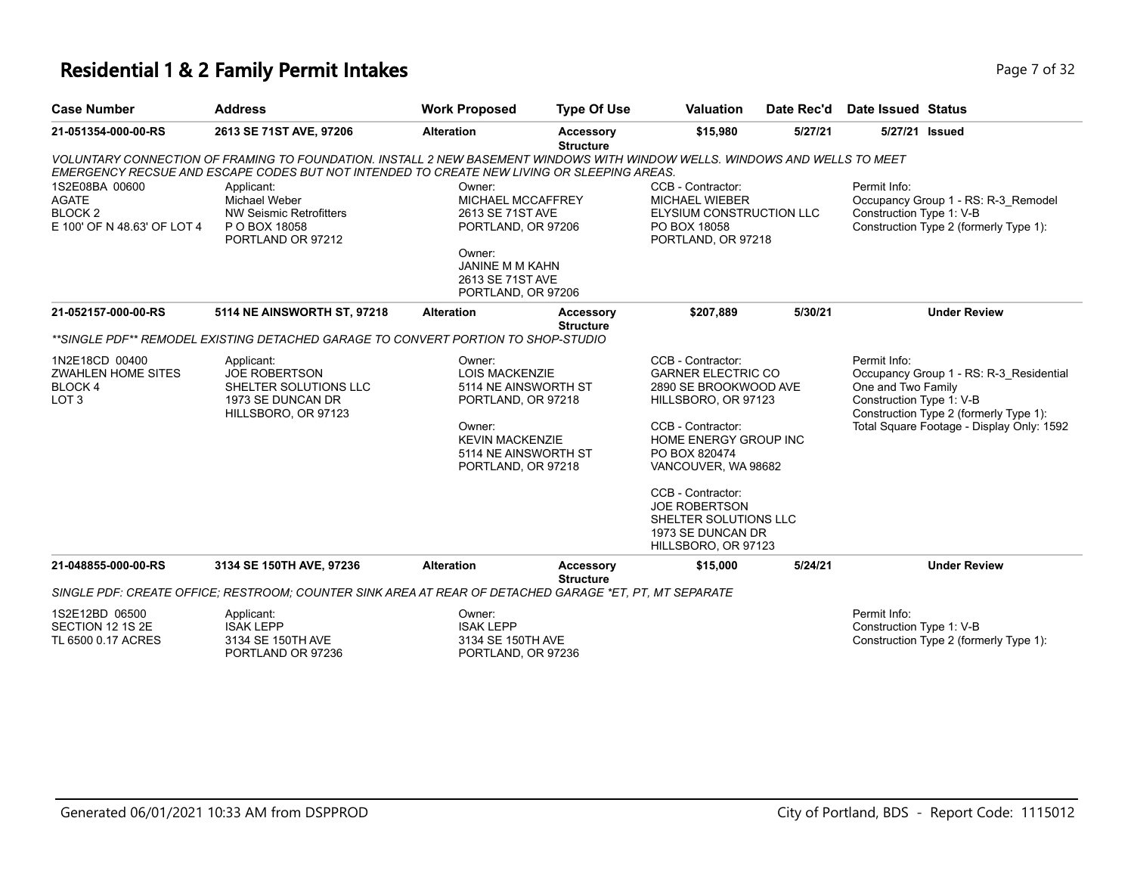#### **Residential 1 & 2 Family Permit Intakes Page 7 of 32 Page 7 of 32**

| <b>Case Number</b>                                                                  | <b>Address</b>                                                                                                                                                                                                           | <b>Work Proposed</b>                                                            | <b>Type Of Use</b>                   | <b>Valuation</b>                                                                                                                                                                     | Date Rec'd | Date Issued Status                                                                                                                                  |                                                                               |
|-------------------------------------------------------------------------------------|--------------------------------------------------------------------------------------------------------------------------------------------------------------------------------------------------------------------------|---------------------------------------------------------------------------------|--------------------------------------|--------------------------------------------------------------------------------------------------------------------------------------------------------------------------------------|------------|-----------------------------------------------------------------------------------------------------------------------------------------------------|-------------------------------------------------------------------------------|
| 21-051354-000-00-RS                                                                 | 2613 SE 71ST AVE, 97206                                                                                                                                                                                                  | <b>Alteration</b>                                                               | Accessory<br><b>Structure</b>        | \$15,980                                                                                                                                                                             | 5/27/21    |                                                                                                                                                     | 5/27/21 Issued                                                                |
|                                                                                     | VOLUNTARY CONNECTION OF FRAMING TO FOUNDATION. INSTALL 2 NEW BASEMENT WINDOWS WITH WINDOW WELLS. WINDOWS AND WELLS TO MEET<br>EMERGENCY RECSUE AND ESCAPE CODES BUT NOT INTENDED TO CREATE NEW LIVING OR SLEEPING AREAS. |                                                                                 |                                      |                                                                                                                                                                                      |            |                                                                                                                                                     |                                                                               |
| 1S2E08BA 00600<br><b>AGATE</b><br>BLOCK <sub>2</sub><br>E 100' OF N 48.63' OF LOT 4 | Applicant:<br><b>Michael Weber</b><br><b>NW Seismic Retrofitters</b><br>P O BOX 18058<br>PORTLAND OR 97212                                                                                                               | Owner:<br>MICHAEL MCCAFFREY<br>2613 SE 71ST AVE<br>PORTLAND, OR 97206<br>Owner: |                                      | CCB - Contractor:<br><b>MICHAEL WIEBER</b><br>ELYSIUM CONSTRUCTION LLC<br>PO BOX 18058<br>PORTLAND, OR 97218                                                                         |            | Permit Info:<br>Construction Type 1: V-B                                                                                                            | Occupancy Group 1 - RS: R-3_Remodel<br>Construction Type 2 (formerly Type 1): |
|                                                                                     |                                                                                                                                                                                                                          | <b>JANINE M M KAHN</b><br>2613 SE 71ST AVE<br>PORTLAND, OR 97206                |                                      |                                                                                                                                                                                      |            |                                                                                                                                                     |                                                                               |
| 21-052157-000-00-RS                                                                 | 5114 NE AINSWORTH ST, 97218                                                                                                                                                                                              | <b>Alteration</b>                                                               | <b>Accessory</b><br><b>Structure</b> | \$207,889                                                                                                                                                                            | 5/30/21    |                                                                                                                                                     | <b>Under Review</b>                                                           |
|                                                                                     | **SINGLE PDF** REMODEL EXISTING DETACHED GARAGE TO CONVERT PORTION TO SHOP-STUDIO                                                                                                                                        |                                                                                 |                                      |                                                                                                                                                                                      |            |                                                                                                                                                     |                                                                               |
| 1N2E18CD 00400<br><b>ZWAHLEN HOME SITES</b><br><b>BLOCK4</b><br>LOT <sub>3</sub>    | Applicant:<br><b>JOE ROBERTSON</b><br>SHELTER SOLUTIONS LLC<br>1973 SE DUNCAN DR<br>HILLSBORO, OR 97123                                                                                                                  | Owner:<br><b>LOIS MACKENZIE</b><br>5114 NE AINSWORTH ST<br>PORTLAND, OR 97218   |                                      | CCB - Contractor:<br><b>GARNER ELECTRIC CO</b><br>2890 SE BROOKWOOD AVE<br>HILLSBORO, OR 97123<br>CCB - Contractor:<br>HOME ENERGY GROUP INC<br>PO BOX 820474<br>VANCOUVER, WA 98682 |            | Permit Info:<br>Occupancy Group 1 - RS: R-3 Residential<br>One and Two Family<br>Construction Type 1: V-B<br>Construction Type 2 (formerly Type 1): |                                                                               |
|                                                                                     |                                                                                                                                                                                                                          | Owner:<br><b>KEVIN MACKENZIE</b><br>5114 NE AINSWORTH ST<br>PORTLAND, OR 97218  |                                      |                                                                                                                                                                                      |            | Total Square Footage - Display Only: 1592                                                                                                           |                                                                               |
|                                                                                     |                                                                                                                                                                                                                          |                                                                                 |                                      | CCB - Contractor:<br><b>JOE ROBERTSON</b><br>SHELTER SOLUTIONS LLC<br>1973 SE DUNCAN DR<br>HILLSBORO, OR 97123                                                                       |            |                                                                                                                                                     |                                                                               |
| 21-048855-000-00-RS                                                                 | 3134 SE 150TH AVE, 97236                                                                                                                                                                                                 | <b>Alteration</b>                                                               | <b>Accessory</b><br><b>Structure</b> | \$15,000                                                                                                                                                                             | 5/24/21    |                                                                                                                                                     | <b>Under Review</b>                                                           |
|                                                                                     | SINGLE PDF: CREATE OFFICE: RESTROOM: COUNTER SINK AREA AT REAR OF DETACHED GARAGE *ET. PT. MT SEPARATE                                                                                                                   |                                                                                 |                                      |                                                                                                                                                                                      |            |                                                                                                                                                     |                                                                               |
| 1S2E12BD 06500<br>SECTION 12 1S 2E                                                  | Applicant:<br><b>ISAK LEPP</b>                                                                                                                                                                                           | Owner:<br><b>ISAK LEPP</b>                                                      |                                      |                                                                                                                                                                                      |            | Permit Info:<br>Construction Type 1: V-B                                                                                                            |                                                                               |

3134 SE 150TH AVE PORTLAND, OR 97236 Construction Type 2 (formerly Type 1):

TL 6500 0.17 ACRES

3134 SE 150TH AVE PORTLAND OR 97236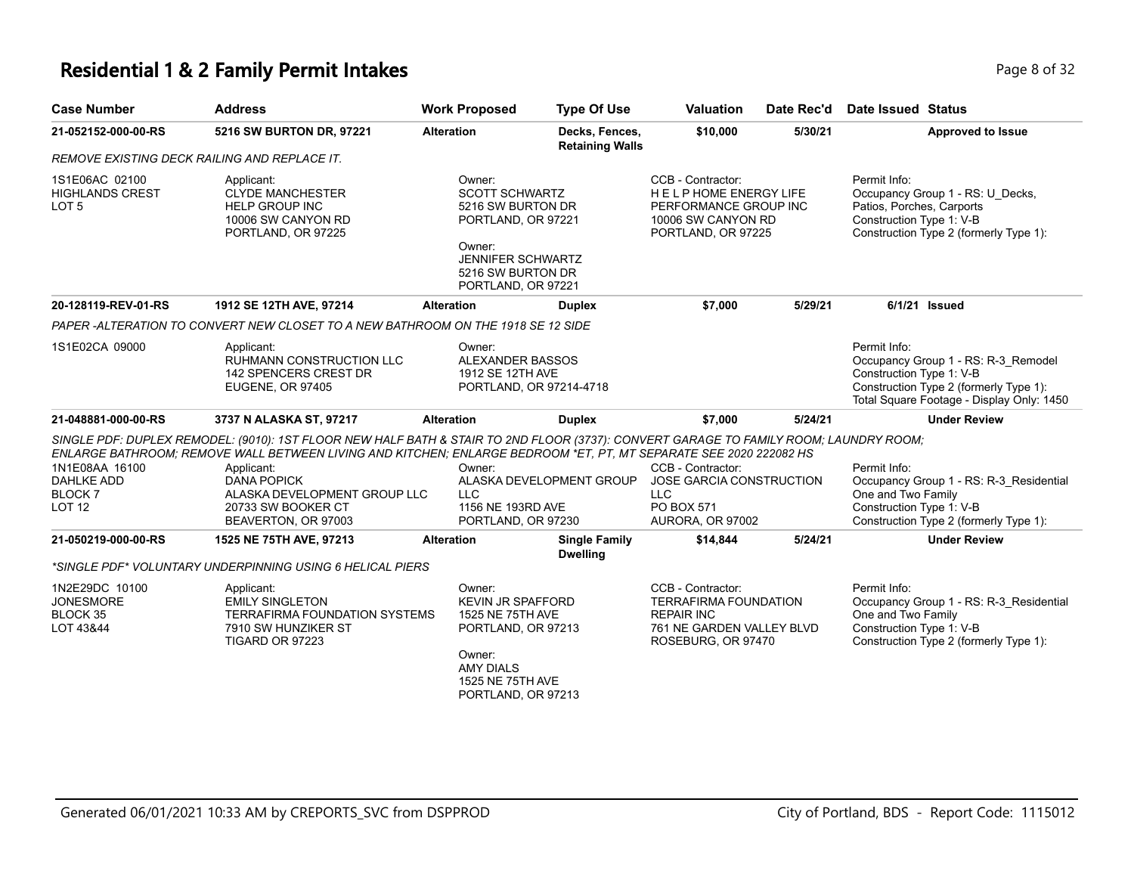## **Residential 1 & 2 Family Permit Intakes Page 1 and Security Page 8 of 32**

| <b>Case Number</b>                                                             | <b>Address</b>                                                                                                                                                                                                                                                                                                                                                              | <b>Work Proposed</b>                                                                                                                                 | <b>Type Of Use</b>                       | <b>Valuation</b>                                                                                                          | Date Rec'd | <b>Date Issued Status</b>                                                                                                                                              |
|--------------------------------------------------------------------------------|-----------------------------------------------------------------------------------------------------------------------------------------------------------------------------------------------------------------------------------------------------------------------------------------------------------------------------------------------------------------------------|------------------------------------------------------------------------------------------------------------------------------------------------------|------------------------------------------|---------------------------------------------------------------------------------------------------------------------------|------------|------------------------------------------------------------------------------------------------------------------------------------------------------------------------|
| 21-052152-000-00-RS                                                            | 5216 SW BURTON DR, 97221                                                                                                                                                                                                                                                                                                                                                    | <b>Alteration</b>                                                                                                                                    | Decks, Fences,<br><b>Retaining Walls</b> | \$10,000                                                                                                                  | 5/30/21    | <b>Approved to Issue</b>                                                                                                                                               |
| REMOVE EXISTING DECK RAILING AND REPLACE IT.                                   |                                                                                                                                                                                                                                                                                                                                                                             |                                                                                                                                                      |                                          |                                                                                                                           |            |                                                                                                                                                                        |
| 1S1E06AC 02100<br><b>HIGHLANDS CREST</b><br>LOT <sub>5</sub>                   | Applicant:<br><b>CLYDE MANCHESTER</b><br><b>HELP GROUP INC</b><br>10006 SW CANYON RD<br>PORTLAND, OR 97225                                                                                                                                                                                                                                                                  | Owner:<br>SCOTT SCHWARTZ<br>5216 SW BURTON DR<br>PORTLAND, OR 97221<br>Owner:<br><b>JENNIFER SCHWARTZ</b><br>5216 SW BURTON DR<br>PORTLAND, OR 97221 |                                          | CCB - Contractor:<br><b>HELPHOME ENERGY LIFE</b><br>PERFORMANCE GROUP INC<br>10006 SW CANYON RD<br>PORTLAND, OR 97225     |            | Permit Info:<br>Occupancy Group 1 - RS: U_Decks,<br>Patios, Porches, Carports<br>Construction Type 1: V-B<br>Construction Type 2 (formerly Type 1):                    |
| 20-128119-REV-01-RS                                                            | 1912 SE 12TH AVE, 97214                                                                                                                                                                                                                                                                                                                                                     | <b>Alteration</b>                                                                                                                                    | <b>Duplex</b>                            | \$7,000                                                                                                                   | 5/29/21    | 6/1/21 Issued                                                                                                                                                          |
|                                                                                | PAPER-ALTERATION TO CONVERT NEW CLOSET TO A NEW BATHROOM ON THE 1918 SE 12 SIDE                                                                                                                                                                                                                                                                                             |                                                                                                                                                      |                                          |                                                                                                                           |            |                                                                                                                                                                        |
| 1S1E02CA 09000                                                                 | Applicant:<br>RUHMANN CONSTRUCTION LLC<br>142 SPENCERS CREST DR<br><b>EUGENE, OR 97405</b>                                                                                                                                                                                                                                                                                  | Owner:<br>ALEXANDER BASSOS<br>1912 SE 12TH AVE<br>PORTLAND, OR 97214-4718                                                                            |                                          |                                                                                                                           |            | Permit Info:<br>Occupancy Group 1 - RS: R-3_Remodel<br>Construction Type 1: V-B<br>Construction Type 2 (formerly Type 1):<br>Total Square Footage - Display Only: 1450 |
| 21-048881-000-00-RS                                                            | 3737 N ALASKA ST, 97217                                                                                                                                                                                                                                                                                                                                                     | <b>Alteration</b>                                                                                                                                    | <b>Duplex</b>                            | \$7,000                                                                                                                   | 5/24/21    | <b>Under Review</b>                                                                                                                                                    |
| 1N1E08AA 16100<br><b>DAHLKE ADD</b><br>BLOCK <sub>7</sub><br>LOT <sub>12</sub> | SINGLE PDF: DUPLEX REMODEL: (9010): 1ST FLOOR NEW HALF BATH & STAIR TO 2ND FLOOR (3737): CONVERT GARAGE TO FAMILY ROOM; LAUNDRY ROOM;<br>ENLARGE BATHROOM: REMOVE WALL BETWEEN LIVING AND KITCHEN: ENLARGE BEDROOM *ET. PT. MT SEPARATE SEE 2020 222082 HS<br>Applicant:<br><b>DANA POPICK</b><br>ALASKA DEVELOPMENT GROUP LLC<br>20733 SW BOOKER CT<br>BEAVERTON, OR 97003 | Owner:<br>ALASKA DEVELOPMENT GROUP<br><b>LLC</b><br>1156 NE 193RD AVE<br>PORTLAND, OR 97230                                                          |                                          | CCB - Contractor:<br>JOSE GARCIA CONSTRUCTION<br><b>LLC</b><br>PO BOX 571<br>AURORA, OR 97002                             |            | Permit Info:<br>Occupancy Group 1 - RS: R-3_Residential<br>One and Two Family<br>Construction Type 1: V-B<br>Construction Type 2 (formerly Type 1):                    |
| 21-050219-000-00-RS                                                            | 1525 NE 75TH AVE, 97213                                                                                                                                                                                                                                                                                                                                                     | <b>Alteration</b>                                                                                                                                    | <b>Single Family</b>                     | \$14,844                                                                                                                  | 5/24/21    | <b>Under Review</b>                                                                                                                                                    |
|                                                                                | *SINGLE PDF* VOLUNTARY UNDERPINNING USING 6 HELICAL PIERS                                                                                                                                                                                                                                                                                                                   |                                                                                                                                                      | <b>Dwelling</b>                          |                                                                                                                           |            |                                                                                                                                                                        |
| 1N2E29DC 10100<br><b>JONESMORE</b><br><b>BLOCK 35</b><br>LOT 43&44             | Applicant:<br><b>EMILY SINGLETON</b><br>TERRAFIRMA FOUNDATION SYSTEMS<br>7910 SW HUNZIKER ST<br>TIGARD OR 97223                                                                                                                                                                                                                                                             | Owner:<br><b>KEVIN JR SPAFFORD</b><br>1525 NE 75TH AVE<br>PORTLAND, OR 97213<br>Owner:<br><b>AMY DIALS</b><br>1525 NE 75TH AVE<br>PORTLAND, OR 97213 |                                          | CCB - Contractor:<br><b>TERRAFIRMA FOUNDATION</b><br><b>REPAIR INC</b><br>761 NE GARDEN VALLEY BLVD<br>ROSEBURG, OR 97470 |            | Permit Info:<br>Occupancy Group 1 - RS: R-3_Residential<br>One and Two Family<br>Construction Type 1: V-B<br>Construction Type 2 (formerly Type 1):                    |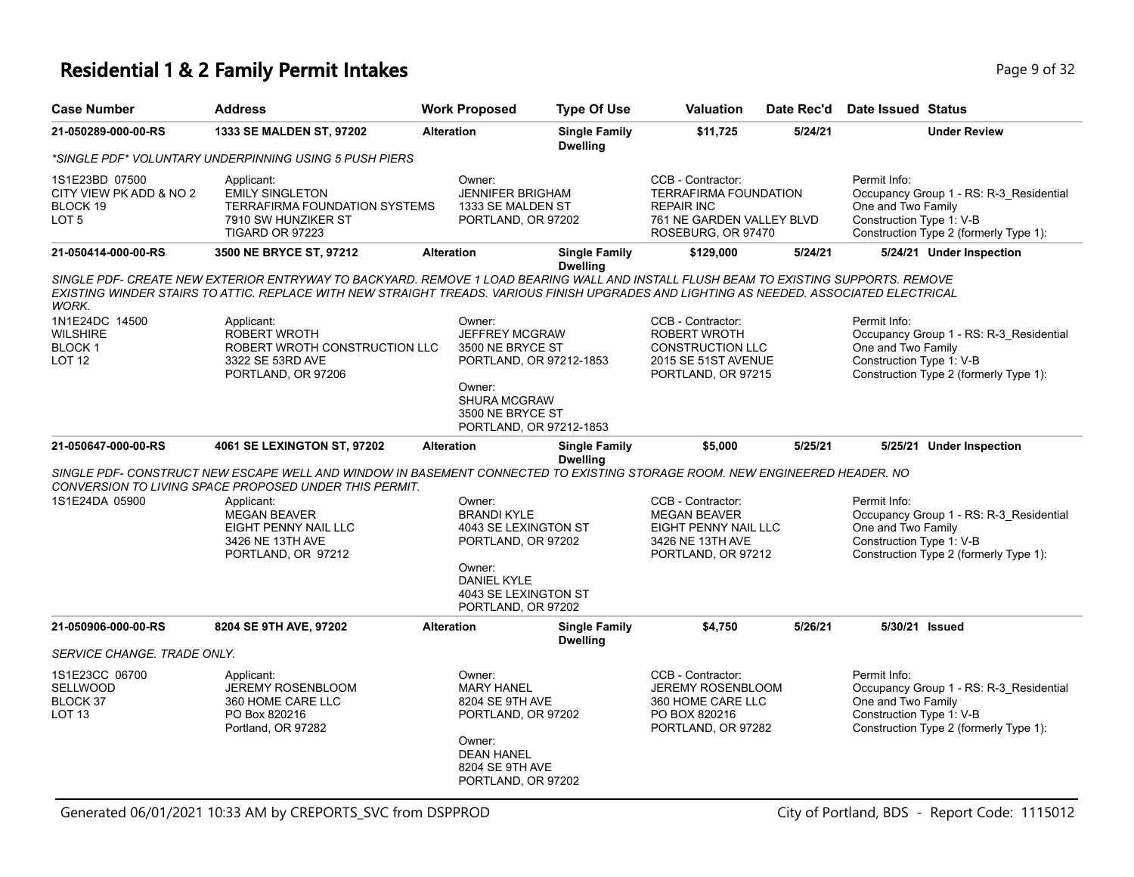## **Residential 1 & 2 Family Permit Intakes Page 1 and Security Page 9 of 32**

| <b>Case Number</b>                                                        | <b>Address</b>                                                                                                                                                                                                                                                                   | <b>Work Proposed</b>                                                                                                                                           | <b>Type Of Use</b>                      | <b>Valuation</b>                                                                                                          | Date Rec'd | Date Issued Status                                                                                                                                  |
|---------------------------------------------------------------------------|----------------------------------------------------------------------------------------------------------------------------------------------------------------------------------------------------------------------------------------------------------------------------------|----------------------------------------------------------------------------------------------------------------------------------------------------------------|-----------------------------------------|---------------------------------------------------------------------------------------------------------------------------|------------|-----------------------------------------------------------------------------------------------------------------------------------------------------|
| 21-050289-000-00-RS                                                       | 1333 SE MALDEN ST, 97202                                                                                                                                                                                                                                                         | <b>Alteration</b>                                                                                                                                              | <b>Single Family</b><br><b>Dwelling</b> | \$11,725                                                                                                                  | 5/24/21    | <b>Under Review</b>                                                                                                                                 |
|                                                                           | *SINGLE PDF* VOLUNTARY UNDERPINNING USING 5 PUSH PIERS                                                                                                                                                                                                                           |                                                                                                                                                                |                                         |                                                                                                                           |            |                                                                                                                                                     |
| 1S1E23BD 07500<br>CITY VIEW PK ADD & NO 2<br>BLOCK 19<br>LOT <sub>5</sub> | Applicant:<br><b>EMILY SINGLETON</b><br><b>TERRAFIRMA FOUNDATION SYSTEMS</b><br>7910 SW HUNZIKER ST<br>TIGARD OR 97223                                                                                                                                                           | Owner:<br><b>JENNIFER BRIGHAM</b><br>1333 SE MALDEN ST<br>PORTLAND, OR 97202                                                                                   |                                         | CCB - Contractor:<br><b>TERRAFIRMA FOUNDATION</b><br><b>REPAIR INC</b><br>761 NE GARDEN VALLEY BLVD<br>ROSEBURG, OR 97470 |            | Permit Info:<br>Occupancy Group 1 - RS: R-3_Residential<br>One and Two Family<br>Construction Type 1: V-B<br>Construction Type 2 (formerly Type 1): |
| 21-050414-000-00-RS                                                       | 3500 NE BRYCE ST, 97212                                                                                                                                                                                                                                                          | <b>Alteration</b>                                                                                                                                              | <b>Single Family</b><br><b>Dwelling</b> | \$129,000                                                                                                                 | 5/24/21    | 5/24/21 Under Inspection                                                                                                                            |
| <b>WORK.</b>                                                              | SINGLE PDF- CREATE NEW EXTERIOR ENTRYWAY TO BACKYARD. REMOVE 1 LOAD BEARING WALL AND INSTALL FLUSH BEAM TO EXISTING SUPPORTS. REMOVE<br>EXISTING WINDER STAIRS TO ATTIC. REPLACE WITH NEW STRAIGHT TREADS. VARIOUS FINISH UPGRADES AND LIGHTING AS NEEDED. ASSOCIATED ELECTRICAL |                                                                                                                                                                |                                         |                                                                                                                           |            |                                                                                                                                                     |
| 1N1E24DC 14500<br><b>WILSHIRE</b><br><b>BLOCK1</b><br><b>LOT 12</b>       | Applicant:<br><b>ROBERT WROTH</b><br>ROBERT WROTH CONSTRUCTION LLC<br>3322 SE 53RD AVE<br>PORTLAND, OR 97206                                                                                                                                                                     | Owner:<br><b>JEFFREY MCGRAW</b><br>3500 NE BRYCE ST<br>PORTLAND, OR 97212-1853<br>Owner:<br><b>SHURA MCGRAW</b><br>3500 NE BRYCE ST<br>PORTLAND, OR 97212-1853 |                                         | CCB - Contractor:<br><b>ROBERT WROTH</b><br><b>CONSTRUCTION LLC</b><br>2015 SE 51ST AVENUE<br>PORTLAND, OR 97215          |            | Permit Info:<br>Occupancy Group 1 - RS: R-3 Residential<br>One and Two Family<br>Construction Type 1: V-B<br>Construction Type 2 (formerly Type 1): |
| 21-050647-000-00-RS                                                       | 4061 SE LEXINGTON ST, 97202                                                                                                                                                                                                                                                      | <b>Alteration</b>                                                                                                                                              | <b>Single Family</b><br><b>Dwelling</b> | \$5,000                                                                                                                   | 5/25/21    | 5/25/21 Under Inspection                                                                                                                            |
|                                                                           | SINGLE PDF- CONSTRUCT NEW ESCAPE WELL AND WINDOW IN BASEMENT CONNECTED TO EXISTING STORAGE ROOM. NEW ENGINEERED HEADER. NO<br>CONVERSION TO LIVING SPACE PROPOSED UNDER THIS PERMIT.                                                                                             |                                                                                                                                                                |                                         |                                                                                                                           |            |                                                                                                                                                     |
| 1S1E24DA 05900                                                            | Applicant:<br><b>MEGAN BEAVER</b><br>EIGHT PENNY NAIL LLC<br>3426 NE 13TH AVE<br>PORTLAND, OR 97212                                                                                                                                                                              | Owner:<br><b>BRANDI KYLE</b><br>4043 SE LEXINGTON ST<br>PORTLAND, OR 97202<br>Owner:<br><b>DANIEL KYLE</b><br>4043 SE LEXINGTON ST<br>PORTLAND, OR 97202       |                                         | CCB - Contractor:<br><b>MEGAN BEAVER</b><br>EIGHT PENNY NAIL LLC<br>3426 NE 13TH AVE<br>PORTLAND, OR 97212                |            | Permit Info:<br>Occupancy Group 1 - RS: R-3_Residential<br>One and Two Family<br>Construction Type 1: V-B<br>Construction Type 2 (formerly Type 1): |
| 21-050906-000-00-RS                                                       | 8204 SE 9TH AVE, 97202                                                                                                                                                                                                                                                           | <b>Alteration</b>                                                                                                                                              | <b>Single Family</b><br><b>Dwelling</b> | \$4,750                                                                                                                   | 5/26/21    | 5/30/21 Issued                                                                                                                                      |
| SERVICE CHANGE. TRADE ONLY.                                               |                                                                                                                                                                                                                                                                                  |                                                                                                                                                                |                                         |                                                                                                                           |            |                                                                                                                                                     |
| 1S1E23CC 06700<br>SELLWOOD<br>BLOCK 37<br><b>LOT 13</b>                   | Applicant:<br><b>JEREMY ROSENBLOOM</b><br>360 HOME CARE LLC<br>PO Box 820216<br>Portland, OR 97282                                                                                                                                                                               | Owner:<br><b>MARY HANEL</b><br>8204 SE 9TH AVE<br>PORTLAND, OR 97202<br>Owner:<br><b>DEAN HANEL</b><br>8204 SE 9TH AVE<br>PORTLAND, OR 97202                   |                                         | CCB - Contractor:<br><b>JEREMY ROSENBLOOM</b><br>360 HOME CARE LLC<br>PO BOX 820216<br>PORTLAND, OR 97282                 |            | Permit Info:<br>Occupancy Group 1 - RS: R-3 Residential<br>One and Two Family<br>Construction Type 1: V-B<br>Construction Type 2 (formerly Type 1): |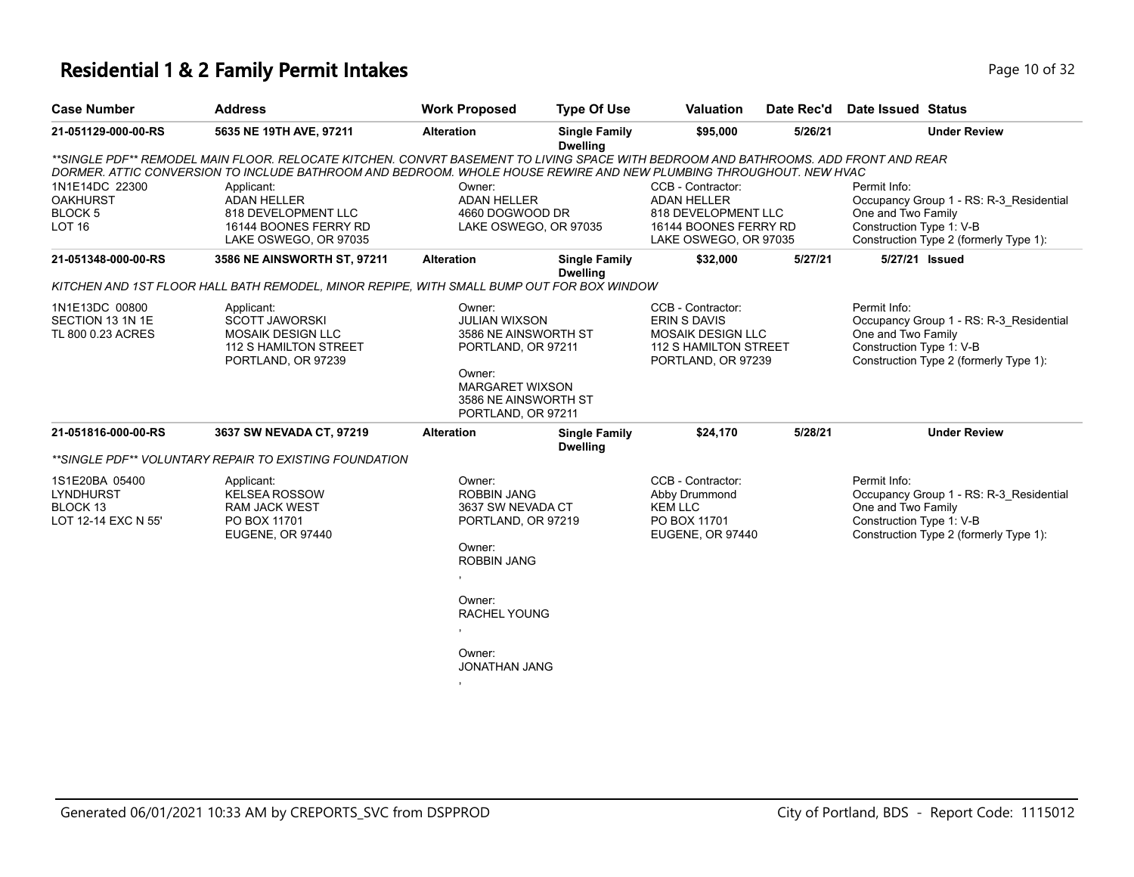## **Residential 1 & 2 Family Permit Intakes Page 10 of 32 Page 10 of 32**

| <b>Case Number</b>                                                    | <b>Address</b>                                                                                                                                                                                                                                            | <b>Work Proposed</b>                                                                                                                                                | <b>Type Of Use</b>                      | <b>Valuation</b>                                                                                                 | Date Rec'd | Date Issued Status                                                                                                                                  |
|-----------------------------------------------------------------------|-----------------------------------------------------------------------------------------------------------------------------------------------------------------------------------------------------------------------------------------------------------|---------------------------------------------------------------------------------------------------------------------------------------------------------------------|-----------------------------------------|------------------------------------------------------------------------------------------------------------------|------------|-----------------------------------------------------------------------------------------------------------------------------------------------------|
| 21-051129-000-00-RS                                                   | 5635 NE 19TH AVE, 97211                                                                                                                                                                                                                                   | <b>Alteration</b>                                                                                                                                                   | <b>Single Family</b><br><b>Dwelling</b> | \$95,000                                                                                                         | 5/26/21    | <b>Under Review</b>                                                                                                                                 |
|                                                                       | **SINGLE PDF** REMODEL MAIN FLOOR. RELOCATE KITCHEN. CONVRT BASEMENT TO LIVING SPACE WITH BEDROOM AND BATHROOMS. ADD FRONT AND REAR<br>DORMER. ATTIC CONVERSION TO INCLUDE BATHROOM AND BEDROOM. WHOLE HOUSE REWIRE AND NEW PLUMBING THROUGHOUT. NEW HVAC |                                                                                                                                                                     |                                         |                                                                                                                  |            |                                                                                                                                                     |
| 1N1E14DC 22300<br><b>OAKHURST</b><br>BLOCK 5<br><b>LOT 16</b>         | Applicant:<br><b>ADAN HELLER</b><br>818 DEVELOPMENT LLC<br>16144 BOONES FERRY RD<br>LAKE OSWEGO, OR 97035                                                                                                                                                 | Owner:<br><b>ADAN HELLER</b><br>4660 DOGWOOD DR<br>LAKE OSWEGO, OR 97035                                                                                            |                                         | CCB - Contractor:<br><b>ADAN HELLER</b><br>818 DEVELOPMENT LLC<br>16144 BOONES FERRY RD<br>LAKE OSWEGO, OR 97035 |            | Permit Info:<br>Occupancy Group 1 - RS: R-3 Residential<br>One and Two Family<br>Construction Type 1: V-B<br>Construction Type 2 (formerly Type 1): |
| 21-051348-000-00-RS                                                   | 3586 NE AINSWORTH ST, 97211                                                                                                                                                                                                                               | <b>Alteration</b>                                                                                                                                                   | <b>Single Family</b><br><b>Dwelling</b> | \$32,000                                                                                                         | 5/27/21    | 5/27/21 Issued                                                                                                                                      |
|                                                                       | KITCHEN AND 1ST FLOOR HALL BATH REMODEL, MINOR REPIPE, WITH SMALL BUMP OUT FOR BOX WINDOW                                                                                                                                                                 |                                                                                                                                                                     |                                         |                                                                                                                  |            |                                                                                                                                                     |
| 1N1E13DC 00800<br>SECTION 13 1N 1E<br>TL 800 0.23 ACRES               | Applicant:<br><b>SCOTT JAWORSKI</b><br><b>MOSAIK DESIGN LLC</b><br>112 S HAMILTON STREET<br>PORTLAND, OR 97239                                                                                                                                            | Owner:<br><b>JULIAN WIXSON</b><br>3586 NE AINSWORTH ST<br>PORTLAND, OR 97211<br>Owner:<br>MARGARET WIXSON<br>3586 NE AINSWORTH ST<br>PORTLAND, OR 97211             |                                         | CCB - Contractor:<br>ERIN S DAVIS<br><b>MOSAIK DESIGN LLC</b><br>112 S HAMILTON STREET<br>PORTLAND, OR 97239     |            | Permit Info:<br>Occupancy Group 1 - RS: R-3_Residential<br>One and Two Family<br>Construction Type 1: V-B<br>Construction Type 2 (formerly Type 1): |
| 21-051816-000-00-RS                                                   | 3637 SW NEVADA CT, 97219                                                                                                                                                                                                                                  | <b>Alteration</b>                                                                                                                                                   | <b>Single Family</b><br><b>Dwelling</b> | \$24,170                                                                                                         | 5/28/21    | <b>Under Review</b>                                                                                                                                 |
|                                                                       | **SINGLE PDF** VOLUNTARY REPAIR TO EXISTING FOUNDATION                                                                                                                                                                                                    |                                                                                                                                                                     |                                         |                                                                                                                  |            |                                                                                                                                                     |
| 1S1E20BA 05400<br><b>LYNDHURST</b><br>BLOCK 13<br>LOT 12-14 EXC N 55' | Applicant:<br><b>KELSEA ROSSOW</b><br><b>RAM JACK WEST</b><br>PO BOX 11701<br>EUGENE, OR 97440                                                                                                                                                            | Owner:<br><b>ROBBIN JANG</b><br>3637 SW NEVADA CT<br>PORTLAND, OR 97219<br>Owner:<br><b>ROBBIN JANG</b><br>Owner:<br>RACHEL YOUNG<br>Owner:<br><b>JONATHAN JANG</b> |                                         | CCB - Contractor:<br>Abby Drummond<br><b>KEM LLC</b><br>PO BOX 11701<br>EUGENE, OR 97440                         |            | Permit Info:<br>Occupancy Group 1 - RS: R-3_Residential<br>One and Two Family<br>Construction Type 1: V-B<br>Construction Type 2 (formerly Type 1): |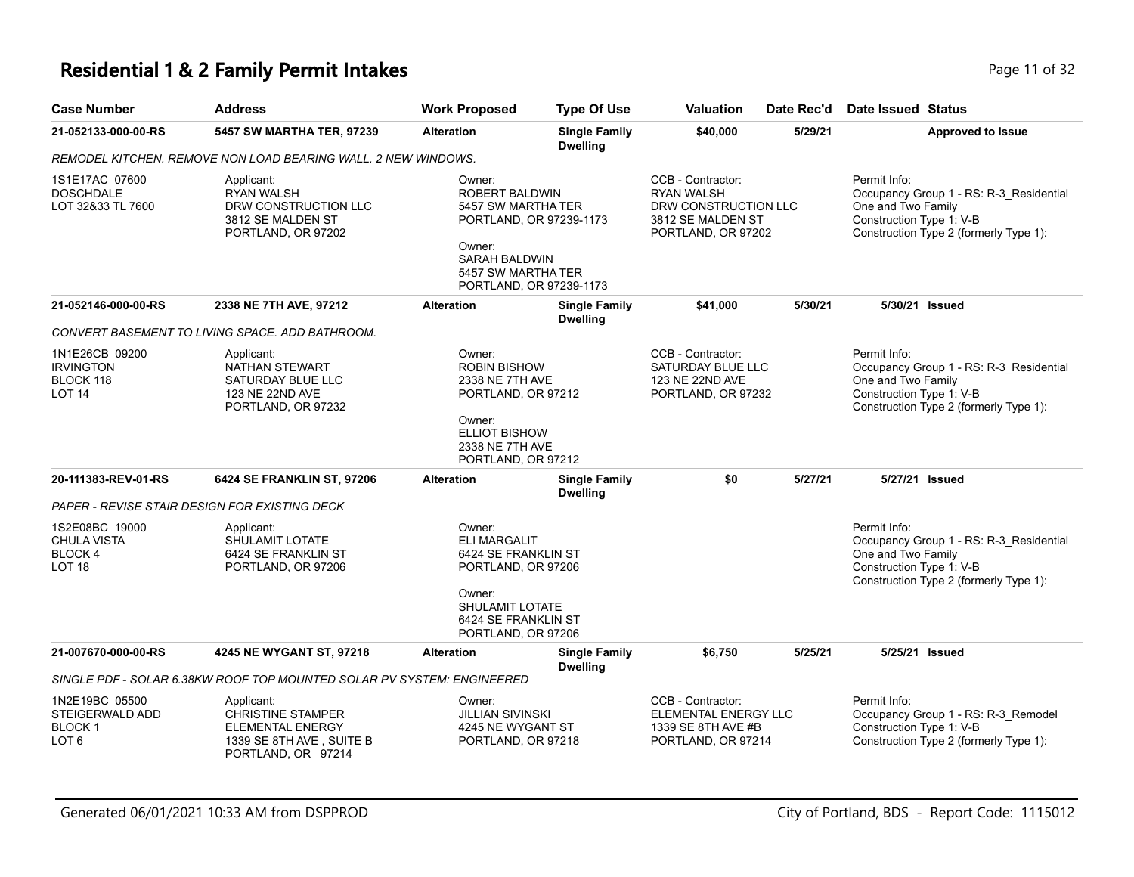# **Residential 1 & 2 Family Permit Intakes Page 11 of 32** Page 11 of 32

| <b>Case Number</b>                                                                                                                                    | <b>Address</b>                                                                                                      | <b>Work Proposed</b>                                                                                                                              | <b>Type Of Use</b>                      | Valuation                                                                                                 | Date Rec'd | <b>Date Issued Status</b>                                                                                                                           |  |
|-------------------------------------------------------------------------------------------------------------------------------------------------------|---------------------------------------------------------------------------------------------------------------------|---------------------------------------------------------------------------------------------------------------------------------------------------|-----------------------------------------|-----------------------------------------------------------------------------------------------------------|------------|-----------------------------------------------------------------------------------------------------------------------------------------------------|--|
| 21-052133-000-00-RS                                                                                                                                   | 5457 SW MARTHA TER, 97239                                                                                           | <b>Alteration</b>                                                                                                                                 | <b>Single Family</b><br><b>Dwelling</b> | \$40,000                                                                                                  | 5/29/21    | <b>Approved to Issue</b>                                                                                                                            |  |
|                                                                                                                                                       | REMODEL KITCHEN. REMOVE NON LOAD BEARING WALL. 2 NEW WINDOWS.                                                       |                                                                                                                                                   |                                         |                                                                                                           |            |                                                                                                                                                     |  |
| 1S1E17AC 07600<br><b>DOSCHDALE</b><br>LOT 32&33 TL 7600                                                                                               | Applicant:<br><b>RYAN WALSH</b><br>DRW CONSTRUCTION LLC<br>3812 SE MALDEN ST<br>PORTLAND, OR 97202                  | Owner:<br><b>ROBERT BALDWIN</b><br>5457 SW MARTHA TER<br>PORTLAND, OR 97239-1173<br>Owner:<br><b>SARAH BALDWIN</b><br>5457 SW MARTHA TER          |                                         | CCB - Contractor:<br><b>RYAN WALSH</b><br>DRW CONSTRUCTION LLC<br>3812 SE MALDEN ST<br>PORTLAND, OR 97202 |            | Permit Info:<br>Occupancy Group 1 - RS: R-3_Residential<br>One and Two Family<br>Construction Type 1: V-B<br>Construction Type 2 (formerly Type 1): |  |
|                                                                                                                                                       |                                                                                                                     | PORTLAND, OR 97239-1173                                                                                                                           |                                         |                                                                                                           |            |                                                                                                                                                     |  |
| 21-052146-000-00-RS                                                                                                                                   | 2338 NE 7TH AVE, 97212                                                                                              | <b>Alteration</b>                                                                                                                                 | <b>Single Family</b><br><b>Dwelling</b> | \$41,000                                                                                                  | 5/30/21    | 5/30/21 Issued                                                                                                                                      |  |
|                                                                                                                                                       | CONVERT BASEMENT TO LIVING SPACE. ADD BATHROOM.                                                                     |                                                                                                                                                   |                                         |                                                                                                           |            |                                                                                                                                                     |  |
| 1N1E26CB 09200<br><b>IRVINGTON</b><br>BLOCK 118<br>LOT <sub>14</sub>                                                                                  | Applicant:<br>NATHAN STEWART<br>SATURDAY BLUE LLC<br>123 NE 22ND AVE<br>PORTLAND, OR 97232                          | Owner:<br><b>ROBIN BISHOW</b><br>2338 NE 7TH AVE<br>PORTLAND, OR 97212<br>Owner:<br><b>ELLIOT BISHOW</b><br>2338 NE 7TH AVE<br>PORTLAND, OR 97212 |                                         | CCB - Contractor:<br>SATURDAY BLUE LLC<br>123 NE 22ND AVE<br>PORTLAND, OR 97232                           |            | Permit Info:<br>Occupancy Group 1 - RS: R-3_Residential<br>One and Two Family<br>Construction Type 1: V-B<br>Construction Type 2 (formerly Type 1): |  |
| 20-111383-REV-01-RS                                                                                                                                   | 6424 SE FRANKLIN ST, 97206                                                                                          | <b>Alteration</b>                                                                                                                                 | <b>Single Family</b><br><b>Dwelling</b> | \$0                                                                                                       | 5/27/21    | 5/27/21 Issued                                                                                                                                      |  |
|                                                                                                                                                       | PAPER - REVISE STAIR DESIGN FOR EXISTING DECK                                                                       |                                                                                                                                                   |                                         |                                                                                                           |            |                                                                                                                                                     |  |
| 1S2E08BC 19000<br>Applicant:<br><b>CHULA VISTA</b><br><b>SHULAMIT LOTATE</b><br><b>BLOCK 4</b><br>6424 SE FRANKLIN ST<br>LOT 18<br>PORTLAND, OR 97206 |                                                                                                                     | Owner:<br><b>ELI MARGALIT</b><br>6424 SE FRANKLIN ST<br>PORTLAND, OR 97206<br>Owner:                                                              |                                         |                                                                                                           |            | Permit Info:<br>Occupancy Group 1 - RS: R-3 Residential<br>One and Two Family<br>Construction Type 1: V-B<br>Construction Type 2 (formerly Type 1): |  |
|                                                                                                                                                       |                                                                                                                     | <b>SHULAMIT LOTATE</b><br>6424 SE FRANKLIN ST<br>PORTLAND, OR 97206                                                                               |                                         |                                                                                                           |            |                                                                                                                                                     |  |
| 21-007670-000-00-RS                                                                                                                                   | 4245 NE WYGANT ST, 97218                                                                                            | <b>Alteration</b>                                                                                                                                 | <b>Single Family</b><br><b>Dwelling</b> | \$6,750                                                                                                   | 5/25/21    | 5/25/21 Issued                                                                                                                                      |  |
|                                                                                                                                                       | SINGLE PDF - SOLAR 6.38KW ROOF TOP MOUNTED SOLAR PV SYSTEM: ENGINEERED                                              |                                                                                                                                                   |                                         |                                                                                                           |            |                                                                                                                                                     |  |
| 1N2E19BC 05500<br>STEIGERWALD ADD<br><b>BLOCK1</b><br>LOT 6                                                                                           | Applicant:<br><b>CHRISTINE STAMPER</b><br><b>ELEMENTAL ENERGY</b><br>1339 SE 8TH AVE, SUITE B<br>PORTLAND, OR 97214 | Owner:<br><b>JILLIAN SIVINSKI</b><br>4245 NE WYGANT ST<br>PORTLAND, OR 97218                                                                      |                                         | CCB - Contractor:<br>ELEMENTAL ENERGY LLC<br>1339 SE 8TH AVE #B<br>PORTLAND, OR 97214                     |            | Permit Info:<br>Occupancy Group 1 - RS: R-3_Remodel<br>Construction Type 1: V-B<br>Construction Type 2 (formerly Type 1):                           |  |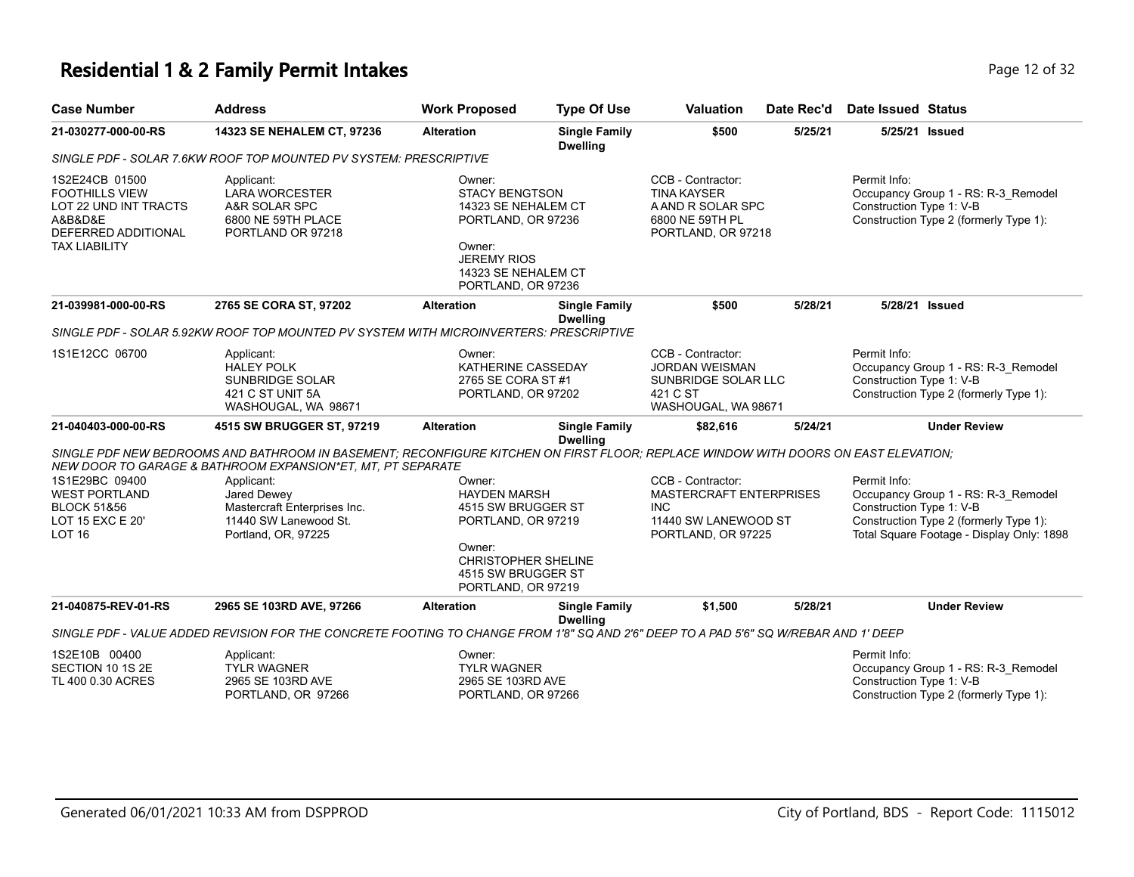## **Residential 1 & 2 Family Permit Intakes Page 12 of 32** Page 12 of 32

| <b>Case Number</b>                                                                                                         | <b>Address</b>                                                                                                                                                                                    | <b>Work Proposed</b>                                                                                                                                      | <b>Type Of Use</b>                      | <b>Valuation</b>                                                                                                | Date Rec'd | <b>Date Issued Status</b>                                                                                                                                              |
|----------------------------------------------------------------------------------------------------------------------------|---------------------------------------------------------------------------------------------------------------------------------------------------------------------------------------------------|-----------------------------------------------------------------------------------------------------------------------------------------------------------|-----------------------------------------|-----------------------------------------------------------------------------------------------------------------|------------|------------------------------------------------------------------------------------------------------------------------------------------------------------------------|
| 21-030277-000-00-RS                                                                                                        | 14323 SE NEHALEM CT, 97236                                                                                                                                                                        | <b>Alteration</b>                                                                                                                                         | <b>Single Family</b><br><b>Dwelling</b> | \$500                                                                                                           | 5/25/21    | 5/25/21 Issued                                                                                                                                                         |
|                                                                                                                            | SINGLE PDF - SOLAR 7.6KW ROOF TOP MOUNTED PV SYSTEM: PRESCRIPTIVE                                                                                                                                 |                                                                                                                                                           |                                         |                                                                                                                 |            |                                                                                                                                                                        |
| 1S2E24CB 01500<br><b>FOOTHILLS VIEW</b><br>LOT 22 UND INT TRACTS<br>A&B&D&E<br>DEFERRED ADDITIONAL<br><b>TAX LIABILITY</b> | Applicant:<br><b>LARA WORCESTER</b><br>A&R SOLAR SPC<br>6800 NE 59TH PLACE<br>PORTLAND OR 97218                                                                                                   | Owner:<br><b>STACY BENGTSON</b><br>14323 SE NEHALEM CT<br>PORTLAND, OR 97236<br>Owner:<br><b>JEREMY RIOS</b><br>14323 SE NEHALEM CT<br>PORTLAND, OR 97236 |                                         | CCB - Contractor:<br><b>TINA KAYSER</b><br>A AND R SOLAR SPC<br>6800 NE 59TH PL<br>PORTLAND, OR 97218           |            | Permit Info:<br>Occupancy Group 1 - RS: R-3_Remodel<br>Construction Type 1: V-B<br>Construction Type 2 (formerly Type 1):                                              |
| 21-039981-000-00-RS                                                                                                        | 2765 SE CORA ST, 97202                                                                                                                                                                            | <b>Alteration</b>                                                                                                                                         | <b>Single Family</b><br><b>Dwelling</b> | \$500                                                                                                           | 5/28/21    | 5/28/21 Issued                                                                                                                                                         |
|                                                                                                                            | SINGLE PDF - SOLAR 5.92KW ROOF TOP MOUNTED PV SYSTEM WITH MICROINVERTERS: PRESCRIPTIVE                                                                                                            |                                                                                                                                                           |                                         |                                                                                                                 |            |                                                                                                                                                                        |
| 1S1E12CC 06700                                                                                                             | Applicant:<br><b>HALEY POLK</b><br><b>SUNBRIDGE SOLAR</b><br>421 C ST UNIT 5A<br>WASHOUGAL, WA 98671                                                                                              | Owner:<br>KATHERINE CASSEDAY<br>2765 SE CORA ST #1<br>PORTLAND, OR 97202                                                                                  |                                         | CCB - Contractor:<br><b>JORDAN WEISMAN</b><br>SUNBRIDGE SOLAR LLC<br>421 C ST<br>WASHOUGAL, WA 98671            |            | Permit Info:<br>Occupancy Group 1 - RS: R-3_Remodel<br>Construction Type 1: V-B<br>Construction Type 2 (formerly Type 1):                                              |
| 21-040403-000-00-RS                                                                                                        | 4515 SW BRUGGER ST, 97219                                                                                                                                                                         | <b>Alteration</b>                                                                                                                                         | <b>Single Family</b>                    | \$82,616                                                                                                        | 5/24/21    | <b>Under Review</b>                                                                                                                                                    |
|                                                                                                                            | SINGLE PDF NEW BEDROOMS AND BATHROOM IN BASEMENT; RECONFIGURE KITCHEN ON FIRST FLOOR; REPLACE WINDOW WITH DOORS ON EAST ELEVATION;<br>NEW DOOR TO GARAGE & BATHROOM EXPANSION*ET, MT, PT SEPARATE |                                                                                                                                                           | <b>Dwelling</b>                         |                                                                                                                 |            |                                                                                                                                                                        |
| 1S1E29BC 09400<br><b>WEST PORTLAND</b><br><b>BLOCK 51&amp;56</b><br>LOT 15 EXC E 20'<br><b>LOT 16</b>                      | Applicant:<br>Jared Dewey<br>Mastercraft Enterprises Inc.<br>11440 SW Lanewood St.<br>Portland, OR, 97225                                                                                         | Owner:<br><b>HAYDEN MARSH</b><br>4515 SW BRUGGER ST<br>PORTLAND, OR 97219<br>Owner:<br><b>CHRISTOPHER SHELINE</b>                                         |                                         | CCB - Contractor:<br><b>MASTERCRAFT ENTERPRISES</b><br><b>INC</b><br>11440 SW LANEWOOD ST<br>PORTLAND, OR 97225 |            | Permit Info:<br>Occupancy Group 1 - RS: R-3_Remodel<br>Construction Type 1: V-B<br>Construction Type 2 (formerly Type 1):<br>Total Square Footage - Display Only: 1898 |
|                                                                                                                            |                                                                                                                                                                                                   | 4515 SW BRUGGER ST<br>PORTLAND, OR 97219                                                                                                                  |                                         |                                                                                                                 |            |                                                                                                                                                                        |
| 21-040875-REV-01-RS                                                                                                        | 2965 SE 103RD AVE, 97266                                                                                                                                                                          | <b>Alteration</b>                                                                                                                                         | <b>Single Family</b><br><b>Dwelling</b> | \$1,500                                                                                                         | 5/28/21    | <b>Under Review</b>                                                                                                                                                    |
|                                                                                                                            | SINGLE PDF - VALUE ADDED REVISION FOR THE CONCRETE FOOTING TO CHANGE FROM 1'8" SQ AND 2'6" DEEP TO A PAD 5'6" SQ W/REBAR AND 1' DEEP                                                              |                                                                                                                                                           |                                         |                                                                                                                 |            |                                                                                                                                                                        |
| 1S2E10B 00400<br>SECTION 10 1S 2E<br>TL 400 0.30 ACRES                                                                     | Applicant:<br><b>TYLR WAGNER</b><br>2965 SE 103RD AVE<br>PORTLAND, OR 97266                                                                                                                       | Owner:<br><b>TYLR WAGNER</b><br>2965 SE 103RD AVE<br>PORTLAND, OR 97266                                                                                   |                                         |                                                                                                                 |            | Permit Info:<br>Occupancy Group 1 - RS: R-3_Remodel<br>Construction Type 1: V-B<br>Construction Type 2 (formerly Type 1):                                              |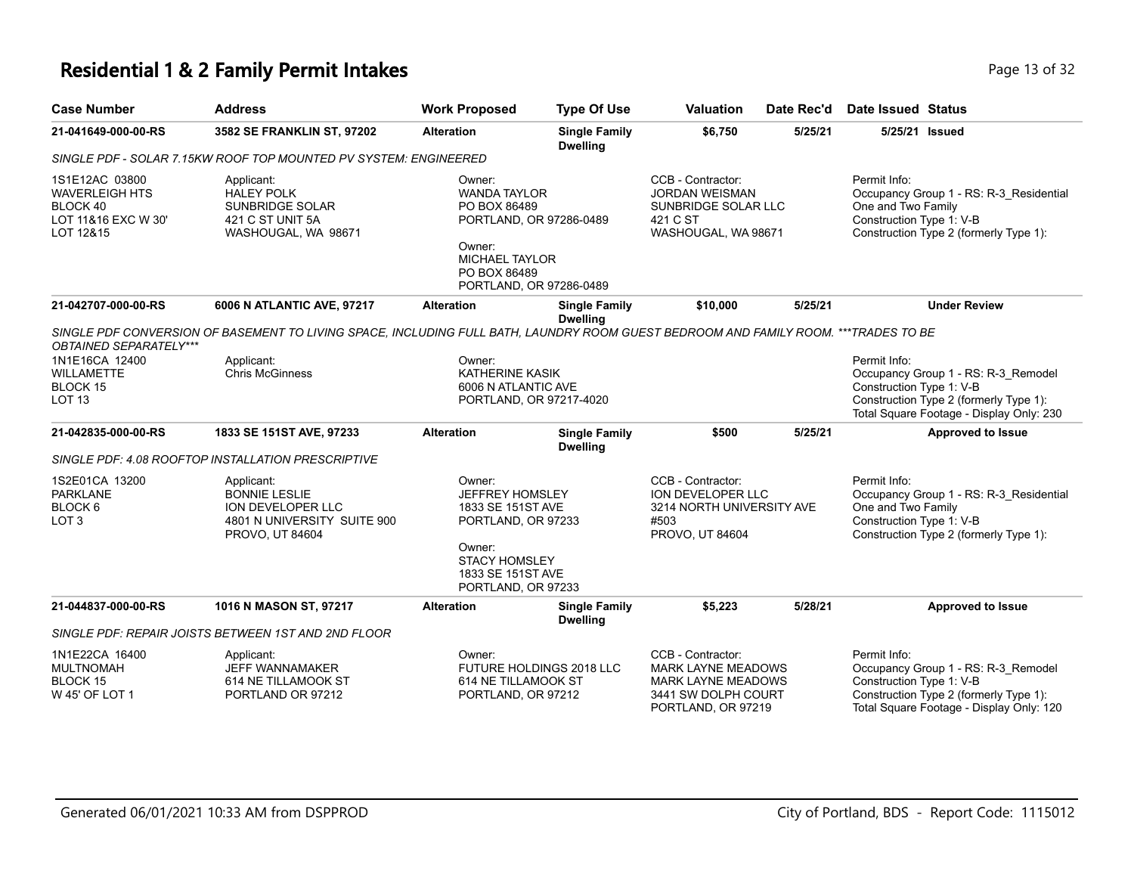#### **Residential 1 & 2 Family Permit Intakes Page 13 of 32** Page 13 of 32

Applicant: HALEY POLK SUNBRIDGE SOLAR 421 C ST UNIT 5A WASHOUGAL, WA 98671

LOT 12&15

| <b>Case Number</b>  | <b>Address</b>                                                   | <b>Work Proposed</b>    | <b>Type Of Use</b>                      | <b>Valuation</b>      | Date Rec'd | Date Issued Status       |                                         |
|---------------------|------------------------------------------------------------------|-------------------------|-----------------------------------------|-----------------------|------------|--------------------------|-----------------------------------------|
| 21-041649-000-00-RS | <b>3582 SE FRANKLIN ST, 97202</b>                                | <b>Alteration</b>       | <b>Single Family</b><br><b>Dwelling</b> | \$6,750               | 5/25/21    |                          | 5/25/21 Issued                          |
|                     | SINGLE PDF - SOLAR 7.15KW ROOF TOP MOUNTED PV SYSTEM: ENGINEERED |                         |                                         |                       |            |                          |                                         |
| 1S1E12AC 03800      | Applicant:                                                       | Owner:                  |                                         | CCB - Contractor:     |            | Permit Info:             |                                         |
| WAVERLEIGH HTS      | <b>HALEY POLK</b>                                                | <b>WANDA TAYLOR</b>     |                                         | <b>JORDAN WEISMAN</b> |            |                          | Occupancy Group 1 - RS: R-3 Residential |
| BLOCK 40            | SUNBRIDGE SOLAR                                                  | PO BOX 86489            |                                         | SUNBRIDGE SOLAR LLC   |            | One and Two Family       |                                         |
| LOT 11&16 EXC W 30' | 421 C ST UNIT 5A                                                 | PORTLAND, OR 97286-0489 |                                         | 421 C ST              |            | Construction Type 1: V-B |                                         |

Construction Type 2 (formerly Type 1):

|                                                                             |                                                                                                                                     | UWII <del>c</del> i.<br><b>MICHAEL TAYLOR</b><br>PO BOX 86489                                                                                            | PORTLAND, OR 97286-0489                                                      |                                                                                                                          |         |                                                                                                                                                                       |
|-----------------------------------------------------------------------------|-------------------------------------------------------------------------------------------------------------------------------------|----------------------------------------------------------------------------------------------------------------------------------------------------------|------------------------------------------------------------------------------|--------------------------------------------------------------------------------------------------------------------------|---------|-----------------------------------------------------------------------------------------------------------------------------------------------------------------------|
| 21-042707-000-00-RS                                                         | 6006 N ATLANTIC AVE, 97217                                                                                                          | <b>Alteration</b>                                                                                                                                        | <b>Single Family</b><br><b>Dwelling</b>                                      | \$10,000                                                                                                                 | 5/25/21 | <b>Under Review</b>                                                                                                                                                   |
| <b>OBTAINED SEPARATELY***</b>                                               | SINGLE PDF CONVERSION OF BASEMENT TO LIVING SPACE, INCLUDING FULL BATH, LAUNDRY ROOM GUEST BEDROOM AND FAMILY ROOM. ***TRADES TO BE |                                                                                                                                                          |                                                                              |                                                                                                                          |         |                                                                                                                                                                       |
| 1N1E16CA 12400                                                              | Applicant:                                                                                                                          | Owner:                                                                                                                                                   |                                                                              |                                                                                                                          |         | Permit Info:                                                                                                                                                          |
| <b>WILLAMETTE</b>                                                           | <b>Chris McGinness</b>                                                                                                              | <b>KATHERINE KASIK</b>                                                                                                                                   |                                                                              |                                                                                                                          |         | Occupancy Group 1 - RS: R-3_Remodel                                                                                                                                   |
| BLOCK 15                                                                    |                                                                                                                                     |                                                                                                                                                          | 6006 N ATLANTIC AVE                                                          |                                                                                                                          |         | Construction Type 1: V-B                                                                                                                                              |
| LOT <sub>13</sub>                                                           |                                                                                                                                     |                                                                                                                                                          | PORTLAND, OR 97217-4020                                                      |                                                                                                                          |         | Construction Type 2 (formerly Type 1):<br>Total Square Footage - Display Only: 230                                                                                    |
| 21-042835-000-00-RS                                                         | 1833 SE 151ST AVE, 97233                                                                                                            | <b>Alteration</b>                                                                                                                                        | <b>Single Family</b><br><b>Dwelling</b>                                      | \$500                                                                                                                    | 5/25/21 | <b>Approved to Issue</b>                                                                                                                                              |
|                                                                             | SINGLE PDF: 4.08 ROOFTOP INSTALLATION PRESCRIPTIVE                                                                                  |                                                                                                                                                          |                                                                              |                                                                                                                          |         |                                                                                                                                                                       |
| 1S2E01CA 13200<br><b>PARKLANE</b><br>BLOCK <sub>6</sub><br>LOT <sub>3</sub> | Applicant:<br><b>BONNIE LESLIE</b><br>ION DEVELOPER LLC<br>4801 N UNIVERSITY SUITE 900<br>PROVO, UT 84604                           | Owner:<br><b>JEFFREY HOMSLEY</b><br>1833 SE 151ST AVE<br>PORTLAND, OR 97233<br>Owner:<br><b>STACY HOMSLEY</b><br>1833 SE 151ST AVE<br>PORTLAND, OR 97233 |                                                                              | CCB - Contractor:<br><b>ION DEVELOPER LLC</b><br>3214 NORTH UNIVERSITY AVE<br>#503<br>PROVO, UT 84604                    |         | Permit Info:<br>Occupancy Group 1 - RS: R-3_Residential<br>One and Two Family<br>Construction Type 1: V-B<br>Construction Type 2 (formerly Type 1):                   |
| 21-044837-000-00-RS                                                         | 1016 N MASON ST, 97217                                                                                                              | <b>Alteration</b>                                                                                                                                        | <b>Single Family</b><br><b>Dwelling</b>                                      | \$5,223                                                                                                                  | 5/28/21 | <b>Approved to Issue</b>                                                                                                                                              |
|                                                                             | SINGLE PDF: REPAIR JOISTS BETWEEN 1ST AND 2ND FLOOR                                                                                 |                                                                                                                                                          |                                                                              |                                                                                                                          |         |                                                                                                                                                                       |
| 1N1E22CA 16400<br><b>MULTNOMAH</b><br>BLOCK 15<br>W 45' OF LOT 1            | Applicant:<br><b>JEFF WANNAMAKER</b><br>614 NE TILLAMOOK ST<br>PORTLAND OR 97212                                                    | Owner:                                                                                                                                                   | <b>FUTURE HOLDINGS 2018 LLC</b><br>614 NE TILLAMOOK ST<br>PORTLAND, OR 97212 | CCB - Contractor:<br><b>MARK LAYNE MEADOWS</b><br><b>MARK LAYNE MEADOWS</b><br>3441 SW DOLPH COURT<br>PORTLAND, OR 97219 |         | Permit Info:<br>Occupancy Group 1 - RS: R-3 Remodel<br>Construction Type 1: V-B<br>Construction Type 2 (formerly Type 1):<br>Total Square Footage - Display Only: 120 |

Owner:

WASHOUGAL, WA 98671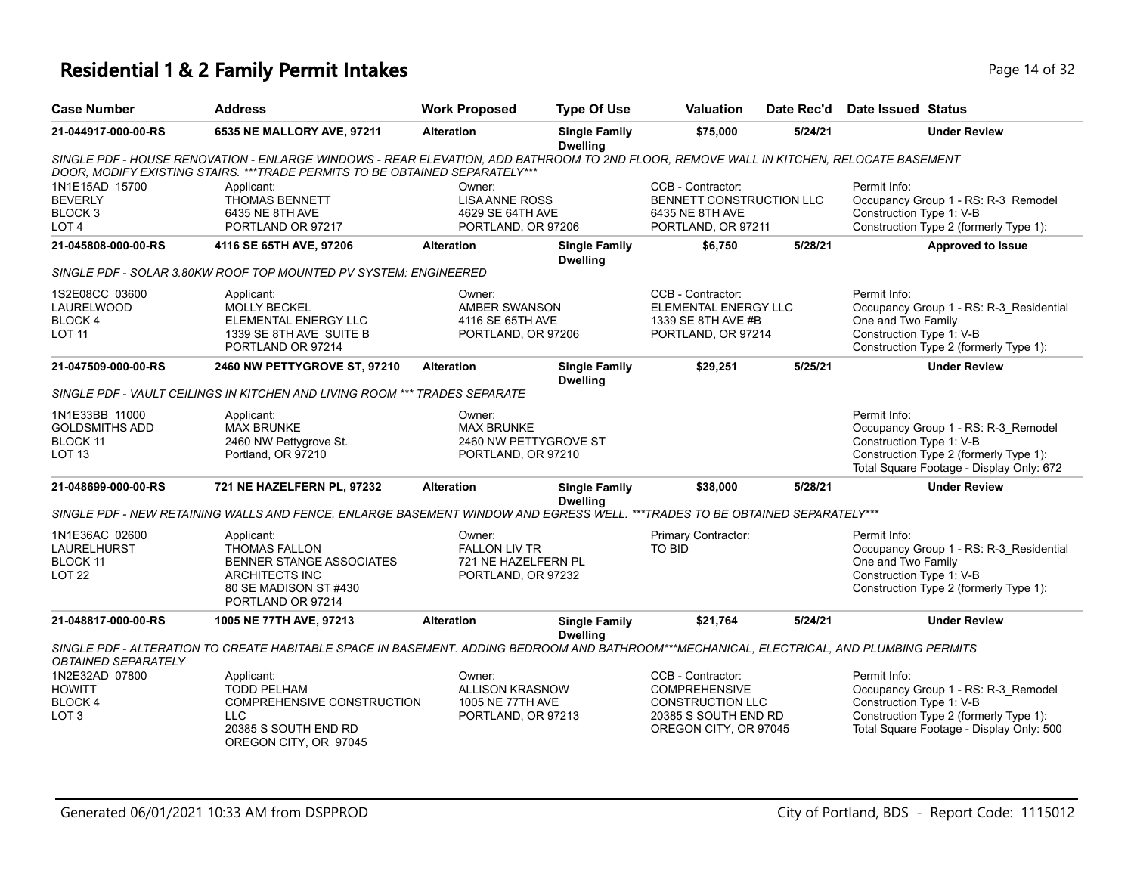#### **Residential 1 & 2 Family Permit Intakes Page 14 of 32** Page 14 of 32

| <b>Case Number</b>          | <b>Address</b>                                                                                                                         | <b>Work Proposed</b>  | <b>Type Of Use</b>                      | <b>Valuation</b>         | Date Rec'd | Date Issued Status       |                                        |
|-----------------------------|----------------------------------------------------------------------------------------------------------------------------------------|-----------------------|-----------------------------------------|--------------------------|------------|--------------------------|----------------------------------------|
| 21-044917-000-00-RS         | 6535 NE MALLORY AVE, 97211                                                                                                             | <b>Alteration</b>     | <b>Single Family</b><br><b>Dwelling</b> | \$75,000                 | 5/24/21    |                          | <b>Under Review</b>                    |
|                             | SINGLE PDF - HOUSE RENOVATION - ENLARGE WINDOWS - REAR ELEVATION, ADD BATHROOM TO 2ND FLOOR, REMOVE WALL IN KITCHEN, RELOCATE BASEMENT |                       |                                         |                          |            |                          |                                        |
|                             | DOOR, MODIFY EXISTING STAIRS, ***TRADE PERMITS TO BE OBTAINED SEPARATELY***                                                            |                       |                                         |                          |            |                          |                                        |
| 1N1E15AD 15700              | Applicant:                                                                                                                             | Owner:                |                                         | CCB - Contractor:        |            | Permit Info:             |                                        |
|                             | <b>THOMAS BENNETT</b>                                                                                                                  | <b>LISA ANNE ROSS</b> |                                         | BENNETT CONSTRUCTION LLC |            |                          | Occupancy Group 1 - RS: R-3 Remodel    |
| BEVERLY                     |                                                                                                                                        |                       |                                         |                          |            |                          |                                        |
|                             | 6435 NE 8TH AVE                                                                                                                        | 4629 SE 64TH AVE      |                                         | 6435 NE 8TH AVE          |            | Construction Type 1: V-B |                                        |
| BLOCK 3<br>LOT <sub>4</sub> | PORTLAND OR 97217                                                                                                                      | PORTLAND, OR 97206    |                                         | PORTLAND, OR 97211       |            |                          | Construction Type 2 (formerly Type 1): |

#### *SINGLE PDF - SOLAR 3.80KW ROOF TOP MOUNTED PV SYSTEM: ENGINEERED*

| 1S2E08CC 03600<br>LAURELWOOD<br>BLOCK 4<br>LOT 11 | Applicant:<br><b>MOLLY BECKEL</b><br>ELEMENTAL ENERGY LLC<br>1339 SE 8TH AVE SUITE B<br>PORTLAND OR 97214 | Owner:<br>AMBER SWANSON<br>4116 SE 65TH AVE<br>PORTLAND, OR 97206 |                                  | CCB - Contractor:<br>ELEMENTAL ENERGY LLC<br>1339 SE 8TH AVE #B<br>PORTLAND, OR 97214 |         | Permit Info:<br>Occupancy Group 1 - RS: R-3 Residential<br>One and Two Family<br>Construction Type 1: V-B<br>Construction Type 2 (formerly Type 1): |  |
|---------------------------------------------------|-----------------------------------------------------------------------------------------------------------|-------------------------------------------------------------------|----------------------------------|---------------------------------------------------------------------------------------|---------|-----------------------------------------------------------------------------------------------------------------------------------------------------|--|
| 21-047509-000-00-RS                               | <b>2460 NW PETTYGROVE ST, 97210</b>                                                                       | <b>Alteration</b>                                                 | <b>Single Family</b><br>Dwelling | \$29.251                                                                              | 5/25/21 | <b>Under Review</b>                                                                                                                                 |  |
|                                                   | SINGLE PDF - VAULT CEILINGS IN KITCHEN AND LIVING ROOM *** TRADES SEPARATE                                |                                                                   |                                  |                                                                                       |         |                                                                                                                                                     |  |
| 1N1E33BB 11000<br>GOLDSMITHS ADD<br>BLOCK 11      | Applicant:<br><b>MAX BRUNKE</b><br>2460 NW Pettygrove St.                                                 | Owner:<br><b>MAX BRUNKE</b><br>2460 NW PETTYGROVE ST              |                                  |                                                                                       |         | Permit Info:<br>Occupancy Group 1 - RS: R-3 Remodel<br>Construction Type 1: V-B                                                                     |  |

#### Construction Type 2 (formerly Type 1): Total Square Footage - Display Only: 672 PORTLAND, OR 97210 Portland, OR 97210 LOT 13 **21-048699-000-00-RS 721 NE HAZELFERN PL, 97232 Alteration Single Family \$38,000 5/28/21 Under Review**

**Dwelling**

*SINGLE PDF - NEW RETAINING WALLS AND FENCE, ENLARGE BASEMENT WINDOW AND EGRESS WELL. \*\*\*TRADES TO BE OBTAINED SEPARATELY\*\*\**

| 1N1E36AC 02600<br>LAURELHURST<br>BLOCK 11<br>LOT 22 | Applicant:<br>THOMAS FALLON<br>BENNER STANGE ASSOCIATES<br>ARCHITECTS INC<br>80 SE MADISON ST #430<br>PORTLAND OR 97214 | Owner:<br><b>FALLON LIV TR</b><br>721 NE HAZELFERN PL<br>PORTLAND, OR 97232 | Primary Contractor:<br>TO BID | Permit Info:<br>Occupancy Group 1 - RS: R-3 Residential<br>One and Two Family<br>Construction Type 1: V-B<br>Construction Type 2 (formerly Type 1): |
|-----------------------------------------------------|-------------------------------------------------------------------------------------------------------------------------|-----------------------------------------------------------------------------|-------------------------------|-----------------------------------------------------------------------------------------------------------------------------------------------------|
|                                                     |                                                                                                                         |                                                                             |                               |                                                                                                                                                     |

**21-048817-000-00-RS 1005 NE 77TH AVE, 97213 Alteration Single Family Dwelling \$21,764 5/24/21 Under Review**

*SINGLE PDF - ALTERATION TO CREATE HABITABLE SPACE IN BASEMENT. ADDING BEDROOM AND BATHROOM\*\*\*MECHANICAL, ELECTRICAL, AND PLUMBING PERMITS OBTAINED SEPARATELY*

| 1N2E32AD 07800   | Applicant:                 | ⊃wner:             | CCB - Contractor:     | Permit Info:                             |
|------------------|----------------------------|--------------------|-----------------------|------------------------------------------|
| <b>HOWITT</b>    | TODD PELHAM                | ALLISON KRASNOW    | <b>COMPREHENSIVE</b>  | Occupancy Group 1 - RS: R-3 Remodel      |
| <b>BLOCK4</b>    | COMPREHENSIVE CONSTRUCTION | 1005 NE 77TH AVE   | CONSTRUCTION LLC      | Construction Type 1: V-B                 |
| LOT <sub>3</sub> |                            | PORTLAND, OR 97213 | 20385 S SOUTH END RD  | Construction Type 2 (formerly Type 1):   |
|                  | 20385 S SOUTH END RD       |                    | OREGON CITY, OR 97045 | Total Square Footage - Display Only: 500 |
|                  | OREGON CITY, OR 97045      |                    |                       |                                          |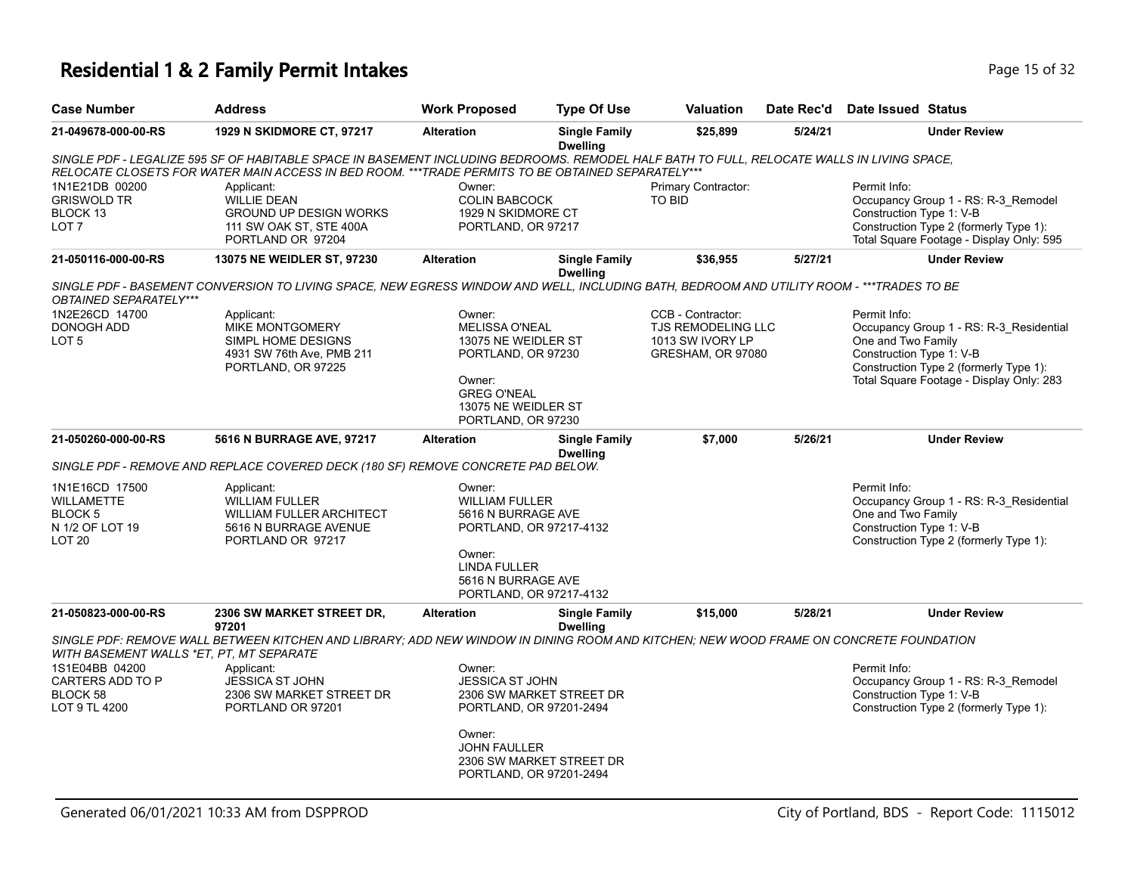# **Residential 1 & 2 Family Permit Intakes Page 15 of 32** Page 15 of 32

| <b>Case Number</b>                       | <b>Address</b>                                                                                                                             | <b>Work Proposed</b>                               | <b>Type Of Use</b>                      | Valuation                              | Date Rec'd | Date Issued Status                                                                 |
|------------------------------------------|--------------------------------------------------------------------------------------------------------------------------------------------|----------------------------------------------------|-----------------------------------------|----------------------------------------|------------|------------------------------------------------------------------------------------|
| 21-049678-000-00-RS                      | <b>1929 N SKIDMORE CT, 97217</b>                                                                                                           | <b>Alteration</b>                                  | <b>Single Family</b><br><b>Dwelling</b> | \$25,899                               | 5/24/21    | <b>Under Review</b>                                                                |
|                                          | SINGLE PDF - LEGALIZE 595 SF OF HABITABLE SPACE IN BASEMENT INCLUDING BEDROOMS. REMODEL HALF BATH TO FULL, RELOCATE WALLS IN LIVING SPACE, |                                                    |                                         |                                        |            |                                                                                    |
| 1N1E21DB 00200                           | RELOCATE CLOSETS FOR WATER MAIN ACCESS IN BED ROOM. ***TRADE PERMITS TO BE OBTAINED SEPARATELY***<br>Applicant:                            | Owner:                                             |                                         | Primary Contractor:                    |            | Permit Info:                                                                       |
| <b>GRISWOLD TR</b><br>BLOCK 13           | <b>WILLIE DEAN</b><br><b>GROUND UP DESIGN WORKS</b>                                                                                        | <b>COLIN BABCOCK</b><br>1929 N SKIDMORE CT         |                                         | <b>TO BID</b>                          |            | Occupancy Group 1 - RS: R-3_Remodel<br>Construction Type 1: V-B                    |
| LOT <sub>7</sub>                         | 111 SW OAK ST, STE 400A<br>PORTLAND OR 97204                                                                                               | PORTLAND, OR 97217                                 |                                         |                                        |            | Construction Type 2 (formerly Type 1):<br>Total Square Footage - Display Only: 595 |
| 21-050116-000-00-RS                      | 13075 NE WEIDLER ST, 97230                                                                                                                 | <b>Alteration</b>                                  | <b>Single Family</b><br><b>Dwelling</b> | \$36,955                               | 5/27/21    | <b>Under Review</b>                                                                |
| OBTAINED SEPARATELY***                   | SINGLE PDF - BASEMENT CONVERSION TO LIVING SPACE, NEW EGRESS WINDOW AND WELL, INCLUDING BATH, BEDROOM AND UTILITY ROOM - ***TRADES TO BE   |                                                    |                                         |                                        |            |                                                                                    |
| 1N2E26CD 14700                           | Applicant:                                                                                                                                 | Owner:                                             |                                         | CCB - Contractor:                      |            | Permit Info:                                                                       |
| DONOGH ADD<br>LOT <sub>5</sub>           | MIKE MONTGOMERY<br>SIMPL HOME DESIGNS                                                                                                      | <b>MELISSA O'NEAL</b><br>13075 NE WEIDLER ST       |                                         | TJS REMODELING LLC<br>1013 SW IVORY LP |            | Occupancy Group 1 - RS: R-3_Residential<br>One and Two Family                      |
|                                          | 4931 SW 76th Ave, PMB 211                                                                                                                  | PORTLAND, OR 97230                                 |                                         | GRESHAM, OR 97080                      |            | Construction Type 1: V-B                                                           |
|                                          | PORTLAND, OR 97225                                                                                                                         | Owner:                                             |                                         |                                        |            | Construction Type 2 (formerly Type 1):<br>Total Square Footage - Display Only: 283 |
|                                          |                                                                                                                                            | <b>GREG O'NEAL</b>                                 |                                         |                                        |            |                                                                                    |
|                                          |                                                                                                                                            | 13075 NE WEIDLER ST<br>PORTLAND, OR 97230          |                                         |                                        |            |                                                                                    |
| 21-050260-000-00-RS                      | 5616 N BURRAGE AVE, 97217                                                                                                                  | <b>Alteration</b>                                  | <b>Single Family</b><br><b>Dwelling</b> | \$7,000                                | 5/26/21    | <b>Under Review</b>                                                                |
|                                          | SINGLE PDF - REMOVE AND REPLACE COVERED DECK (180 SF) REMOVE CONCRETE PAD BELOW.                                                           |                                                    |                                         |                                        |            |                                                                                    |
| 1N1E16CD 17500                           | Applicant:                                                                                                                                 | Owner:                                             |                                         |                                        |            | Permit Info:                                                                       |
| WILLAMETTE<br>BLOCK <sub>5</sub>         | <b>WILLIAM FULLER</b><br><b>WILLIAM FULLER ARCHITECT</b>                                                                                   | <b>WILLIAM FULLER</b><br>5616 N BURRAGE AVE        |                                         |                                        |            | Occupancy Group 1 - RS: R-3_Residential<br>One and Two Family                      |
| N 1/2 OF LOT 19                          | 5616 N BURRAGE AVENUE                                                                                                                      | PORTLAND, OR 97217-4132                            |                                         |                                        |            | Construction Type 1: V-B                                                           |
| LOT <sub>20</sub>                        | PORTLAND OR 97217                                                                                                                          | Owner:                                             |                                         |                                        |            | Construction Type 2 (formerly Type 1):                                             |
|                                          |                                                                                                                                            | <b>LINDA FULLER</b>                                |                                         |                                        |            |                                                                                    |
|                                          |                                                                                                                                            | 5616 N BURRAGE AVE<br>PORTLAND, OR 97217-4132      |                                         |                                        |            |                                                                                    |
| 21-050823-000-00-RS                      | 2306 SW MARKET STREET DR,<br>97201                                                                                                         | <b>Alteration</b>                                  | <b>Single Family</b><br><b>Dwelling</b> | \$15,000                               | 5/28/21    | <b>Under Review</b>                                                                |
| WITH BASEMENT WALLS *ET, PT, MT SEPARATE | SINGLE PDF: REMOVE WALL BETWEEN KITCHEN AND LIBRARY; ADD NEW WINDOW IN DINING ROOM AND KITCHEN; NEW WOOD FRAME ON CONCRETE FOUNDATION      |                                                    |                                         |                                        |            |                                                                                    |
| 1S1E04BB 04200                           | Applicant:                                                                                                                                 | Owner:                                             |                                         |                                        |            | Permit Info:                                                                       |
| CARTERS ADD TO P<br>BLOCK 58             | <b>JESSICA ST JOHN</b><br>2306 SW MARKET STREET DR                                                                                         | <b>JESSICA ST JOHN</b><br>2306 SW MARKET STREET DR |                                         |                                        |            | Occupancy Group 1 - RS: R-3_Remodel<br>Construction Type 1: V-B                    |
| LOT 9 TL 4200                            | PORTLAND OR 97201                                                                                                                          | PORTLAND, OR 97201-2494                            |                                         |                                        |            | Construction Type 2 (formerly Type 1):                                             |
|                                          |                                                                                                                                            | Owner:<br><b>JOHN FAULLER</b>                      |                                         |                                        |            |                                                                                    |
|                                          |                                                                                                                                            | 2306 SW MARKET STREET DR                           |                                         |                                        |            |                                                                                    |
|                                          |                                                                                                                                            | PORTLAND, OR 97201-2494                            |                                         |                                        |            |                                                                                    |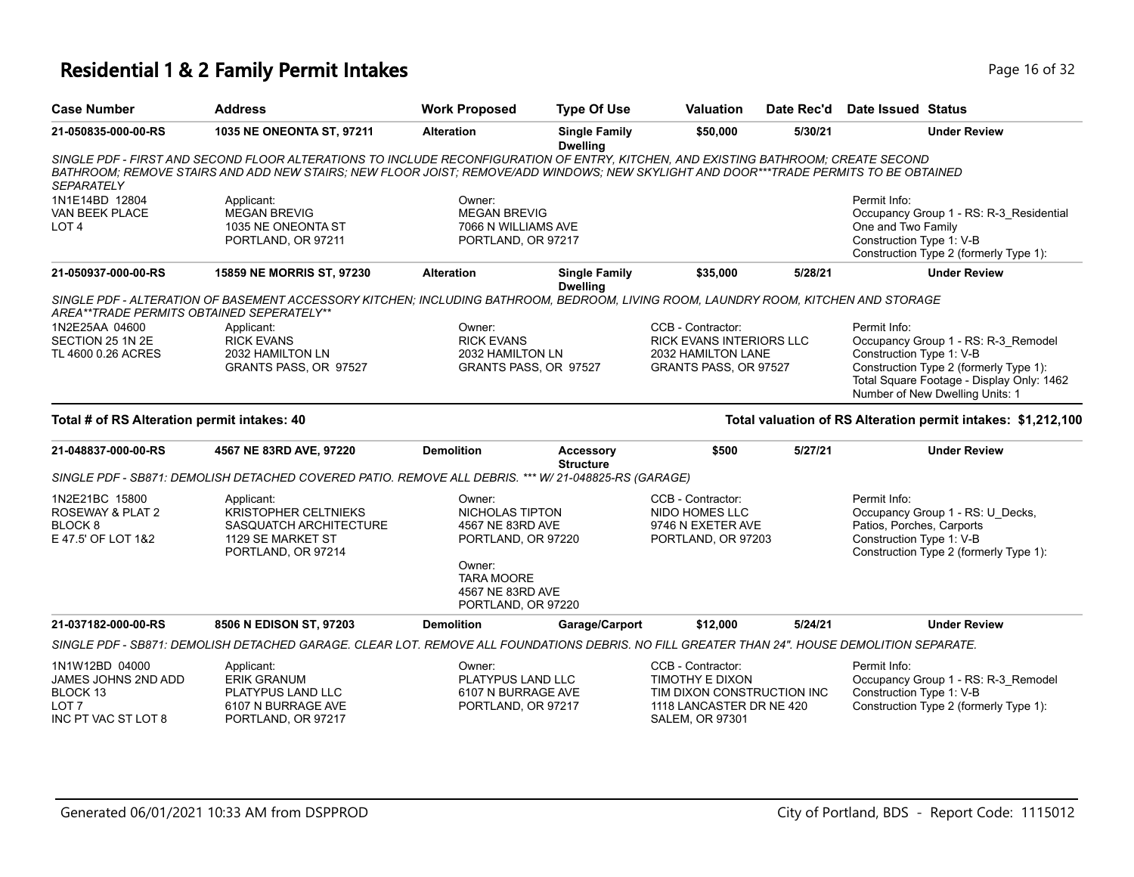# **Residential 1 & 2 Family Permit Intakes Page 16 of 32** Page 16 of 32

| <b>Case Number</b>                                                                           | <b>Address</b>                                                                                                                                                                                                                                                              | <b>Work Proposed</b>                                                                                                                         | <b>Type Of Use</b>                      | Valuation                                                                                                                | Date Rec'd | <b>Date Issued Status</b>                                                                                                                                                                                 |
|----------------------------------------------------------------------------------------------|-----------------------------------------------------------------------------------------------------------------------------------------------------------------------------------------------------------------------------------------------------------------------------|----------------------------------------------------------------------------------------------------------------------------------------------|-----------------------------------------|--------------------------------------------------------------------------------------------------------------------------|------------|-----------------------------------------------------------------------------------------------------------------------------------------------------------------------------------------------------------|
| 21-050835-000-00-RS                                                                          | 1035 NE ONEONTA ST, 97211                                                                                                                                                                                                                                                   | <b>Alteration</b>                                                                                                                            | <b>Single Family</b><br><b>Dwelling</b> | \$50,000                                                                                                                 | 5/30/21    | <b>Under Review</b>                                                                                                                                                                                       |
| <b>SEPARATELY</b>                                                                            | SINGLE PDF - FIRST AND SECOND FLOOR ALTERATIONS TO INCLUDE RECONFIGURATION OF ENTRY, KITCHEN, AND EXISTING BATHROOM; CREATE SECOND<br>BATHROOM; REMOVE STAIRS AND ADD NEW STAIRS; NEW FLOOR JOIST; REMOVE/ADD WINDOWS; NEW SKYLIGHT AND DOOR***TRADE PERMITS TO BE OBTAINED |                                                                                                                                              |                                         |                                                                                                                          |            |                                                                                                                                                                                                           |
| 1N1E14BD 12804<br>VAN BEEK PLACE<br>LOT <sub>4</sub>                                         | Applicant:<br><b>MEGAN BREVIG</b><br>1035 NE ONEONTA ST<br>PORTLAND, OR 97211                                                                                                                                                                                               | Owner:<br><b>MEGAN BREVIG</b><br>7066 N WILLIAMS AVE<br>PORTLAND, OR 97217                                                                   |                                         |                                                                                                                          |            | Permit Info:<br>Occupancy Group 1 - RS: R-3_Residential<br>One and Two Family<br>Construction Type 1: V-B<br>Construction Type 2 (formerly Type 1):                                                       |
| 21-050937-000-00-RS                                                                          | 15859 NE MORRIS ST, 97230                                                                                                                                                                                                                                                   | <b>Alteration</b>                                                                                                                            | <b>Single Family</b><br><b>Dwelling</b> | \$35,000                                                                                                                 | 5/28/21    | <b>Under Review</b>                                                                                                                                                                                       |
| AREA**TRADE PERMITS OBTAINED SEPERATELY**                                                    | SINGLE PDF - ALTERATION OF BASEMENT ACCESSORY KITCHEN: INCLUDING BATHROOM, BEDROOM, LIVING ROOM, LAUNDRY ROOM, KITCHEN AND STORAGE                                                                                                                                          |                                                                                                                                              |                                         |                                                                                                                          |            |                                                                                                                                                                                                           |
| 1N2E25AA 04600<br>SECTION 25 1N 2E<br>TL 4600 0.26 ACRES                                     | Applicant:<br><b>RICK EVANS</b><br>2032 HAMILTON LN<br>GRANTS PASS, OR 97527                                                                                                                                                                                                | Owner:<br><b>RICK EVANS</b><br>2032 HAMILTON LN<br>GRANTS PASS, OR 97527                                                                     |                                         | CCB - Contractor:<br><b>RICK EVANS INTERIORS LLC</b><br>2032 HAMILTON LANE<br>GRANTS PASS, OR 97527                      |            | Permit Info:<br>Occupancy Group 1 - RS: R-3_Remodel<br>Construction Type 1: V-B<br>Construction Type 2 (formerly Type 1):<br>Total Square Footage - Display Only: 1462<br>Number of New Dwelling Units: 1 |
| Total # of RS Alteration permit intakes: 40                                                  |                                                                                                                                                                                                                                                                             |                                                                                                                                              |                                         |                                                                                                                          |            | Total valuation of RS Alteration permit intakes: \$1,212,100                                                                                                                                              |
| 21-048837-000-00-RS                                                                          | 4567 NE 83RD AVE, 97220                                                                                                                                                                                                                                                     | <b>Demolition</b>                                                                                                                            | Accessory<br><b>Structure</b>           | \$500                                                                                                                    | 5/27/21    | <b>Under Review</b>                                                                                                                                                                                       |
|                                                                                              | SINGLE PDF - SB871: DEMOLISH DETACHED COVERED PATIO. REMOVE ALL DEBRIS. *** W/ 21-048825-RS (GARAGE)                                                                                                                                                                        |                                                                                                                                              |                                         |                                                                                                                          |            |                                                                                                                                                                                                           |
| 1N2E21BC 15800<br>ROSEWAY & PLAT 2<br><b>BLOCK 8</b><br>E 47.5' OF LOT 1&2                   | Applicant:<br><b>KRISTOPHER CELTNIEKS</b><br>SASQUATCH ARCHITECTURE<br>1129 SE MARKET ST<br>PORTLAND, OR 97214                                                                                                                                                              | Owner:<br>NICHOLAS TIPTON<br>4567 NE 83RD AVE<br>PORTLAND, OR 97220<br>Owner:<br><b>TARA MOORE</b><br>4567 NE 83RD AVE<br>PORTLAND, OR 97220 |                                         | CCB - Contractor:<br>NIDO HOMES LLC<br>9746 N EXETER AVE<br>PORTLAND, OR 97203                                           |            | Permit Info:<br>Occupancy Group 1 - RS: U_Decks,<br>Patios, Porches, Carports<br>Construction Type 1: V-B<br>Construction Type 2 (formerly Type 1):                                                       |
| 21-037182-000-00-RS                                                                          | 8506 N EDISON ST, 97203                                                                                                                                                                                                                                                     | <b>Demolition</b>                                                                                                                            | Garage/Carport                          | \$12,000                                                                                                                 | 5/24/21    | <b>Under Review</b>                                                                                                                                                                                       |
|                                                                                              | SINGLE PDF - SB871: DEMOLISH DETACHED GARAGE. CLEAR LOT. REMOVE ALL FOUNDATIONS DEBRIS. NO FILL GREATER THAN 24". HOUSE DEMOLITION SEPARATE.                                                                                                                                |                                                                                                                                              |                                         |                                                                                                                          |            |                                                                                                                                                                                                           |
| 1N1W12BD 04000<br>JAMES JOHNS 2ND ADD<br>BLOCK 13<br>LOT <sub>7</sub><br>INC PT VAC ST LOT 8 | Applicant:<br><b>ERIK GRANUM</b><br>PLATYPUS LAND LLC<br>6107 N BURRAGE AVE<br>PORTLAND, OR 97217                                                                                                                                                                           | Owner:<br>PLATYPUS LAND LLC<br>6107 N BURRAGE AVE<br>PORTLAND, OR 97217                                                                      |                                         | CCB - Contractor:<br>TIMOTHY E DIXON<br>TIM DIXON CONSTRUCTION INC<br>1118 LANCASTER DR NE 420<br><b>SALEM, OR 97301</b> |            | Permit Info:<br>Occupancy Group 1 - RS: R-3_Remodel<br>Construction Type 1: V-B<br>Construction Type 2 (formerly Type 1):                                                                                 |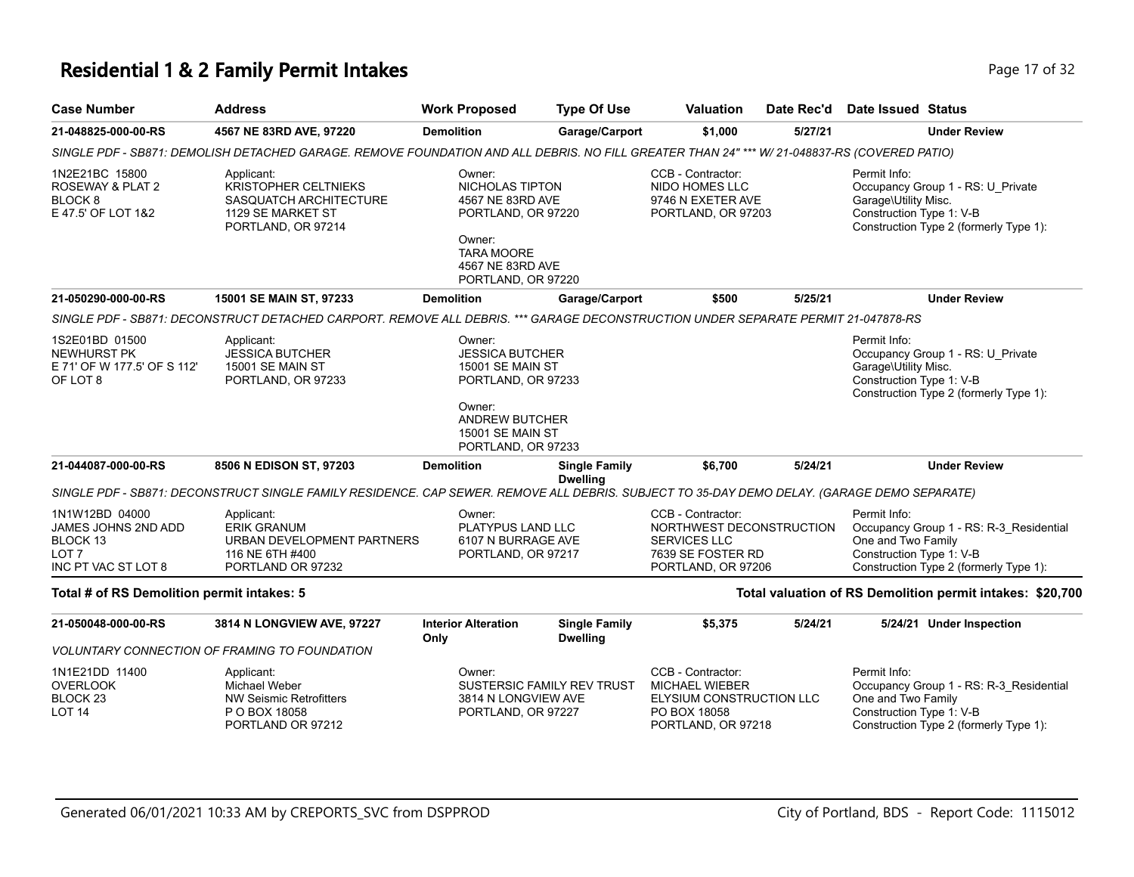## **Residential 1 & 2 Family Permit Intakes Page 17 of 32 Page 17 of 32**

| <b>Case Number</b>                                                                           | <b>Address</b>                                                                                                                               | <b>Work Proposed</b>                                                                                                                                    | <b>Type Of Use</b>                      | <b>Valuation</b>                                                                                         | Date Rec'd | Date Issued Status                                                                                                                                  |
|----------------------------------------------------------------------------------------------|----------------------------------------------------------------------------------------------------------------------------------------------|---------------------------------------------------------------------------------------------------------------------------------------------------------|-----------------------------------------|----------------------------------------------------------------------------------------------------------|------------|-----------------------------------------------------------------------------------------------------------------------------------------------------|
| 21-048825-000-00-RS                                                                          | 4567 NE 83RD AVE, 97220                                                                                                                      | <b>Demolition</b>                                                                                                                                       | Garage/Carport                          | \$1,000                                                                                                  | 5/27/21    | <b>Under Review</b>                                                                                                                                 |
|                                                                                              | SINGLE PDF - SB871: DEMOLISH DETACHED GARAGE. REMOVE FOUNDATION AND ALL DEBRIS. NO FILL GREATER THAN 24" *** W/ 21-048837-RS (COVERED PATIO) |                                                                                                                                                         |                                         |                                                                                                          |            |                                                                                                                                                     |
| 1N2E21BC 15800<br>ROSEWAY & PLAT 2<br>BLOCK 8<br>E 47.5' OF LOT 1&2                          | Applicant:<br><b>KRISTOPHER CELTNIEKS</b><br><b>SASQUATCH ARCHITECTURE</b><br>1129 SE MARKET ST<br>PORTLAND, OR 97214                        | Owner:<br>NICHOLAS TIPTON<br>4567 NE 83RD AVE<br>PORTLAND, OR 97220<br>Owner:<br><b>TARA MOORE</b><br>4567 NE 83RD AVE<br>PORTLAND, OR 97220            |                                         | CCB - Contractor:<br>NIDO HOMES LLC<br>9746 N EXETER AVE<br>PORTLAND, OR 97203                           |            | Permit Info:<br>Occupancy Group 1 - RS: U Private<br>Garage\Utility Misc.<br>Construction Type 1: V-B<br>Construction Type 2 (formerly Type 1):     |
| 21-050290-000-00-RS                                                                          | 15001 SE MAIN ST, 97233                                                                                                                      | <b>Demolition</b>                                                                                                                                       | Garage/Carport                          | \$500                                                                                                    | 5/25/21    | <b>Under Review</b>                                                                                                                                 |
|                                                                                              | SINGLE PDF - SB871: DECONSTRUCT DETACHED CARPORT. REMOVE ALL DEBRIS. *** GARAGE DECONSTRUCTION UNDER SEPARATE PERMIT 21-047878-RS            |                                                                                                                                                         |                                         |                                                                                                          |            |                                                                                                                                                     |
| 1S2E01BD 01500<br><b>NEWHURST PK</b><br>E 71' OF W 177.5' OF S 112'<br>OF LOT 8              | Applicant:<br><b>JESSICA BUTCHER</b><br>15001 SE MAIN ST<br>PORTLAND, OR 97233                                                               | Owner:<br><b>JESSICA BUTCHER</b><br>15001 SE MAIN ST<br>PORTLAND, OR 97233<br>Owner:<br>ANDREW BUTCHER<br><b>15001 SE MAIN ST</b><br>PORTLAND, OR 97233 |                                         |                                                                                                          |            | Permit Info:<br>Occupancy Group 1 - RS: U_Private<br>Garage\Utility Misc.<br>Construction Type 1: V-B<br>Construction Type 2 (formerly Type 1):     |
| 21-044087-000-00-RS                                                                          | 8506 N EDISON ST, 97203                                                                                                                      | <b>Demolition</b>                                                                                                                                       | <b>Single Family</b>                    | \$6,700                                                                                                  | 5/24/21    | <b>Under Review</b>                                                                                                                                 |
|                                                                                              | SINGLE PDF - SB871: DECONSTRUCT SINGLE FAMILY RESIDENCE. CAP SEWER. REMOVE ALL DEBRIS. SUBJECT TO 35-DAY DEMO DELAY. (GARAGE DEMO SEPARATE)  |                                                                                                                                                         | <b>Dwelling</b>                         |                                                                                                          |            |                                                                                                                                                     |
| 1N1W12BD 04000<br>JAMES JOHNS 2ND ADD<br>BLOCK 13<br>LOT <sub>7</sub><br>INC PT VAC ST LOT 8 | Applicant:<br><b>ERIK GRANUM</b><br>URBAN DEVELOPMENT PARTNERS<br>116 NE 6TH #400<br>PORTLAND OR 97232                                       | Owner:<br>PLATYPUS LAND LLC<br>6107 N BURRAGE AVE<br>PORTLAND, OR 97217                                                                                 |                                         | CCB - Contractor:<br>NORTHWEST DECONSTRUCTION<br>SERVICES LLC<br>7639 SE FOSTER RD<br>PORTLAND, OR 97206 |            | Permit Info:<br>Occupancy Group 1 - RS: R-3_Residential<br>One and Two Family<br>Construction Type 1: V-B<br>Construction Type 2 (formerly Type 1): |
| Total # of RS Demolition permit intakes: 5                                                   |                                                                                                                                              |                                                                                                                                                         |                                         |                                                                                                          |            | Total valuation of RS Demolition permit intakes: \$20,700                                                                                           |
| 21-050048-000-00-RS                                                                          | 3814 N LONGVIEW AVE, 97227                                                                                                                   | <b>Interior Alteration</b><br>Only                                                                                                                      | <b>Single Family</b><br><b>Dwelling</b> | \$5,375                                                                                                  | 5/24/21    | 5/24/21 Under Inspection                                                                                                                            |
|                                                                                              | <b>VOLUNTARY CONNECTION OF FRAMING TO FOUNDATION</b>                                                                                         |                                                                                                                                                         |                                         |                                                                                                          |            |                                                                                                                                                     |
| 1N1E21DD 11400<br><b>OVERLOOK</b><br>BLOCK <sub>23</sub><br>LOT <sub>14</sub>                | Applicant:<br><b>Michael Weber</b><br><b>NW Seismic Retrofitters</b><br>P O BOX 18058<br>PORTLAND OR 97212                                   | Owner:<br>3814 N LONGVIEW AVE<br>PORTLAND, OR 97227                                                                                                     | SUSTERSIC FAMILY REV TRUST              | CCB - Contractor:<br>MICHAEL WIEBER<br>ELYSIUM CONSTRUCTION LLC<br>PO BOX 18058<br>PORTLAND, OR 97218    |            | Permit Info:<br>Occupancy Group 1 - RS: R-3_Residential<br>One and Two Family<br>Construction Type 1: V-B<br>Construction Type 2 (formerly Type 1): |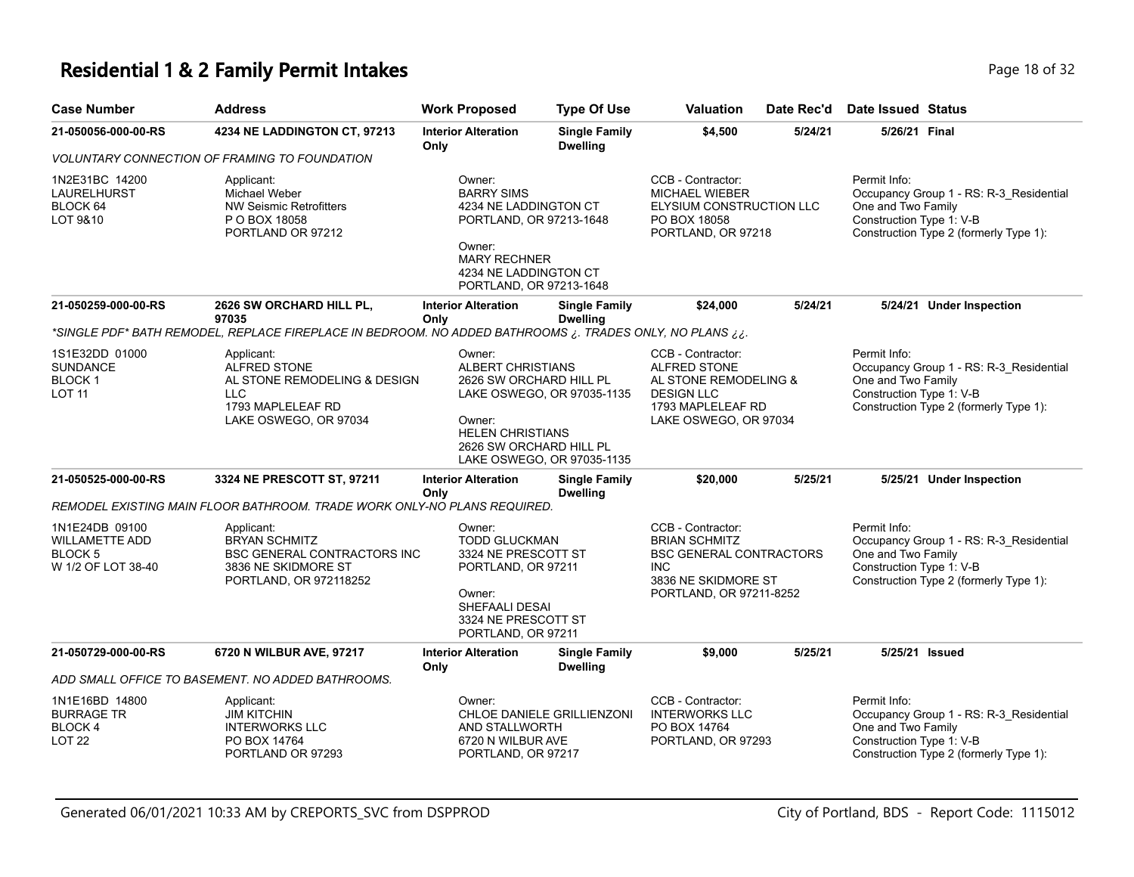#### **Residential 1 & 2 Family Permit Intakes Page 18 of 32** Page 18 of 32

| <b>Case Number</b>                                                       | <b>Address</b>                                                                                                            | <b>Work Proposed</b>                                                                                                                      | <b>Type Of Use</b>                                                                                                               | Valuation                                                                                                                     | Date Rec'd                                                                       | <b>Date Issued Status</b>                                      |                                                                                   |
|--------------------------------------------------------------------------|---------------------------------------------------------------------------------------------------------------------------|-------------------------------------------------------------------------------------------------------------------------------------------|----------------------------------------------------------------------------------------------------------------------------------|-------------------------------------------------------------------------------------------------------------------------------|----------------------------------------------------------------------------------|----------------------------------------------------------------|-----------------------------------------------------------------------------------|
| 21-050056-000-00-RS                                                      | 4234 NE LADDINGTON CT, 97213                                                                                              | <b>Interior Alteration</b><br>Only                                                                                                        | <b>Single Family</b><br><b>Dwelling</b>                                                                                          | \$4,500                                                                                                                       | 5/24/21                                                                          | 5/26/21 Final                                                  |                                                                                   |
|                                                                          | <b>VOLUNTARY CONNECTION OF FRAMING TO FOUNDATION</b>                                                                      |                                                                                                                                           |                                                                                                                                  |                                                                                                                               |                                                                                  |                                                                |                                                                                   |
| 1N2E31BC 14200<br>LAURELHURST<br>BLOCK 64<br>LOT 9&10                    | Applicant:<br>Michael Weber<br><b>NW Seismic Retrofitters</b><br>P O BOX 18058<br>PORTLAND OR 97212                       | Owner:<br><b>BARRY SIMS</b><br>4234 NE LADDINGTON CT<br>PORTLAND, OR 97213-1648<br>Owner:<br><b>MARY RECHNER</b><br>4234 NE LADDINGTON CT |                                                                                                                                  | CCB - Contractor:<br><b>MICHAEL WIEBER</b><br>ELYSIUM CONSTRUCTION LLC<br>PO BOX 18058<br>PORTLAND, OR 97218                  |                                                                                  | Permit Info:<br>One and Two Family<br>Construction Type 1: V-B | Occupancy Group 1 - RS: R-3_Residential<br>Construction Type 2 (formerly Type 1): |
|                                                                          |                                                                                                                           | PORTLAND, OR 97213-1648                                                                                                                   |                                                                                                                                  |                                                                                                                               |                                                                                  |                                                                |                                                                                   |
| 21-050259-000-00-RS                                                      | 2626 SW ORCHARD HILL PL.<br>97035                                                                                         | <b>Interior Alteration</b><br>Only                                                                                                        | <b>Single Family</b><br><b>Dwelling</b>                                                                                          | \$24,000                                                                                                                      | 5/24/21                                                                          |                                                                | 5/24/21 Under Inspection                                                          |
|                                                                          | *SINGLE PDF* BATH REMODEL, REPLACE FIREPLACE IN BEDROOM. NO ADDED BATHROOMS ¿. TRADES ONLY, NO PLANS ¿¿.                  |                                                                                                                                           |                                                                                                                                  |                                                                                                                               |                                                                                  |                                                                |                                                                                   |
| 1S1E32DD 01000<br><b>SUNDANCE</b><br><b>BLOCK1</b><br>LOT 11             | Applicant:<br>ALFRED STONE<br>AL STONE REMODELING & DESIGN<br><b>LLC</b><br>1793 MAPLELEAF RD<br>LAKE OSWEGO, OR 97034    | Owner:<br>ALBERT CHRISTIANS<br>2626 SW ORCHARD HILL PL<br>Owner:<br><b>HELEN CHRISTIANS</b><br>2626 SW ORCHARD HILL PL                    | LAKE OSWEGO, OR 97035-1135<br>LAKE OSWEGO, OR 97035-1135                                                                         | CCB - Contractor:<br>ALFRED STONE<br>AL STONE REMODELING &<br><b>DESIGN LLC</b><br>1793 MAPLELEAF RD<br>LAKE OSWEGO, OR 97034 |                                                                                  | Permit Info:<br>One and Two Family<br>Construction Type 1: V-B | Occupancy Group 1 - RS: R-3_Residential<br>Construction Type 2 (formerly Type 1): |
| 21-050525-000-00-RS                                                      | 3324 NE PRESCOTT ST, 97211                                                                                                | <b>Interior Alteration</b><br>Only                                                                                                        | <b>Single Family</b><br><b>Dwelling</b>                                                                                          | \$20,000                                                                                                                      | 5/25/21                                                                          |                                                                | 5/25/21 Under Inspection                                                          |
|                                                                          | REMODEL EXISTING MAIN FLOOR BATHROOM. TRADE WORK ONLY-NO PLANS REQUIRED.                                                  |                                                                                                                                           |                                                                                                                                  |                                                                                                                               |                                                                                  |                                                                |                                                                                   |
| 1N1E24DB 09100<br><b>WILLAMETTE ADD</b><br>BLOCK 5<br>W 1/2 OF LOT 38-40 | Applicant:<br><b>BRYAN SCHMITZ</b><br><b>BSC GENERAL CONTRACTORS INC</b><br>3836 NE SKIDMORE ST<br>PORTLAND, OR 972118252 | Owner:<br>Owner:                                                                                                                          | <b>TODD GLUCKMAN</b><br>3324 NE PRESCOTT ST<br>PORTLAND, OR 97211<br>SHEFAALI DESAI<br>3324 NE PRESCOTT ST<br>PORTLAND, OR 97211 |                                                                                                                               | <b>BSC GENERAL CONTRACTORS</b><br>3836 NE SKIDMORE ST<br>PORTLAND, OR 97211-8252 | Permit Info:<br>One and Two Family<br>Construction Type 1: V-B | Occupancy Group 1 - RS: R-3_Residential<br>Construction Type 2 (formerly Type 1): |
| 21-050729-000-00-RS                                                      | 6720 N WILBUR AVE, 97217                                                                                                  | <b>Interior Alteration</b><br>Only                                                                                                        | <b>Single Family</b><br><b>Dwelling</b>                                                                                          | \$9,000                                                                                                                       | 5/25/21                                                                          | 5/25/21 Issued                                                 |                                                                                   |
|                                                                          | ADD SMALL OFFICE TO BASEMENT. NO ADDED BATHROOMS.                                                                         |                                                                                                                                           |                                                                                                                                  |                                                                                                                               |                                                                                  |                                                                |                                                                                   |
| 1N1E16BD 14800<br><b>BURRAGE TR</b><br>BLOCK 4<br>LOT <sub>22</sub>      | Applicant:<br><b>JIM KITCHIN</b><br><b>INTERWORKS LLC</b><br>PO BOX 14764<br>PORTLAND OR 97293                            | Owner:<br>AND STALLWORTH<br>6720 N WILBUR AVE<br>PORTLAND, OR 97217                                                                       | CHLOE DANIELE GRILLIENZONI                                                                                                       | CCB - Contractor:<br><b>INTERWORKS LLC</b><br>PO BOX 14764<br>PORTLAND, OR 97293                                              |                                                                                  | Permit Info:<br>One and Two Family<br>Construction Type 1: V-B | Occupancy Group 1 - RS: R-3_Residential<br>Construction Type 2 (formerly Type 1): |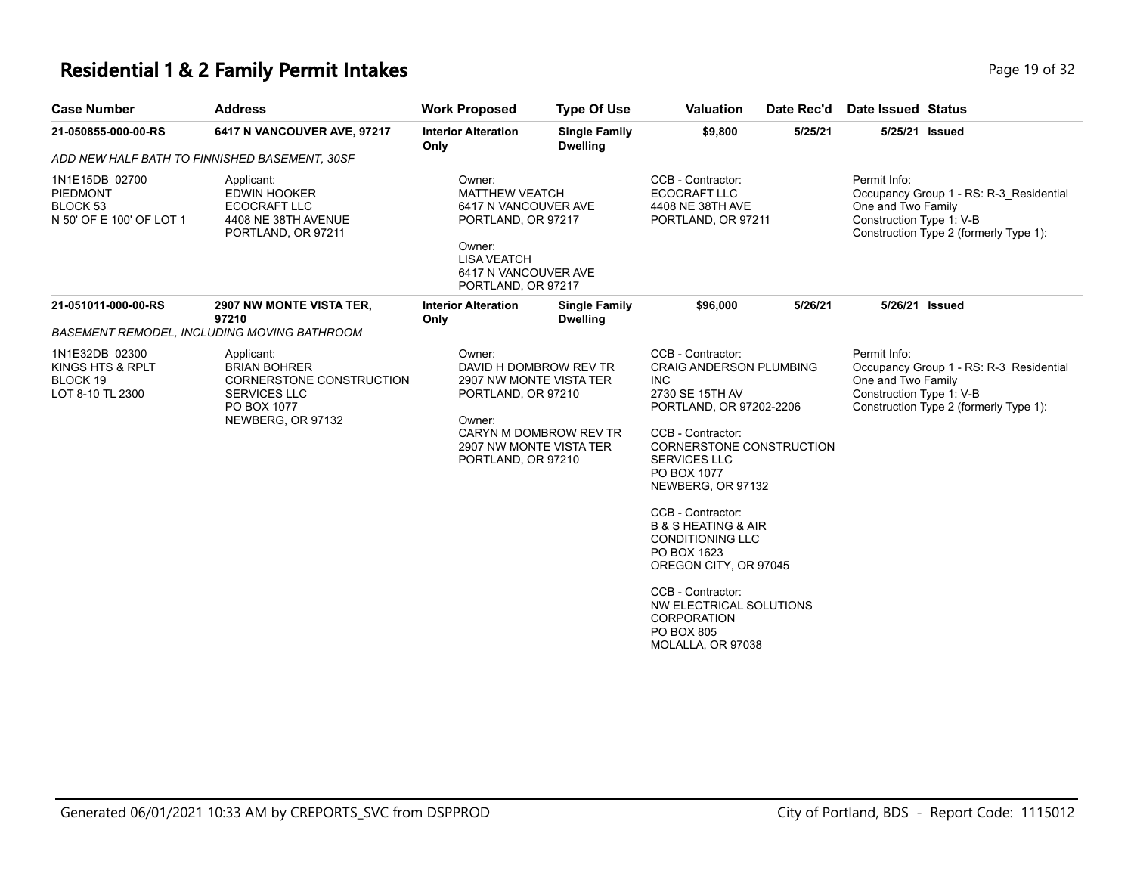#### **Residential 1 & 2 Family Permit Intakes Page 19 of 32** Page 19 of 32

| <b>Case Number</b>                                                        | <b>Address</b>                                                                                                           | <b>Work Proposed</b>                                                                                                                                                   | <b>Type Of Use</b>                      | <b>Valuation</b>                                                                                                                                                                                                                                                                                                                                                                                                                                                          | Date Rec'd | <b>Date Issued Status</b>                                      |                                                                                   |
|---------------------------------------------------------------------------|--------------------------------------------------------------------------------------------------------------------------|------------------------------------------------------------------------------------------------------------------------------------------------------------------------|-----------------------------------------|---------------------------------------------------------------------------------------------------------------------------------------------------------------------------------------------------------------------------------------------------------------------------------------------------------------------------------------------------------------------------------------------------------------------------------------------------------------------------|------------|----------------------------------------------------------------|-----------------------------------------------------------------------------------|
| 21-050855-000-00-RS                                                       | 6417 N VANCOUVER AVE, 97217                                                                                              | <b>Interior Alteration</b><br>Only                                                                                                                                     | <b>Single Family</b><br><b>Dwelling</b> | \$9,800                                                                                                                                                                                                                                                                                                                                                                                                                                                                   | 5/25/21    | 5/25/21 Issued                                                 |                                                                                   |
| ADD NEW HALF BATH TO FINNISHED BASEMENT, 30SF                             |                                                                                                                          |                                                                                                                                                                        |                                         |                                                                                                                                                                                                                                                                                                                                                                                                                                                                           |            |                                                                |                                                                                   |
| 1N1E15DB 02700<br><b>PIEDMONT</b><br>BLOCK 53<br>N 50' OF E 100' OF LOT 1 | Applicant:<br><b>EDWIN HOOKER</b><br>ECOCRAFT LLC<br>4408 NE 38TH AVENUE<br>PORTLAND, OR 97211                           | Owner:<br><b>MATTHEW VEATCH</b><br>6417 N VANCOUVER AVE<br>PORTLAND, OR 97217<br>Owner:<br><b>LISA VEATCH</b><br>6417 N VANCOUVER AVE<br>PORTLAND, OR 97217            |                                         | CCB - Contractor:<br><b>ECOCRAFT LLC</b><br>4408 NE 38TH AVE<br>PORTLAND, OR 97211                                                                                                                                                                                                                                                                                                                                                                                        |            | Permit Info:<br>One and Two Family<br>Construction Type 1: V-B | Occupancy Group 1 - RS: R-3 Residential<br>Construction Type 2 (formerly Type 1): |
| 21-051011-000-00-RS                                                       | 2907 NW MONTE VISTA TER,<br>97210                                                                                        | <b>Interior Alteration</b><br>Only                                                                                                                                     | <b>Single Family</b><br><b>Dwelling</b> | \$96,000                                                                                                                                                                                                                                                                                                                                                                                                                                                                  | 5/26/21    |                                                                | 5/26/21 Issued                                                                    |
|                                                                           | <b>BASEMENT REMODEL, INCLUDING MOVING BATHROOM</b>                                                                       |                                                                                                                                                                        |                                         |                                                                                                                                                                                                                                                                                                                                                                                                                                                                           |            |                                                                |                                                                                   |
| 1N1E32DB 02300<br>KINGS HTS & RPLT<br>BLOCK 19<br>LOT 8-10 TL 2300        | Applicant:<br><b>BRIAN BOHRER</b><br>CORNERSTONE CONSTRUCTION<br><b>SERVICES LLC</b><br>PO BOX 1077<br>NEWBERG, OR 97132 | Owner:<br>DAVID H DOMBROW REV TR<br>2907 NW MONTE VISTA TER<br>PORTLAND, OR 97210<br>Owner:<br>CARYN M DOMBROW REV TR<br>2907 NW MONTE VISTA TER<br>PORTLAND, OR 97210 |                                         | CCB - Contractor:<br><b>CRAIG ANDERSON PLUMBING</b><br><b>INC</b><br>2730 SE 15TH AV<br>PORTLAND, OR 97202-2206<br>CCB - Contractor:<br>CORNERSTONE CONSTRUCTION<br><b>SERVICES LLC</b><br>PO BOX 1077<br>NEWBERG, OR 97132<br>CCB - Contractor:<br><b>B &amp; S HEATING &amp; AIR</b><br><b>CONDITIONING LLC</b><br>PO BOX 1623<br>OREGON CITY, OR 97045<br>CCB - Contractor:<br>NW ELECTRICAL SOLUTIONS<br><b>CORPORATION</b><br><b>PO BOX 805</b><br>MOLALLA, OR 97038 |            | Permit Info:<br>One and Two Family<br>Construction Type 1: V-B | Occupancy Group 1 - RS: R-3 Residential<br>Construction Type 2 (formerly Type 1): |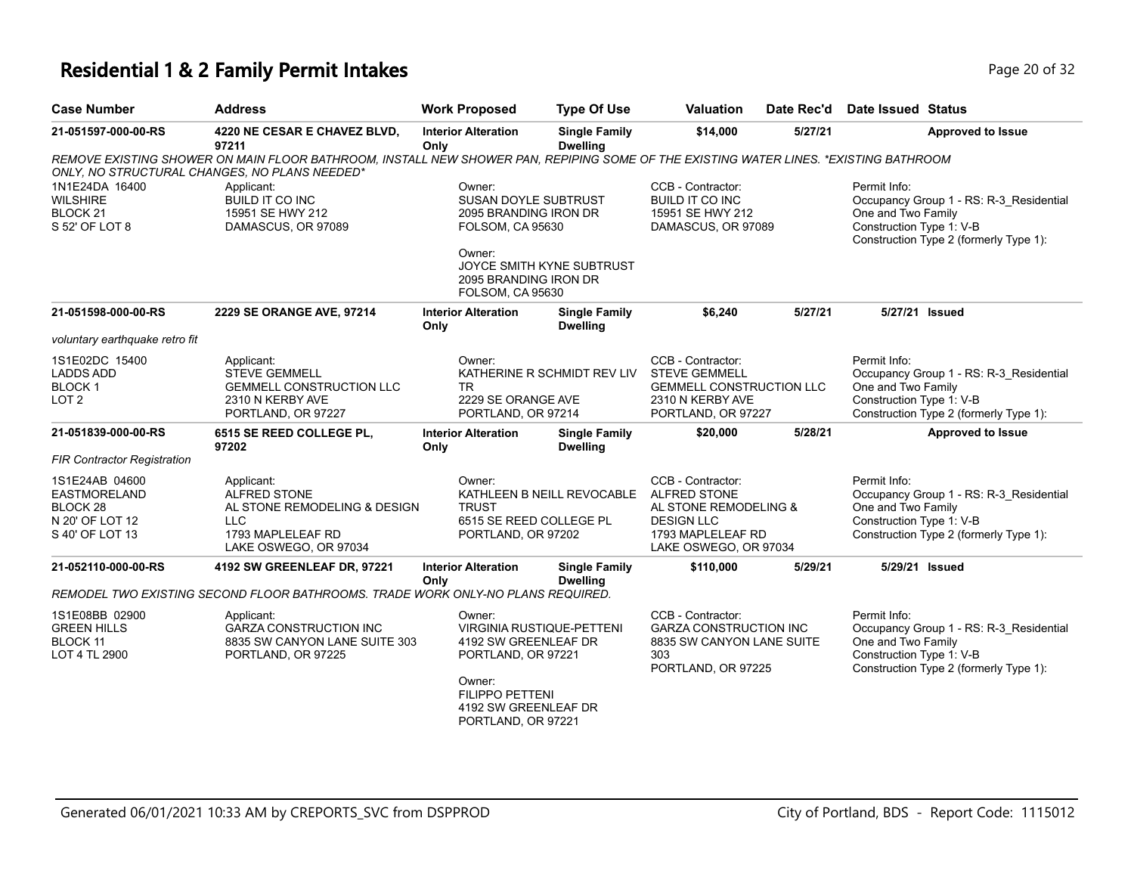#### **Residential 1 & 2 Family Permit Intakes Page 10 of 32** Page 20 of 32

| <b>Address</b>                                                                                                  | <b>Work Proposed</b>               | <b>Type Of Use</b>                                                         | <b>Valuation</b>                                                                                                                                                                                                                                                                                                                                                                                                                                                                                                                          | Date Rec'd                                                | <b>Date Issued Status</b>                                                                                                                                                                                                                                                                                                                                                      |
|-----------------------------------------------------------------------------------------------------------------|------------------------------------|----------------------------------------------------------------------------|-------------------------------------------------------------------------------------------------------------------------------------------------------------------------------------------------------------------------------------------------------------------------------------------------------------------------------------------------------------------------------------------------------------------------------------------------------------------------------------------------------------------------------------------|-----------------------------------------------------------|--------------------------------------------------------------------------------------------------------------------------------------------------------------------------------------------------------------------------------------------------------------------------------------------------------------------------------------------------------------------------------|
| 4220 NE CESAR E CHAVEZ BLVD,<br>97211                                                                           | Only                               | <b>Single Family</b><br><b>Dwelling</b>                                    | \$14,000                                                                                                                                                                                                                                                                                                                                                                                                                                                                                                                                  | 5/27/21                                                   | <b>Approved to Issue</b>                                                                                                                                                                                                                                                                                                                                                       |
| ONLY, NO STRUCTURAL CHANGES, NO PLANS NEEDED*                                                                   |                                    |                                                                            |                                                                                                                                                                                                                                                                                                                                                                                                                                                                                                                                           |                                                           |                                                                                                                                                                                                                                                                                                                                                                                |
| Applicant:<br>BUILD IT CO INC<br>15951 SE HWY 212<br>DAMASCUS, OR 97089                                         | Owner:<br>Owner:                   |                                                                            | CCB - Contractor:<br><b>BUILD IT CO INC</b><br>15951 SE HWY 212                                                                                                                                                                                                                                                                                                                                                                                                                                                                           |                                                           | Permit Info:<br>Occupancy Group 1 - RS: R-3_Residential<br>One and Two Family<br>Construction Type 1: V-B<br>Construction Type 2 (formerly Type 1):                                                                                                                                                                                                                            |
| 2229 SE ORANGE AVE, 97214                                                                                       | <b>Interior Alteration</b>         | <b>Single Family</b>                                                       | \$6,240                                                                                                                                                                                                                                                                                                                                                                                                                                                                                                                                   | 5/27/21                                                   | 5/27/21 Issued                                                                                                                                                                                                                                                                                                                                                                 |
| voluntary earthquake retro fit                                                                                  |                                    |                                                                            |                                                                                                                                                                                                                                                                                                                                                                                                                                                                                                                                           |                                                           |                                                                                                                                                                                                                                                                                                                                                                                |
| Applicant:<br><b>STEVE GEMMELL</b><br><b>GEMMELL CONSTRUCTION LLC</b><br>2310 N KERBY AVE<br>PORTLAND, OR 97227 | Owner:<br>TR.                      |                                                                            | CCB - Contractor:<br><b>STEVE GEMMELL</b><br>2310 N KERBY AVE                                                                                                                                                                                                                                                                                                                                                                                                                                                                             |                                                           | Permit Info:<br>Occupancy Group 1 - RS: R-3 Residential<br>One and Two Family<br>Construction Type 1: V-B<br>Construction Type 2 (formerly Type 1):                                                                                                                                                                                                                            |
| 6515 SE REED COLLEGE PL,<br>97202                                                                               | <b>Interior Alteration</b><br>Only | <b>Single Family</b><br><b>Dwelling</b>                                    | \$20,000                                                                                                                                                                                                                                                                                                                                                                                                                                                                                                                                  | 5/28/21                                                   | <b>Approved to Issue</b>                                                                                                                                                                                                                                                                                                                                                       |
|                                                                                                                 |                                    |                                                                            |                                                                                                                                                                                                                                                                                                                                                                                                                                                                                                                                           |                                                           |                                                                                                                                                                                                                                                                                                                                                                                |
| Applicant:<br><b>ALFRED STONE</b><br><b>LLC</b><br>1793 MAPLELEAF RD<br>LAKE OSWEGO, OR 97034                   | Owner:<br><b>TRUST</b>             |                                                                            | CCB - Contractor:<br><b>ALFRED STONE</b><br><b>DESIGN LLC</b>                                                                                                                                                                                                                                                                                                                                                                                                                                                                             |                                                           | Permit Info:<br>Occupancy Group 1 - RS: R-3_Residential<br>One and Two Family<br>Construction Type 1: V-B<br>Construction Type 2 (formerly Type 1):                                                                                                                                                                                                                            |
| 4192 SW GREENLEAF DR, 97221                                                                                     | <b>Interior Alteration</b>         | <b>Single Family</b>                                                       | \$110,000                                                                                                                                                                                                                                                                                                                                                                                                                                                                                                                                 | 5/29/21                                                   | 5/29/21 Issued                                                                                                                                                                                                                                                                                                                                                                 |
|                                                                                                                 |                                    |                                                                            |                                                                                                                                                                                                                                                                                                                                                                                                                                                                                                                                           |                                                           |                                                                                                                                                                                                                                                                                                                                                                                |
| Applicant:<br><b>GARZA CONSTRUCTION INC</b><br>8835 SW CANYON LANE SUITE 303<br>PORTLAND, OR 97225              | Owner:<br>Owner:                   |                                                                            | CCB - Contractor:<br>303                                                                                                                                                                                                                                                                                                                                                                                                                                                                                                                  |                                                           | Permit Info:<br>Occupancy Group 1 - RS: R-3_Residential<br>One and Two Family<br>Construction Type 1: V-B<br>Construction Type 2 (formerly Type 1):                                                                                                                                                                                                                            |
|                                                                                                                 |                                    | <b>Interior Alteration</b><br>Only<br>AL STONE REMODELING & DESIGN<br>Only | SUSAN DOYLE SUBTRUST<br>2095 BRANDING IRON DR<br><b>FOLSOM, CA 95630</b><br>JOYCE SMITH KYNE SUBTRUST<br>2095 BRANDING IRON DR<br><b>FOLSOM, CA 95630</b><br><b>Dwelling</b><br>2229 SE ORANGE AVE<br>PORTLAND, OR 97214<br>6515 SE REED COLLEGE PL<br>PORTLAND, OR 97202<br><b>Dwelling</b><br>REMODEL TWO EXISTING SECOND FLOOR BATHROOMS. TRADE WORK ONLY-NO PLANS REQUIRED.<br><b>VIRGINIA RUSTIQUE-PETTENI</b><br>4192 SW GREENLEAF DR<br>PORTLAND, OR 97221<br><b>FILIPPO PETTENI</b><br>4192 SW GREENLEAF DR<br>PORTLAND, OR 97221 | KATHERINE R SCHMIDT REV LIV<br>KATHLEEN B NEILL REVOCABLE | REMOVE EXISTING SHOWER ON MAIN FLOOR BATHROOM, INSTALL NEW SHOWER PAN, REPIPING SOME OF THE EXISTING WATER LINES. *EXISTING BATHROOM<br>DAMASCUS, OR 97089<br><b>GEMMELL CONSTRUCTION LLC</b><br>PORTLAND, OR 97227<br>AL STONE REMODELING &<br>1793 MAPLELEAF RD<br>LAKE OSWEGO, OR 97034<br><b>GARZA CONSTRUCTION INC</b><br>8835 SW CANYON LANE SUITE<br>PORTLAND, OR 97225 |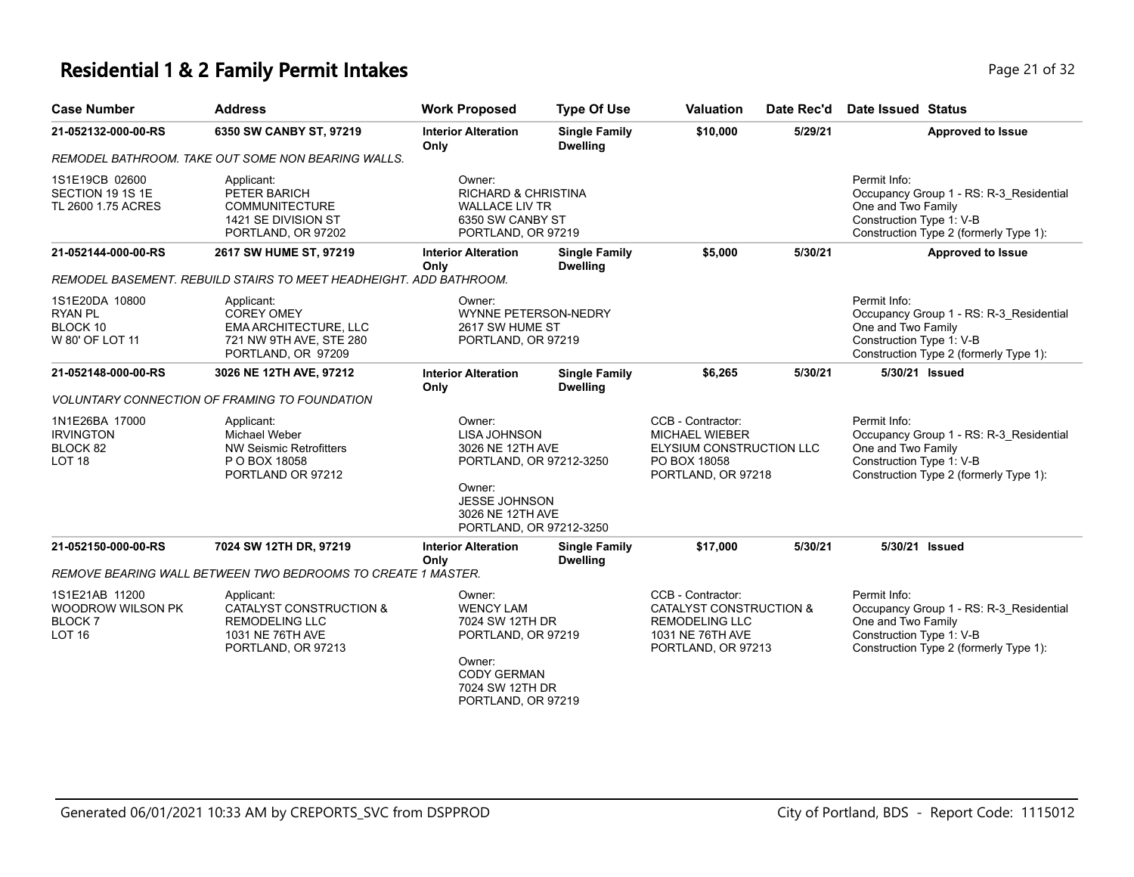#### **Residential 1 & 2 Family Permit Intakes Page 21 of 32 Page 21 of 32**

| <b>Case Number</b>                                                           | <b>Address</b>                                                                                                      | <b>Work Proposed</b>                                                                                                                                          | <b>Type Of Use</b>                      | <b>Valuation</b>                                                                                                           | Date Rec'd | <b>Date Issued Status</b>                                                                                                                           |
|------------------------------------------------------------------------------|---------------------------------------------------------------------------------------------------------------------|---------------------------------------------------------------------------------------------------------------------------------------------------------------|-----------------------------------------|----------------------------------------------------------------------------------------------------------------------------|------------|-----------------------------------------------------------------------------------------------------------------------------------------------------|
| 21-052132-000-00-RS                                                          | 6350 SW CANBY ST, 97219                                                                                             | <b>Interior Alteration</b><br>Only                                                                                                                            | <b>Single Family</b><br><b>Dwelling</b> | \$10,000                                                                                                                   | 5/29/21    | <b>Approved to Issue</b>                                                                                                                            |
|                                                                              | REMODEL BATHROOM. TAKE OUT SOME NON BEARING WALLS.                                                                  |                                                                                                                                                               |                                         |                                                                                                                            |            |                                                                                                                                                     |
| 1S1E19CB 02600<br>SECTION 19 1S 1E<br>TL 2600 1.75 ACRES                     | Applicant:<br>PETER BARICH<br><b>COMMUNITECTURE</b><br>1421 SE DIVISION ST<br>PORTLAND, OR 97202                    | Owner:<br><b>RICHARD &amp; CHRISTINA</b><br><b>WALLACE LIV TR</b><br>6350 SW CANBY ST<br>PORTLAND, OR 97219                                                   |                                         |                                                                                                                            |            | Permit Info:<br>Occupancy Group 1 - RS: R-3_Residential<br>One and Two Family<br>Construction Type 1: V-B<br>Construction Type 2 (formerly Type 1): |
| 21-052144-000-00-RS                                                          | 2617 SW HUME ST, 97219                                                                                              | <b>Interior Alteration</b><br><b>Single Family</b><br>Only<br><b>Dwelling</b>                                                                                 |                                         | \$5,000                                                                                                                    | 5/30/21    | <b>Approved to Issue</b>                                                                                                                            |
|                                                                              | REMODEL BASEMENT. REBUILD STAIRS TO MEET HEADHEIGHT. ADD BATHROOM.                                                  |                                                                                                                                                               |                                         |                                                                                                                            |            |                                                                                                                                                     |
| 1S1E20DA 10800<br><b>RYAN PL</b><br>BLOCK 10<br>W 80' OF LOT 11              | Applicant:<br><b>COREY OMEY</b><br>EMA ARCHITECTURE, LLC<br>721 NW 9TH AVE, STE 280<br>PORTLAND, OR 97209           | Owner:<br><b>WYNNE PETERSON-NEDRY</b><br>2617 SW HUME ST<br>PORTLAND, OR 97219                                                                                |                                         |                                                                                                                            |            | Permit Info:<br>Occupancy Group 1 - RS: R-3 Residential<br>One and Two Family<br>Construction Type 1: V-B<br>Construction Type 2 (formerly Type 1): |
| 21-052148-000-00-RS                                                          | 3026 NE 12TH AVE, 97212                                                                                             | <b>Interior Alteration</b><br>Only                                                                                                                            | <b>Single Family</b><br><b>Dwelling</b> | \$6,265                                                                                                                    | 5/30/21    | 5/30/21 Issued                                                                                                                                      |
|                                                                              | <b>VOLUNTARY CONNECTION OF FRAMING TO FOUNDATION</b>                                                                |                                                                                                                                                               |                                         |                                                                                                                            |            |                                                                                                                                                     |
| 1N1E26BA 17000<br><b>IRVINGTON</b><br>BLOCK 82<br>LOT <sub>18</sub>          | Applicant:<br>Michael Weber<br><b>NW Seismic Retrofitters</b><br>P O BOX 18058<br>PORTLAND OR 97212                 | Owner:<br><b>LISA JOHNSON</b><br>3026 NE 12TH AVE<br>PORTLAND, OR 97212-3250<br>Owner:<br><b>JESSE JOHNSON</b><br>3026 NE 12TH AVE<br>PORTLAND, OR 97212-3250 |                                         | CCB - Contractor:<br><b>MICHAEL WIEBER</b><br>ELYSIUM CONSTRUCTION LLC<br>PO BOX 18058<br>PORTLAND, OR 97218               |            | Permit Info:<br>Occupancy Group 1 - RS: R-3_Residential<br>One and Two Family<br>Construction Type 1: V-B<br>Construction Type 2 (formerly Type 1): |
| 21-052150-000-00-RS                                                          | 7024 SW 12TH DR, 97219                                                                                              | <b>Interior Alteration</b><br>Only                                                                                                                            | <b>Single Family</b><br><b>Dwelling</b> | \$17,000                                                                                                                   | 5/30/21    | 5/30/21 Issued                                                                                                                                      |
|                                                                              | REMOVE BEARING WALL BETWEEN TWO BEDROOMS TO CREATE 1 MASTER.                                                        |                                                                                                                                                               |                                         |                                                                                                                            |            |                                                                                                                                                     |
| 1S1E21AB 11200<br><b>WOODROW WILSON PK</b><br><b>BLOCK7</b><br><b>LOT 16</b> | Applicant:<br><b>CATALYST CONSTRUCTION &amp;</b><br><b>REMODELING LLC</b><br>1031 NE 76TH AVE<br>PORTLAND, OR 97213 | Owner:<br><b>WENCY LAM</b><br>7024 SW 12TH DR<br>PORTLAND, OR 97219<br>Owner:<br><b>CODY GERMAN</b><br>7024 SW 12TH DR<br>PORTLAND, OR 97219                  |                                         | CCB - Contractor:<br><b>CATALYST CONSTRUCTION &amp;</b><br><b>REMODELING LLC</b><br>1031 NE 76TH AVE<br>PORTLAND, OR 97213 |            | Permit Info:<br>Occupancy Group 1 - RS: R-3 Residential<br>One and Two Family<br>Construction Type 1: V-B<br>Construction Type 2 (formerly Type 1): |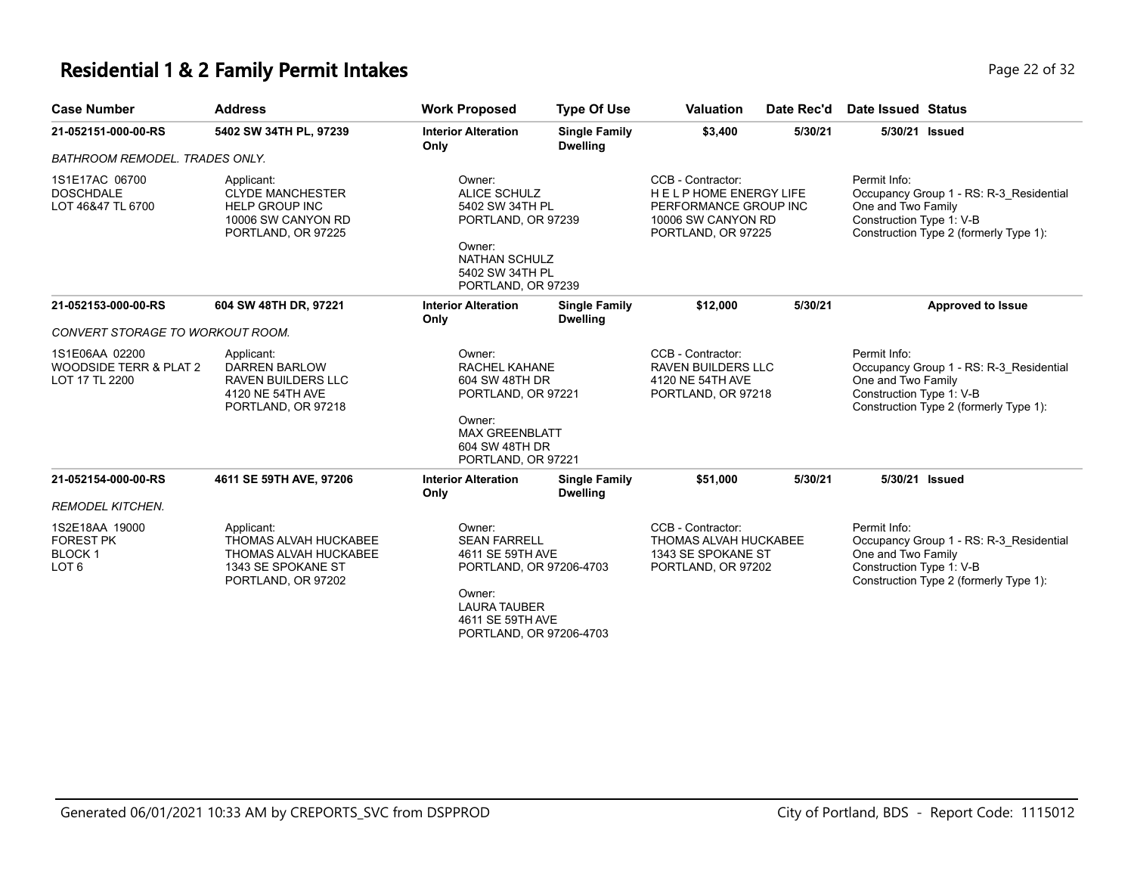#### **Residential 1 & 2 Family Permit Intakes Page 12 of 32** Page 22 of 32

| <b>Case Number</b>                                                      | <b>Address</b>                                                                                                  | <b>Work Proposed</b>                                                                                                                                         | <b>Type Of Use</b>                                                                                                            | <b>Valuation</b>                                                                                                | Date Rec'd                                      | <b>Date Issued Status</b>                                                                                                                           |
|-------------------------------------------------------------------------|-----------------------------------------------------------------------------------------------------------------|--------------------------------------------------------------------------------------------------------------------------------------------------------------|-------------------------------------------------------------------------------------------------------------------------------|-----------------------------------------------------------------------------------------------------------------|-------------------------------------------------|-----------------------------------------------------------------------------------------------------------------------------------------------------|
| 21-052151-000-00-RS                                                     | 5402 SW 34TH PL, 97239                                                                                          | <b>Interior Alteration</b><br>Only                                                                                                                           | <b>Single Family</b><br><b>Dwelling</b>                                                                                       | \$3,400                                                                                                         | 5/30/21                                         | 5/30/21 Issued                                                                                                                                      |
| <b>BATHROOM REMODEL. TRADES ONLY.</b>                                   |                                                                                                                 |                                                                                                                                                              |                                                                                                                               |                                                                                                                 |                                                 |                                                                                                                                                     |
| 1S1E17AC 06700<br><b>DOSCHDALE</b><br>LOT 46&47 TL 6700                 | Applicant:<br><b>CLYDE MANCHESTER</b><br><b>HELP GROUP INC</b><br>10006 SW CANYON RD<br>PORTLAND, OR 97225      | Owner:<br><b>ALICE SCHULZ</b><br>5402 SW 34TH PL<br>PORTLAND, OR 97239<br>Owner:<br><b>NATHAN SCHULZ</b><br>5402 SW 34TH PL<br>PORTLAND, OR 97239            |                                                                                                                               | CCB - Contractor:<br>HELP HOME ENERGY LIFE<br>PERFORMANCE GROUP INC<br>10006 SW CANYON RD<br>PORTLAND, OR 97225 |                                                 | Permit Info:<br>Occupancy Group 1 - RS: R-3 Residential<br>One and Two Family<br>Construction Type 1: V-B<br>Construction Type 2 (formerly Type 1): |
| 21-052153-000-00-RS                                                     | 604 SW 48TH DR, 97221                                                                                           | <b>Interior Alteration</b><br>Only                                                                                                                           | <b>Single Family</b><br><b>Dwelling</b>                                                                                       | \$12,000                                                                                                        | 5/30/21                                         | <b>Approved to Issue</b>                                                                                                                            |
| <b>CONVERT STORAGE TO WORKOUT ROOM.</b>                                 |                                                                                                                 |                                                                                                                                                              |                                                                                                                               |                                                                                                                 |                                                 |                                                                                                                                                     |
| 1S1E06AA 02200<br>WOODSIDE TERR & PLAT 2<br>LOT 17 TL 2200              | Applicant:<br><b>DARREN BARLOW</b><br><b>RAVEN BUILDERS LLC</b><br>4120 NE 54TH AVE<br>PORTLAND, OR 97218       | Owner:<br>Owner:                                                                                                                                             | <b>RACHEL KAHANE</b><br>604 SW 48TH DR<br>PORTLAND, OR 97221<br><b>MAX GREENBLATT</b><br>604 SW 48TH DR<br>PORTLAND, OR 97221 |                                                                                                                 | <b>RAVEN BUILDERS LLC</b><br>PORTLAND, OR 97218 | Permit Info:<br>Occupancy Group 1 - RS: R-3 Residential<br>One and Two Family<br>Construction Type 1: V-B<br>Construction Type 2 (formerly Type 1): |
| 21-052154-000-00-RS                                                     | 4611 SE 59TH AVE, 97206                                                                                         | <b>Interior Alteration</b><br>Only                                                                                                                           | <b>Single Family</b><br><b>Dwelling</b>                                                                                       | \$51,000                                                                                                        | 5/30/21                                         | 5/30/21 Issued                                                                                                                                      |
| <b>REMODEL KITCHEN.</b>                                                 |                                                                                                                 |                                                                                                                                                              |                                                                                                                               |                                                                                                                 |                                                 |                                                                                                                                                     |
| 1S2E18AA 19000<br><b>FOREST PK</b><br><b>BLOCK1</b><br>LOT <sub>6</sub> | Applicant:<br>THOMAS ALVAH HUCKABEE<br><b>THOMAS ALVAH HUCKABEE</b><br>1343 SE SPOKANE ST<br>PORTLAND, OR 97202 | Owner:<br><b>SEAN FARRELL</b><br>4611 SE 59TH AVE<br>PORTLAND, OR 97206-4703<br>Owner:<br><b>LAURA TAUBER</b><br>4611 SE 59TH AVE<br>PORTLAND, OR 97206-4703 |                                                                                                                               | CCB - Contractor:<br>THOMAS ALVAH HUCKABEE<br>1343 SE SPOKANE ST<br>PORTLAND, OR 97202                          |                                                 | Permit Info:<br>Occupancy Group 1 - RS: R-3_Residential<br>One and Two Family<br>Construction Type 1: V-B<br>Construction Type 2 (formerly Type 1): |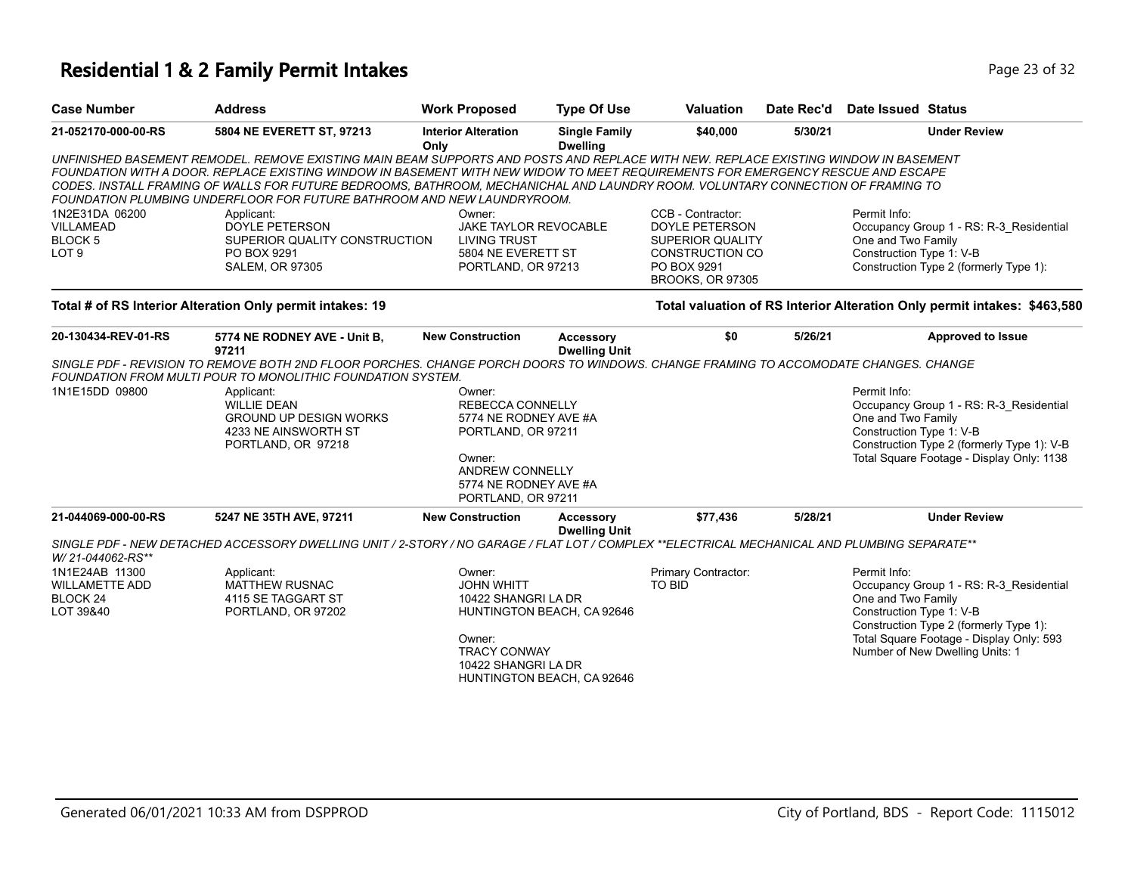# **Residential 1 & 2 Family Permit Intakes Page 23 of 32** Page 23 of 32

| <b>Case Number</b>                                                          | <b>Address</b>                                                                                                                                                                                                                                                                                                                                                                                                                                                                       | <b>Work Proposed</b>                                                                                                                          | <b>Type Of Use</b>                                       | <b>Valuation</b>                                                                                                                          | Date Rec'd | <b>Date Issued Status</b>                                      |                                                                                                                                                                  |
|-----------------------------------------------------------------------------|--------------------------------------------------------------------------------------------------------------------------------------------------------------------------------------------------------------------------------------------------------------------------------------------------------------------------------------------------------------------------------------------------------------------------------------------------------------------------------------|-----------------------------------------------------------------------------------------------------------------------------------------------|----------------------------------------------------------|-------------------------------------------------------------------------------------------------------------------------------------------|------------|----------------------------------------------------------------|------------------------------------------------------------------------------------------------------------------------------------------------------------------|
| 21-052170-000-00-RS                                                         | 5804 NE EVERETT ST, 97213                                                                                                                                                                                                                                                                                                                                                                                                                                                            | <b>Interior Alteration</b><br>Only                                                                                                            | <b>Single Family</b><br><b>Dwelling</b>                  | \$40,000                                                                                                                                  | 5/30/21    |                                                                | <b>Under Review</b>                                                                                                                                              |
|                                                                             | UNFINISHED BASEMENT REMODEL. REMOVE EXISTING MAIN BEAM SUPPORTS AND POSTS AND REPLACE WITH NEW. REPLACE EXISTING WINDOW IN BASEMENT<br>FOUNDATION WITH A DOOR. REPLACE EXISTING WINDOW IN BASEMENT WITH NEW WIDOW TO MEET REQUIREMENTS FOR EMERGENCY RESCUE AND ESCAPE<br>CODES. INSTALL FRAMING OF WALLS FOR FUTURE BEDROOMS, BATHROOM, MECHANICHAL AND LAUNDRY ROOM. VOLUNTARY CONNECTION OF FRAMING TO<br>FOUNDATION PLUMBING UNDERFLOOR FOR FUTURE BATHROOM AND NEW LAUNDRYROOM. |                                                                                                                                               |                                                          |                                                                                                                                           |            |                                                                |                                                                                                                                                                  |
| 1N2E31DA 06200<br><b>VILLAMEAD</b><br><b>BLOCK5</b><br>LOT <sub>9</sub>     | Applicant:<br><b>DOYLE PETERSON</b><br>SUPERIOR QUALITY CONSTRUCTION<br>PO BOX 9291<br><b>SALEM, OR 97305</b>                                                                                                                                                                                                                                                                                                                                                                        | Owner:<br>JAKE TAYLOR REVOCABLE<br><b>LIVING TRUST</b><br>5804 NE EVERETT ST<br>PORTLAND, OR 97213                                            |                                                          | CCB - Contractor:<br><b>DOYLE PETERSON</b><br><b>SUPERIOR QUALITY</b><br><b>CONSTRUCTION CO</b><br>PO BOX 9291<br><b>BROOKS, OR 97305</b> |            | Permit Info:<br>One and Two Family<br>Construction Type 1: V-B | Occupancy Group 1 - RS: R-3_Residential<br>Construction Type 2 (formerly Type 1):                                                                                |
|                                                                             | Total # of RS Interior Alteration Only permit intakes: 19                                                                                                                                                                                                                                                                                                                                                                                                                            |                                                                                                                                               |                                                          |                                                                                                                                           |            |                                                                | Total valuation of RS Interior Alteration Only permit intakes: \$463,580                                                                                         |
| 20-130434-REV-01-RS                                                         | 5774 NE RODNEY AVE - Unit B,<br>97211                                                                                                                                                                                                                                                                                                                                                                                                                                                | <b>New Construction</b>                                                                                                                       | Accessory<br><b>Dwelling Unit</b>                        | \$0                                                                                                                                       | 5/26/21    |                                                                | <b>Approved to Issue</b>                                                                                                                                         |
|                                                                             | SINGLE PDF - REVISION TO REMOVE BOTH 2ND FLOOR PORCHES. CHANGE PORCH DOORS TO WINDOWS. CHANGE FRAMING TO ACCOMODATE CHANGES. CHANGE<br>FOUNDATION FROM MULTI POUR TO MONOLITHIC FOUNDATION SYSTEM.                                                                                                                                                                                                                                                                                   |                                                                                                                                               |                                                          |                                                                                                                                           |            |                                                                |                                                                                                                                                                  |
| 1N1E15DD 09800                                                              | Applicant:<br><b>WILLIE DEAN</b><br><b>GROUND UP DESIGN WORKS</b><br>4233 NE AINSWORTH ST<br>PORTLAND, OR 97218                                                                                                                                                                                                                                                                                                                                                                      | Owner:<br><b>REBECCA CONNELLY</b><br>5774 NE RODNEY AVE #A<br>PORTLAND, OR 97211<br>Owner:<br><b>ANDREW CONNELLY</b><br>5774 NE RODNEY AVE #A |                                                          |                                                                                                                                           |            | Permit Info:<br>One and Two Family<br>Construction Type 1: V-B | Occupancy Group 1 - RS: R-3 Residential<br>Construction Type 2 (formerly Type 1): V-B<br>Total Square Footage - Display Only: 1138                               |
| 21-044069-000-00-RS                                                         | 5247 NE 35TH AVE, 97211                                                                                                                                                                                                                                                                                                                                                                                                                                                              | PORTLAND, OR 97211<br><b>New Construction</b>                                                                                                 | Accessory                                                | \$77,436                                                                                                                                  | 5/28/21    |                                                                | <b>Under Review</b>                                                                                                                                              |
|                                                                             |                                                                                                                                                                                                                                                                                                                                                                                                                                                                                      |                                                                                                                                               | <b>Dwelling Unit</b>                                     |                                                                                                                                           |            |                                                                |                                                                                                                                                                  |
| W/21-044062-RS**                                                            | SINGLE PDF - NEW DETACHED ACCESSORY DWELLING UNIT / 2-STORY / NO GARAGE / FLAT LOT / COMPLEX **ELECTRICAL MECHANICAL AND PLUMBING SEPARATE**                                                                                                                                                                                                                                                                                                                                         |                                                                                                                                               |                                                          |                                                                                                                                           |            |                                                                |                                                                                                                                                                  |
| 1N1E24AB 11300<br><b>WILLAMETTE ADD</b><br>BLOCK <sub>24</sub><br>LOT 39&40 | Applicant:<br><b>MATTHEW RUSNAC</b><br>4115 SE TAGGART ST<br>PORTLAND, OR 97202                                                                                                                                                                                                                                                                                                                                                                                                      | Owner:<br><b>JOHN WHITT</b><br>10422 SHANGRI LA DR<br>Owner:<br><b>TRACY CONWAY</b><br>10422 SHANGRI LA DR                                    | HUNTINGTON BEACH, CA 92646<br>HUNTINGTON BEACH, CA 92646 | Primary Contractor:<br><b>TO BID</b>                                                                                                      |            | Permit Info:<br>One and Two Family<br>Construction Type 1: V-B | Occupancy Group 1 - RS: R-3 Residential<br>Construction Type 2 (formerly Type 1):<br>Total Square Footage - Display Only: 593<br>Number of New Dwelling Units: 1 |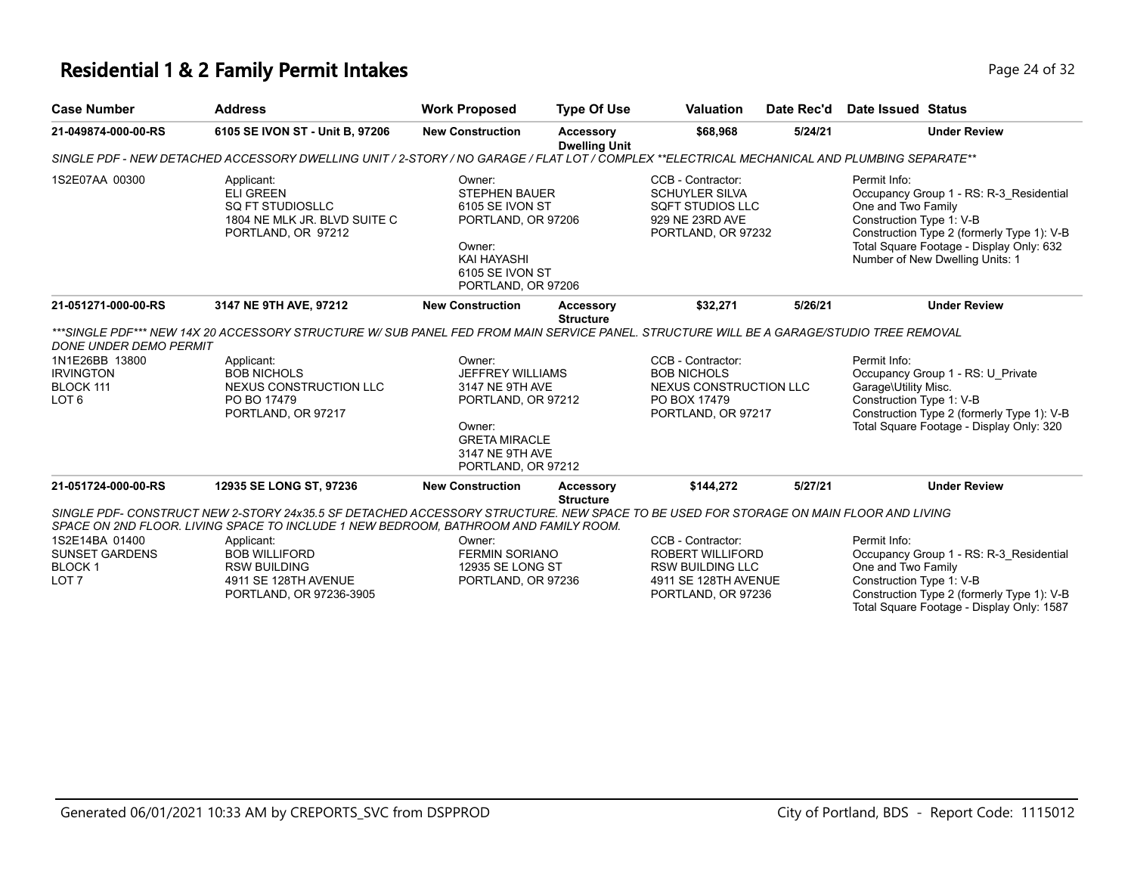## **Residential 1 & 2 Family Permit Intakes Page 24 of 32 Page 24 of 32**

| <b>Case Number</b>                                                           | <b>Address</b>                                                                                                                                                                                                                                                                                                                               | <b>Work Proposed</b>                                                                                                                           | <b>Type Of Use</b>                       | <b>Valuation</b>                                                                                               | Date Rec'd | Date Issued Status                                                                                                                                                                                                                     |
|------------------------------------------------------------------------------|----------------------------------------------------------------------------------------------------------------------------------------------------------------------------------------------------------------------------------------------------------------------------------------------------------------------------------------------|------------------------------------------------------------------------------------------------------------------------------------------------|------------------------------------------|----------------------------------------------------------------------------------------------------------------|------------|----------------------------------------------------------------------------------------------------------------------------------------------------------------------------------------------------------------------------------------|
| 21-049874-000-00-RS                                                          | 6105 SE IVON ST - Unit B, 97206                                                                                                                                                                                                                                                                                                              | <b>New Construction</b>                                                                                                                        | <b>Accessory</b><br><b>Dwelling Unit</b> | \$68,968                                                                                                       | 5/24/21    | <b>Under Review</b>                                                                                                                                                                                                                    |
|                                                                              | SINGLE PDF - NEW DETACHED ACCESSORY DWELLING UNIT / 2-STORY / NO GARAGE / FLAT LOT / COMPLEX **ELECTRICAL MECHANICAL AND PLUMBING SEPARATE**                                                                                                                                                                                                 |                                                                                                                                                |                                          |                                                                                                                |            |                                                                                                                                                                                                                                        |
| 1S2E07AA 00300                                                               | Applicant:<br><b>ELI GREEN</b><br>SO FT STUDIOSLLC<br>1804 NE MLK JR. BLVD SUITE C<br>PORTLAND, OR 97212                                                                                                                                                                                                                                     | Owner:<br><b>STEPHEN BAUER</b><br>6105 SE IVON ST<br>PORTLAND, OR 97206<br>Owner:<br>KAI HAYASHI<br>6105 SE IVON ST<br>PORTLAND, OR 97206      |                                          | CCB - Contractor:<br><b>SCHUYLER SILVA</b><br><b>SQFT STUDIOS LLC</b><br>929 NE 23RD AVE<br>PORTLAND, OR 97232 |            | Permit Info:<br>Occupancy Group 1 - RS: R-3 Residential<br>One and Two Family<br>Construction Type 1: V-B<br>Construction Type 2 (formerly Type 1): V-B<br>Total Square Footage - Display Only: 632<br>Number of New Dwelling Units: 1 |
| 21-051271-000-00-RS                                                          | 3147 NE 9TH AVE, 97212                                                                                                                                                                                                                                                                                                                       | <b>New Construction</b>                                                                                                                        | <b>Accessory</b><br><b>Structure</b>     | \$32,271                                                                                                       | 5/26/21    | <b>Under Review</b>                                                                                                                                                                                                                    |
| DONE UNDER DEMO PERMIT                                                       | ***SINGLE PDF*** NEW 14X 20 ACCESSORY STRUCTURE W/ SUB PANEL FED FROM MAIN SERVICE PANEL. STRUCTURE WILL BE A GARAGE/STUDIO TREE REMOVAL                                                                                                                                                                                                     |                                                                                                                                                |                                          |                                                                                                                |            |                                                                                                                                                                                                                                        |
| 1N1E26BB 13800<br><b>IRVINGTON</b><br>BLOCK 111<br>LOT <sub>6</sub>          | Applicant:<br><b>BOB NICHOLS</b><br><b>NEXUS CONSTRUCTION LLC</b><br>PO BO 17479<br>PORTLAND, OR 97217                                                                                                                                                                                                                                       | Owner:<br>JEFFREY WILLIAMS<br>3147 NE 9TH AVE<br>PORTLAND, OR 97212<br>Owner:<br><b>GRETA MIRACLE</b><br>3147 NE 9TH AVE<br>PORTLAND, OR 97212 |                                          | CCB - Contractor:<br><b>BOB NICHOLS</b><br>NEXUS CONSTRUCTION LLC<br>PO BOX 17479<br>PORTLAND, OR 97217        |            | Permit Info:<br>Occupancy Group 1 - RS: U Private<br>Garage\Utility Misc.<br>Construction Type 1: V-B<br>Construction Type 2 (formerly Type 1): V-B<br>Total Square Footage - Display Only: 320                                        |
| 21-051724-000-00-RS                                                          | 12935 SE LONG ST, 97236                                                                                                                                                                                                                                                                                                                      | <b>New Construction</b>                                                                                                                        | <b>Accessory</b>                         | \$144,272                                                                                                      | 5/27/21    | <b>Under Review</b>                                                                                                                                                                                                                    |
| 1S2E14BA 01400<br><b>SUNSET GARDENS</b><br><b>BLOCK1</b><br>LOT <sub>7</sub> | SINGLE PDF- CONSTRUCT NEW 2-STORY 24x35.5 SF DETACHED ACCESSORY STRUCTURE. NEW SPACE TO BE USED FOR STORAGE ON MAIN FLOOR AND LIVING<br>SPACE ON 2ND FLOOR. LIVING SPACE TO INCLUDE 1 NEW BEDROOM, BATHROOM AND FAMILY ROOM.<br>Applicant:<br><b>BOB WILLIFORD</b><br><b>RSW BUILDING</b><br>4911 SE 128TH AVENUE<br>PORTLAND, OR 97236-3905 | Owner:<br><b>FERMIN SORIANO</b><br>12935 SE LONG ST<br>PORTLAND, OR 97236                                                                      | <b>Structure</b>                         | CCB - Contractor:<br>ROBERT WILLIFORD<br><b>RSW BUILDING LLC</b><br>4911 SE 128TH AVENUE<br>PORTLAND, OR 97236 |            | Permit Info:<br>Occupancy Group 1 - RS: R-3 Residential<br>One and Two Family<br>Construction Type 1: V-B<br>Construction Type 2 (formerly Type 1): V-B<br>Total Square Footage - Display Only: 1587                                   |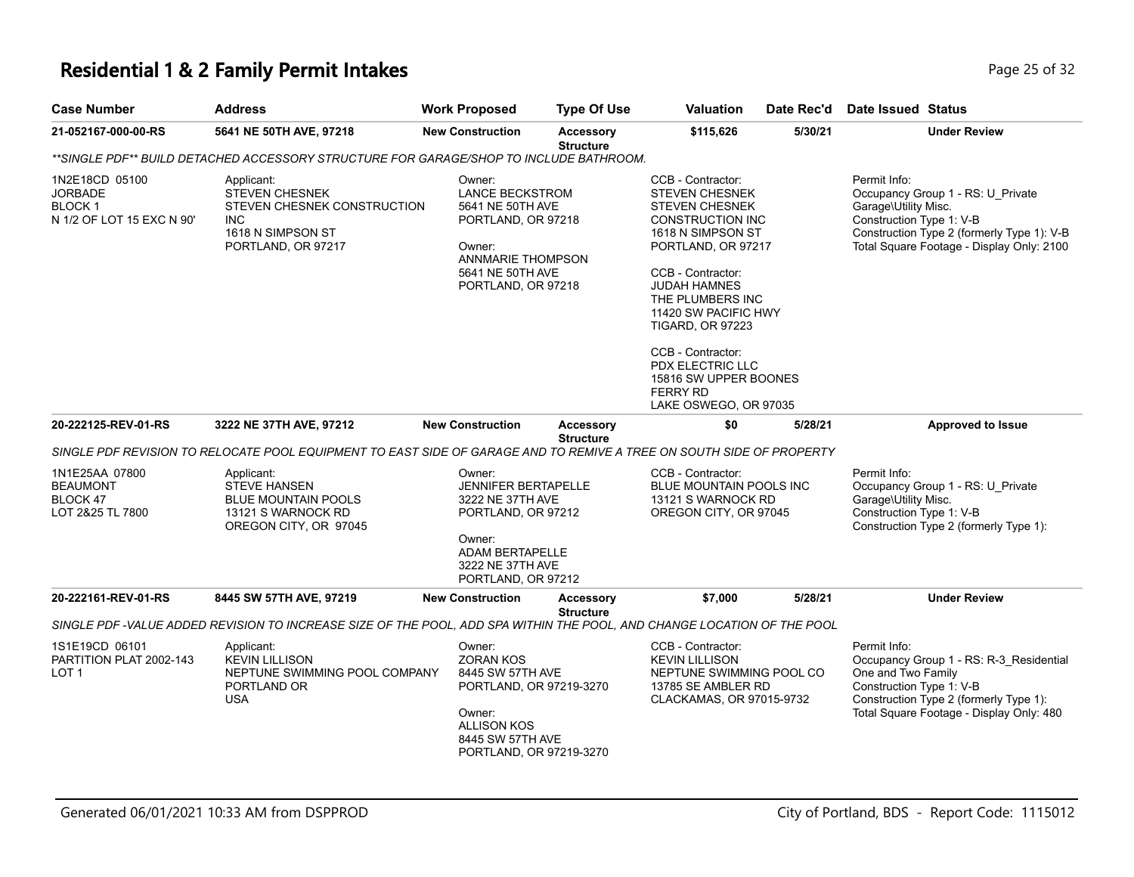#### **Residential 1 & 2 Family Permit Intakes Page 25 of 32 Page 25 of 32**

| <b>Case Number</b>                                                             | Address                                                                                                                 | <b>Work Proposed</b>                                                                                                                                         | <b>Type Of Use</b>                   | <b>Valuation</b>                                                                                                                                                                                                                                                                                                                               | Date Rec'd | Date Issued Status                                                                                                                                                                               |
|--------------------------------------------------------------------------------|-------------------------------------------------------------------------------------------------------------------------|--------------------------------------------------------------------------------------------------------------------------------------------------------------|--------------------------------------|------------------------------------------------------------------------------------------------------------------------------------------------------------------------------------------------------------------------------------------------------------------------------------------------------------------------------------------------|------------|--------------------------------------------------------------------------------------------------------------------------------------------------------------------------------------------------|
| 21-052167-000-00-RS                                                            | 5641 NE 50TH AVE, 97218                                                                                                 | <b>New Construction</b>                                                                                                                                      | <b>Accessory</b><br><b>Structure</b> | \$115,626                                                                                                                                                                                                                                                                                                                                      | 5/30/21    | <b>Under Review</b>                                                                                                                                                                              |
|                                                                                | **SINGLE PDF** BUILD DETACHED ACCESSORY STRUCTURE FOR GARAGE/SHOP TO INCLUDE BATHROOM.                                  |                                                                                                                                                              |                                      |                                                                                                                                                                                                                                                                                                                                                |            |                                                                                                                                                                                                  |
| 1N2E18CD 05100<br><b>JORBADE</b><br><b>BLOCK1</b><br>N 1/2 OF LOT 15 EXC N 90' | Applicant:<br><b>STEVEN CHESNEK</b><br>STEVEN CHESNEK CONSTRUCTION<br>INC<br>1618 N SIMPSON ST<br>PORTLAND, OR 97217    | Owner:<br><b>LANCE BECKSTROM</b><br>5641 NE 50TH AVE<br>PORTLAND, OR 97218<br>Owner:<br><b>ANNMARIE THOMPSON</b><br>5641 NE 50TH AVE<br>PORTLAND, OR 97218   |                                      | CCB - Contractor:<br>STEVEN CHESNEK<br><b>STEVEN CHESNEK</b><br>CONSTRUCTION INC<br>1618 N SIMPSON ST<br>PORTLAND, OR 97217<br>CCB - Contractor:<br>JUDAH HAMNES<br>THE PLUMBERS INC<br>11420 SW PACIFIC HWY<br>TIGARD, OR 97223<br>CCB - Contractor:<br>PDX ELECTRIC LLC<br>15816 SW UPPER BOONES<br><b>FERRY RD</b><br>LAKE OSWEGO, OR 97035 |            | Permit Info:<br>Occupancy Group 1 - RS: U_Private<br>Garage\Utility Misc.<br>Construction Type 1: V-B<br>Construction Type 2 (formerly Type 1): V-B<br>Total Square Footage - Display Only: 2100 |
| 20-222125-REV-01-RS                                                            | 3222 NE 37TH AVE, 97212                                                                                                 | <b>New Construction</b>                                                                                                                                      | Accessory                            | \$0                                                                                                                                                                                                                                                                                                                                            | 5/28/21    | <b>Approved to Issue</b>                                                                                                                                                                         |
|                                                                                | SINGLE PDF REVISION TO RELOCATE POOL EQUIPMENT TO EAST SIDE OF GARAGE AND TO REMIVE A TREE ON SOUTH SIDE OF PROPERTY    |                                                                                                                                                              | <b>Structure</b>                     |                                                                                                                                                                                                                                                                                                                                                |            |                                                                                                                                                                                                  |
| 1N1E25AA 07800<br><b>BEAUMONT</b><br>BLOCK 47<br>LOT 2&25 TL 7800              | Applicant:<br><b>STEVE HANSEN</b><br><b>BLUE MOUNTAIN POOLS</b><br>13121 S WARNOCK RD<br>OREGON CITY, OR 97045          | Owner:<br><b>JENNIFER BERTAPELLE</b><br>3222 NE 37TH AVE<br>PORTLAND, OR 97212<br>Owner:<br><b>ADAM BERTAPELLE</b><br>3222 NE 37TH AVE<br>PORTLAND, OR 97212 |                                      | CCB - Contractor:<br>BLUE MOUNTAIN POOLS INC<br>13121 S WARNOCK RD<br>OREGON CITY, OR 97045                                                                                                                                                                                                                                                    |            | Permit Info:<br>Occupancy Group 1 - RS: U_Private<br>Garage\Utility Misc.<br>Construction Type 1: V-B<br>Construction Type 2 (formerly Type 1):                                                  |
| 20-222161-REV-01-RS                                                            | 8445 SW 57TH AVE, 97219                                                                                                 | <b>New Construction</b>                                                                                                                                      | <b>Accessory</b>                     | \$7,000                                                                                                                                                                                                                                                                                                                                        | 5/28/21    | <b>Under Review</b>                                                                                                                                                                              |
|                                                                                | SINGLE PDF -VALUE ADDED REVISION TO INCREASE SIZE OF THE POOL, ADD SPA WITHIN THE POOL, AND CHANGE LOCATION OF THE POOL |                                                                                                                                                              | <b>Structure</b>                     |                                                                                                                                                                                                                                                                                                                                                |            |                                                                                                                                                                                                  |
| 1S1E19CD 06101<br>PARTITION PLAT 2002-143<br>LOT <sub>1</sub>                  | Applicant:<br><b>KEVIN LILLISON</b><br>NEPTUNE SWIMMING POOL COMPANY<br>PORTLAND OR<br><b>USA</b>                       | Owner:<br><b>ZORAN KOS</b><br>8445 SW 57TH AVE<br>PORTLAND, OR 97219-3270<br>Owner:<br><b>ALLISON KOS</b><br>8445 SW 57TH AVE                                |                                      | CCB - Contractor:<br><b>KEVIN LILLISON</b><br>NEPTUNE SWIMMING POOL CO<br>13785 SE AMBLER RD<br>CLACKAMAS, OR 97015-9732                                                                                                                                                                                                                       |            | Permit Info:<br>Occupancy Group 1 - RS: R-3_Residential<br>One and Two Family<br>Construction Type 1: V-B<br>Construction Type 2 (formerly Type 1):<br>Total Square Footage - Display Only: 480  |

PORTLAND, OR 97219-3270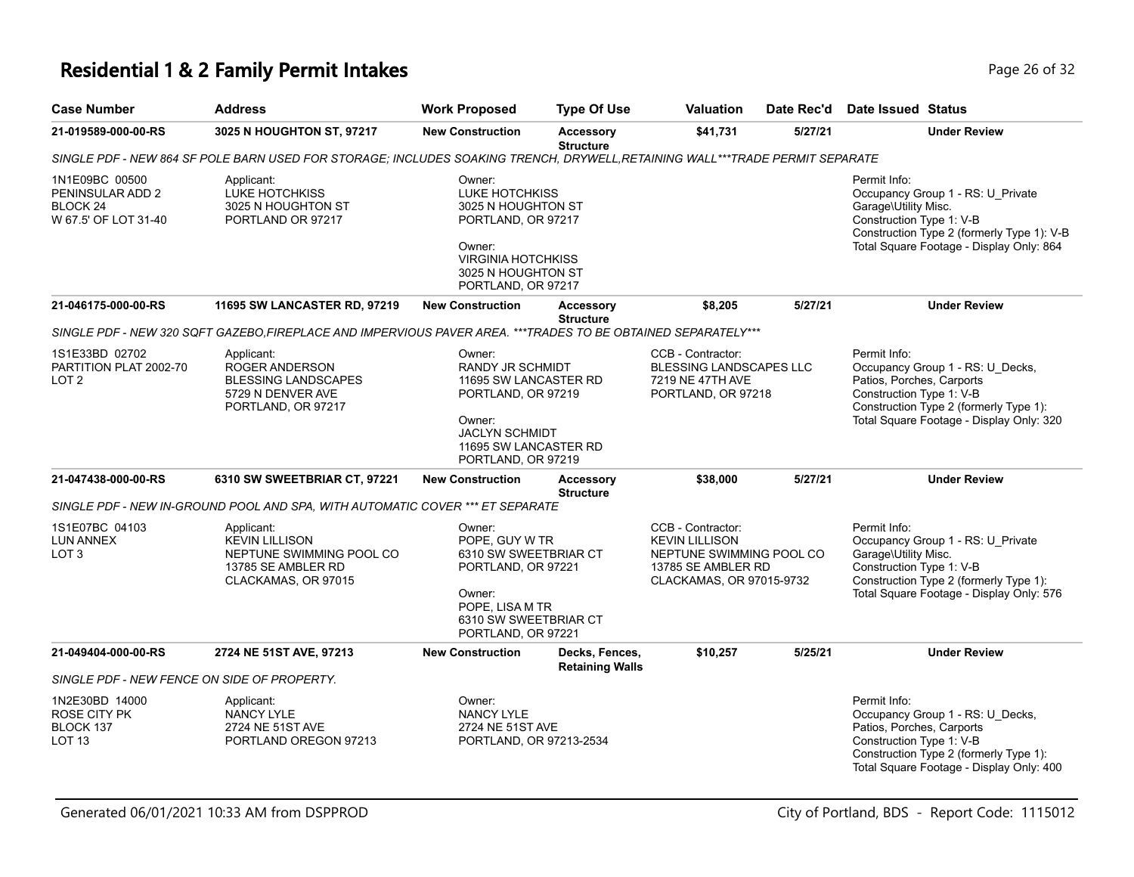# **Residential 1 & 2 Family Permit Intakes Page 26 of 32** Page 26 of 32

| <b>Case Number</b>                                                                | <b>Address</b>                                                                                                               | <b>Work Proposed</b>                                                                                                                                        | <b>Type Of Use</b>                                                                                                                                                                                | Valuation                                                                                                                | Date Rec'd                                                                                                                                                                                      | Date Issued Status                                                                                                                                                                              |  |
|-----------------------------------------------------------------------------------|------------------------------------------------------------------------------------------------------------------------------|-------------------------------------------------------------------------------------------------------------------------------------------------------------|---------------------------------------------------------------------------------------------------------------------------------------------------------------------------------------------------|--------------------------------------------------------------------------------------------------------------------------|-------------------------------------------------------------------------------------------------------------------------------------------------------------------------------------------------|-------------------------------------------------------------------------------------------------------------------------------------------------------------------------------------------------|--|
| 21-019589-000-00-RS                                                               | 3025 N HOUGHTON ST, 97217                                                                                                    | <b>New Construction</b>                                                                                                                                     | <b>Accessory</b><br><b>Structure</b>                                                                                                                                                              | \$41,731                                                                                                                 | 5/27/21                                                                                                                                                                                         | <b>Under Review</b>                                                                                                                                                                             |  |
|                                                                                   | SINGLE PDF - NEW 864 SF POLE BARN USED FOR STORAGE; INCLUDES SOAKING TRENCH, DRYWELL, RETAINING WALL***TRADE PERMIT SEPARATE |                                                                                                                                                             |                                                                                                                                                                                                   |                                                                                                                          |                                                                                                                                                                                                 |                                                                                                                                                                                                 |  |
| 1N1E09BC 00500<br>PENINSULAR ADD 2<br>BLOCK <sub>24</sub><br>W 67.5' OF LOT 31-40 | Applicant:<br>LUKE HOTCHKISS<br>3025 N HOUGHTON ST<br>PORTLAND OR 97217                                                      | Owner:<br>Owner:                                                                                                                                            | LUKE HOTCHKISS<br>3025 N HOUGHTON ST<br>PORTLAND, OR 97217<br><b>VIRGINIA HOTCHKISS</b><br>3025 N HOUGHTON ST<br>PORTLAND, OR 97217<br>\$8,205<br>5/27/21<br><b>New Construction</b><br>Accessory |                                                                                                                          | Permit Info:<br>Occupancy Group 1 - RS: U_Private<br>Garage\Utility Misc.<br>Construction Type 1: V-B<br>Construction Type 2 (formerly Type 1): V-B<br>Total Square Footage - Display Only: 864 |                                                                                                                                                                                                 |  |
| 21-046175-000-00-RS                                                               | <b>11695 SW LANCASTER RD, 97219</b>                                                                                          |                                                                                                                                                             | <b>Structure</b>                                                                                                                                                                                  |                                                                                                                          |                                                                                                                                                                                                 | <b>Under Review</b>                                                                                                                                                                             |  |
|                                                                                   | SINGLE PDF - NEW 320 SQFT GAZEBO, FIREPLACE AND IMPERVIOUS PAVER AREA. ***TRADES TO BE OBTAINED SEPARATELY***                |                                                                                                                                                             |                                                                                                                                                                                                   |                                                                                                                          |                                                                                                                                                                                                 |                                                                                                                                                                                                 |  |
| 1S1E33BD 02702<br>PARTITION PLAT 2002-70<br>LOT <sub>2</sub>                      | Applicant:<br>ROGER ANDERSON<br><b>BLESSING LANDSCAPES</b><br>5729 N DENVER AVE<br>PORTLAND, OR 97217                        | Owner:<br>RANDY JR SCHMIDT<br>11695 SW LANCASTER RD<br>PORTLAND, OR 97219<br>Owner:<br><b>JACLYN SCHMIDT</b><br>11695 SW LANCASTER RD<br>PORTLAND, OR 97219 |                                                                                                                                                                                                   | CCB - Contractor:<br>BLESSING LANDSCAPES LLC<br>7219 NE 47TH AVE<br>PORTLAND, OR 97218                                   |                                                                                                                                                                                                 | Permit Info:<br>Occupancy Group 1 - RS: U_Decks,<br>Patios, Porches, Carports<br>Construction Type 1: V-B<br>Construction Type 2 (formerly Type 1):<br>Total Square Footage - Display Only: 320 |  |
| 21-047438-000-00-RS                                                               | 6310 SW SWEETBRIAR CT, 97221                                                                                                 | <b>New Construction</b>                                                                                                                                     | <b>Accessory</b>                                                                                                                                                                                  | \$38,000                                                                                                                 | 5/27/21                                                                                                                                                                                         | <b>Under Review</b>                                                                                                                                                                             |  |
|                                                                                   | SINGLE PDF - NEW IN-GROUND POOL AND SPA, WITH AUTOMATIC COVER *** ET SEPARATE                                                |                                                                                                                                                             | <b>Structure</b>                                                                                                                                                                                  |                                                                                                                          |                                                                                                                                                                                                 |                                                                                                                                                                                                 |  |
| 1S1E07BC 04103<br><b>LUN ANNEX</b><br>LOT <sub>3</sub>                            | Applicant:<br><b>KEVIN LILLISON</b><br>NEPTUNE SWIMMING POOL CO<br>13785 SE AMBLER RD<br>CLACKAMAS, OR 97015                 | Owner:<br>POPE. GUY W TR<br>6310 SW SWEETBRIAR CT<br>PORTLAND, OR 97221<br>Owner:<br>POPE, LISA M TR<br>6310 SW SWEETBRIAR CT<br>PORTLAND, OR 97221         |                                                                                                                                                                                                   | CCB - Contractor:<br><b>KEVIN LILLISON</b><br>NEPTUNE SWIMMING POOL CO<br>13785 SE AMBLER RD<br>CLACKAMAS, OR 97015-9732 |                                                                                                                                                                                                 | Permit Info:<br>Occupancy Group 1 - RS: U_Private<br>Garage\Utility Misc.<br>Construction Type 1: V-B<br>Construction Type 2 (formerly Type 1):<br>Total Square Footage - Display Only: 576     |  |
| 21-049404-000-00-RS                                                               | 2724 NE 51ST AVE, 97213                                                                                                      | <b>New Construction</b>                                                                                                                                     | Decks, Fences,<br><b>Retaining Walls</b>                                                                                                                                                          | \$10,257                                                                                                                 | 5/25/21                                                                                                                                                                                         | <b>Under Review</b>                                                                                                                                                                             |  |
| SINGLE PDF - NEW FENCE ON SIDE OF PROPERTY.                                       |                                                                                                                              |                                                                                                                                                             |                                                                                                                                                                                                   |                                                                                                                          |                                                                                                                                                                                                 |                                                                                                                                                                                                 |  |
| 1N2E30BD 14000<br>ROSE CITY PK<br>BLOCK 137<br>LOT <sub>13</sub>                  | Applicant:<br><b>NANCY LYLE</b><br>2724 NE 51ST AVE<br>PORTLAND OREGON 97213                                                 | Owner:<br><b>NANCY LYLE</b><br>2724 NE 51ST AVE<br>PORTLAND, OR 97213-2534                                                                                  |                                                                                                                                                                                                   |                                                                                                                          |                                                                                                                                                                                                 | Permit Info:<br>Occupancy Group 1 - RS: U_Decks,<br>Patios, Porches, Carports<br>Construction Type 1: V-B<br>Construction Type 2 (formerly Type 1):<br>Total Square Footage - Display Only: 400 |  |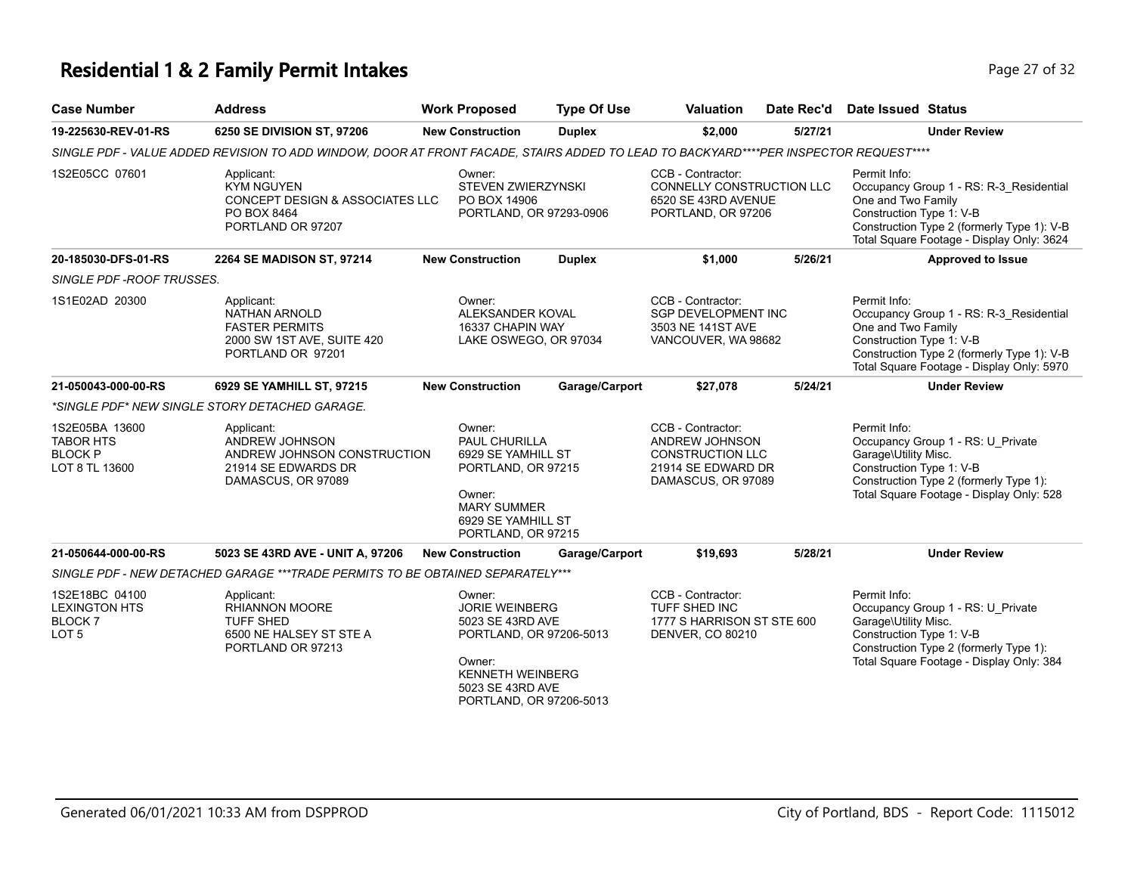# **Residential 1 & 2 Family Permit Intakes Page 27 of 32** Page 27 of 32

| <b>Case Number</b>                                                          | <b>Address</b>                                                                                                                       | <b>Work Proposed</b>                                                                                                                                               | <b>Type Of Use</b> | <b>Valuation</b>                                                                                           | Date Rec'd | Date Issued Status                                                                                                                                                                                   |
|-----------------------------------------------------------------------------|--------------------------------------------------------------------------------------------------------------------------------------|--------------------------------------------------------------------------------------------------------------------------------------------------------------------|--------------------|------------------------------------------------------------------------------------------------------------|------------|------------------------------------------------------------------------------------------------------------------------------------------------------------------------------------------------------|
| 19-225630-REV-01-RS                                                         | 6250 SE DIVISION ST, 97206                                                                                                           | <b>New Construction</b>                                                                                                                                            | <b>Duplex</b>      | \$2,000                                                                                                    | 5/27/21    | <b>Under Review</b>                                                                                                                                                                                  |
|                                                                             | SINGLE PDF - VALUE ADDED REVISION TO ADD WINDOW, DOOR AT FRONT FACADE, STAIRS ADDED TO LEAD TO BACKYARD****PER INSPECTOR REQUEST**** |                                                                                                                                                                    |                    |                                                                                                            |            |                                                                                                                                                                                                      |
| 1S2E05CC 07601                                                              | Applicant:<br><b>KYM NGUYEN</b><br>CONCEPT DESIGN & ASSOCIATES LLC<br>PO BOX 8464<br>PORTLAND OR 97207                               | Owner:<br><b>STEVEN ZWIERZYNSKI</b><br>PO BOX 14906<br>PORTLAND, OR 97293-0906                                                                                     |                    | CCB - Contractor:<br>CONNELLY CONSTRUCTION LLC<br>6520 SE 43RD AVENUE<br>PORTLAND, OR 97206                |            | Permit Info:<br>Occupancy Group 1 - RS: R-3_Residential<br>One and Two Family<br>Construction Type 1: V-B<br>Construction Type 2 (formerly Type 1): V-B<br>Total Square Footage - Display Only: 3624 |
| 20-185030-DFS-01-RS                                                         | 2264 SE MADISON ST, 97214                                                                                                            | <b>New Construction</b>                                                                                                                                            | <b>Duplex</b>      | \$1,000                                                                                                    | 5/26/21    | Approved to Issue                                                                                                                                                                                    |
| SINGLE PDF -ROOF TRUSSES.                                                   |                                                                                                                                      |                                                                                                                                                                    |                    |                                                                                                            |            |                                                                                                                                                                                                      |
| 1S1E02AD 20300                                                              | Applicant:<br>NATHAN ARNOLD<br><b>FASTER PERMITS</b><br>2000 SW 1ST AVE, SUITE 420<br>PORTLAND OR 97201                              | Owner:<br>ALEKSANDER KOVAL<br>16337 CHAPIN WAY<br>LAKE OSWEGO, OR 97034                                                                                            |                    | CCB - Contractor:<br>SGP DEVELOPMENT INC<br>3503 NE 141ST AVE<br>VANCOUVER, WA 98682                       |            | Permit Info:<br>Occupancy Group 1 - RS: R-3 Residential<br>One and Two Family<br>Construction Type 1: V-B<br>Construction Type 2 (formerly Type 1): V-B<br>Total Square Footage - Display Only: 5970 |
| 21-050043-000-00-RS                                                         | 6929 SE YAMHILL ST, 97215                                                                                                            | <b>New Construction</b>                                                                                                                                            | Garage/Carport     | \$27,078                                                                                                   | 5/24/21    | <b>Under Review</b>                                                                                                                                                                                  |
|                                                                             | *SINGLE PDF* NEW SINGLE STORY DETACHED GARAGE.                                                                                       |                                                                                                                                                                    |                    |                                                                                                            |            |                                                                                                                                                                                                      |
| 1S2E05BA 13600<br><b>TABOR HTS</b><br><b>BLOCK P</b><br>LOT 8 TL 13600      | Applicant:<br>ANDREW JOHNSON<br>ANDREW JOHNSON CONSTRUCTION<br>21914 SE EDWARDS DR<br>DAMASCUS, OR 97089                             | Owner:<br>PAUL CHURILLA<br>6929 SE YAMHILL ST<br>PORTLAND, OR 97215<br>Owner:<br><b>MARY SUMMER</b><br>6929 SE YAMHILL ST<br>PORTLAND, OR 97215                    |                    | CCB - Contractor:<br>ANDREW JOHNSON<br><b>CONSTRUCTION LLC</b><br>21914 SE EDWARD DR<br>DAMASCUS, OR 97089 |            | Permit Info:<br>Occupancy Group 1 - RS: U_Private<br>Garage\Utility Misc.<br>Construction Type 1: V-B<br>Construction Type 2 (formerly Type 1):<br>Total Square Footage - Display Only: 528          |
| 21-050644-000-00-RS                                                         | 5023 SE 43RD AVE - UNIT A, 97206                                                                                                     | <b>New Construction</b>                                                                                                                                            | Garage/Carport     | \$19,693                                                                                                   | 5/28/21    | <b>Under Review</b>                                                                                                                                                                                  |
|                                                                             | SINGLE PDF - NEW DETACHED GARAGE ***TRADE PERMITS TO BE OBTAINED SEPARATELY***                                                       |                                                                                                                                                                    |                    |                                                                                                            |            |                                                                                                                                                                                                      |
| 1S2E18BC 04100<br><b>LEXINGTON HTS</b><br><b>BLOCK7</b><br>LOT <sub>5</sub> | Applicant:<br><b>RHIANNON MOORE</b><br><b>TUFF SHED</b><br>6500 NE HALSEY ST STE A<br>PORTLAND OR 97213                              | Owner:<br><b>JORIE WEINBERG</b><br>5023 SE 43RD AVE<br>PORTLAND, OR 97206-5013<br>Owner:<br><b>KENNETH WEINBERG</b><br>5023 SE 43RD AVE<br>PORTLAND, OR 97206-5013 |                    | CCB - Contractor:<br>TUFF SHED INC<br>1777 S HARRISON ST STE 600<br><b>DENVER, CO 80210</b>                |            | Permit Info:<br>Occupancy Group 1 - RS: U_Private<br>Garage\Utility Misc.<br>Construction Type 1: V-B<br>Construction Type 2 (formerly Type 1):<br>Total Square Footage - Display Only: 384          |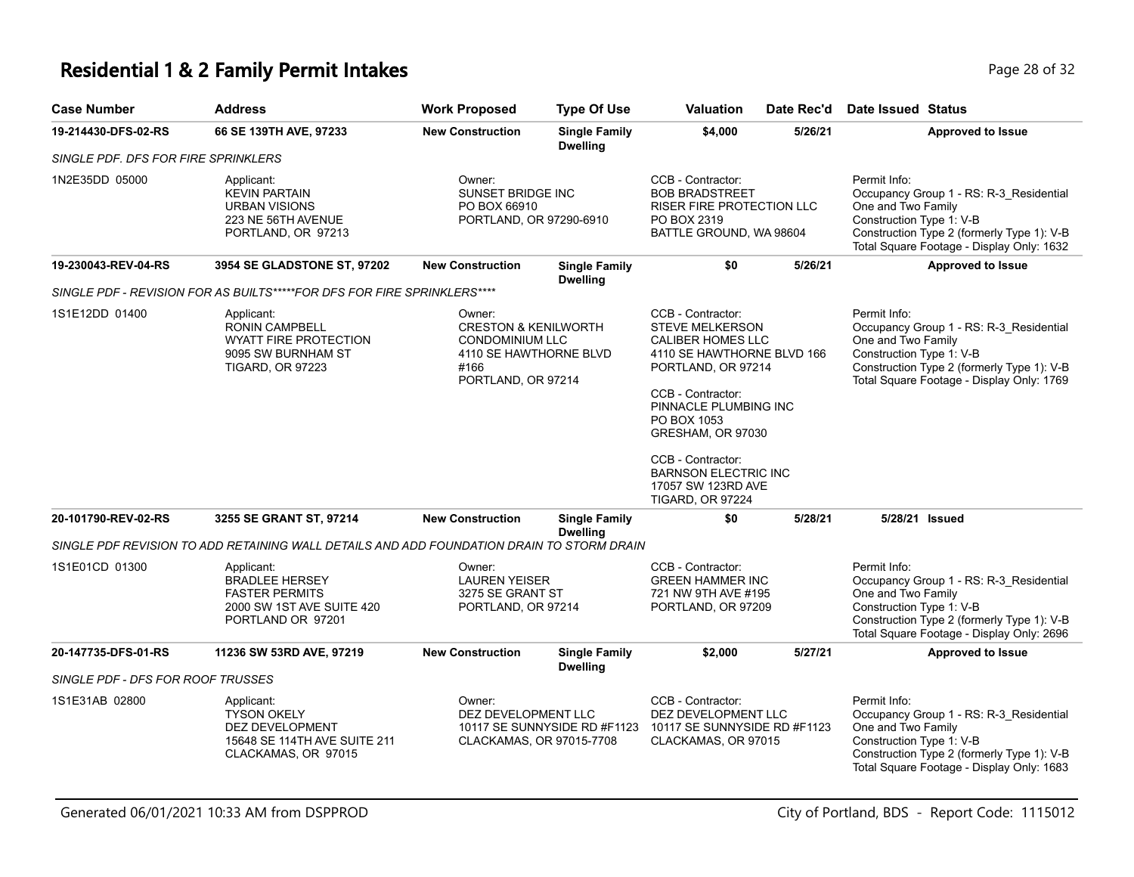## **Residential 1 & 2 Family Permit Intakes Page 28 of 32** Page 28 of 32

| <b>Case Number</b>                  | <b>Address</b>                                                                                                       | <b>Work Proposed</b>                                                                                                        | <b>Type Of Use</b>                      | Valuation                                                                                                                                                                                                                                                                                                   | Date Rec'd | Date Issued Status                                                                                                                                                                                   |
|-------------------------------------|----------------------------------------------------------------------------------------------------------------------|-----------------------------------------------------------------------------------------------------------------------------|-----------------------------------------|-------------------------------------------------------------------------------------------------------------------------------------------------------------------------------------------------------------------------------------------------------------------------------------------------------------|------------|------------------------------------------------------------------------------------------------------------------------------------------------------------------------------------------------------|
| 19-214430-DFS-02-RS                 | 66 SE 139TH AVE, 97233                                                                                               | <b>New Construction</b>                                                                                                     | <b>Single Family</b><br><b>Dwelling</b> | \$4,000                                                                                                                                                                                                                                                                                                     | 5/26/21    | <b>Approved to Issue</b>                                                                                                                                                                             |
| SINGLE PDF. DFS FOR FIRE SPRINKLERS |                                                                                                                      |                                                                                                                             |                                         |                                                                                                                                                                                                                                                                                                             |            |                                                                                                                                                                                                      |
| 1N2E35DD 05000                      | Applicant:<br><b>KEVIN PARTAIN</b><br><b>URBAN VISIONS</b><br>223 NE 56TH AVENUE<br>PORTLAND, OR 97213               | Owner:<br>SUNSET BRIDGE INC<br>PO BOX 66910<br>PORTLAND, OR 97290-6910                                                      |                                         | CCB - Contractor:<br><b>BOB BRADSTREET</b><br><b>RISER FIRE PROTECTION LLC</b><br>PO BOX 2319<br>BATTLE GROUND, WA 98604                                                                                                                                                                                    |            | Permit Info:<br>Occupancy Group 1 - RS: R-3_Residential<br>One and Two Family<br>Construction Type 1: V-B<br>Construction Type 2 (formerly Type 1): V-B<br>Total Square Footage - Display Only: 1632 |
| 19-230043-REV-04-RS                 | <b>3954 SE GLADSTONE ST, 97202</b>                                                                                   | <b>New Construction</b>                                                                                                     | <b>Single Family</b><br><b>Dwelling</b> | \$0                                                                                                                                                                                                                                                                                                         | 5/26/21    | <b>Approved to Issue</b>                                                                                                                                                                             |
|                                     | SINGLE PDF - REVISION FOR AS BUILTS*****FOR DFS FOR FIRE SPRINKLERS****                                              |                                                                                                                             |                                         |                                                                                                                                                                                                                                                                                                             |            |                                                                                                                                                                                                      |
| 1S1E12DD 01400                      | Applicant:<br><b>RONIN CAMPBELL</b><br><b>WYATT FIRE PROTECTION</b><br>9095 SW BURNHAM ST<br><b>TIGARD, OR 97223</b> | Owner:<br><b>CRESTON &amp; KENILWORTH</b><br><b>CONDOMINIUM LLC</b><br>4110 SE HAWTHORNE BLVD<br>#166<br>PORTLAND, OR 97214 |                                         | CCB - Contractor:<br><b>STEVE MELKERSON</b><br>CALIBER HOMES LLC<br>4110 SE HAWTHORNE BLVD 166<br>PORTLAND, OR 97214<br>CCB - Contractor:<br>PINNACLE PLUMBING INC<br>PO BOX 1053<br>GRESHAM, OR 97030<br>CCB - Contractor:<br><b>BARNSON ELECTRIC INC</b><br>17057 SW 123RD AVE<br><b>TIGARD, OR 97224</b> |            | Permit Info:<br>Occupancy Group 1 - RS: R-3_Residential<br>One and Two Family<br>Construction Type 1: V-B<br>Construction Type 2 (formerly Type 1): V-B<br>Total Square Footage - Display Only: 1769 |
| 20-101790-REV-02-RS                 | 3255 SE GRANT ST, 97214                                                                                              | <b>New Construction</b>                                                                                                     | <b>Single Family</b><br><b>Dwelling</b> | \$0                                                                                                                                                                                                                                                                                                         | 5/28/21    | 5/28/21 Issued                                                                                                                                                                                       |
|                                     | SINGLE PDF REVISION TO ADD RETAINING WALL DETAILS AND ADD FOUNDATION DRAIN TO STORM DRAIN                            |                                                                                                                             |                                         |                                                                                                                                                                                                                                                                                                             |            |                                                                                                                                                                                                      |
| 1S1E01CD 01300                      | Applicant:<br><b>BRADLEE HERSEY</b><br><b>FASTER PERMITS</b><br>2000 SW 1ST AVE SUITE 420<br>PORTLAND OR 97201       | Owner:<br><b>LAUREN YEISER</b><br>3275 SE GRANT ST<br>PORTLAND, OR 97214                                                    |                                         | CCB - Contractor:<br><b>GREEN HAMMER INC</b><br>721 NW 9TH AVE #195<br>PORTLAND, OR 97209                                                                                                                                                                                                                   |            | Permit Info:<br>Occupancy Group 1 - RS: R-3_Residential<br>One and Two Family<br>Construction Type 1: V-B<br>Construction Type 2 (formerly Type 1): V-B<br>Total Square Footage - Display Only: 2696 |
| 20-147735-DFS-01-RS                 | 11236 SW 53RD AVE, 97219                                                                                             | <b>New Construction</b>                                                                                                     | <b>Single Family</b><br><b>Dwelling</b> | \$2,000                                                                                                                                                                                                                                                                                                     | 5/27/21    | Approved to Issue                                                                                                                                                                                    |
| SINGLE PDF - DFS FOR ROOF TRUSSES   |                                                                                                                      |                                                                                                                             |                                         |                                                                                                                                                                                                                                                                                                             |            |                                                                                                                                                                                                      |
| 1S1E31AB 02800                      | Applicant:<br><b>TYSON OKELY</b><br>DEZ DEVELOPMENT<br>15648 SE 114TH AVE SUITE 211<br>CLACKAMAS, OR 97015           | Owner:<br>DEZ DEVELOPMENT LLC<br>CLACKAMAS, OR 97015-7708                                                                   | 10117 SE SUNNYSIDE RD #F1123            | CCB - Contractor:<br>DEZ DEVELOPMENT LLC<br>10117 SE SUNNYSIDE RD #F1123<br>CLACKAMAS, OR 97015                                                                                                                                                                                                             |            | Permit Info:<br>Occupancy Group 1 - RS: R-3_Residential<br>One and Two Family<br>Construction Type 1: V-B<br>Construction Type 2 (formerly Type 1): V-B<br>Total Square Footage - Display Only: 1683 |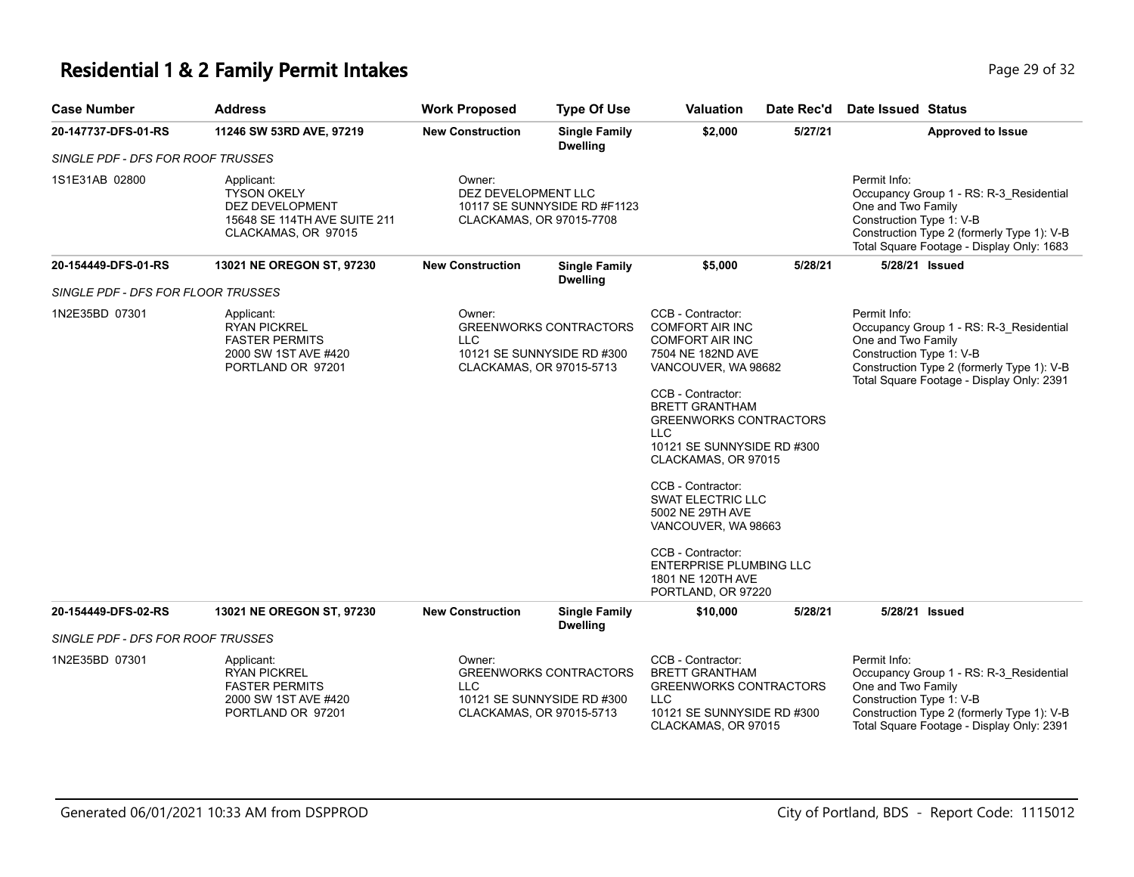# **Residential 1 & 2 Family Permit Intakes Page 29 of 32** Page 29 of 32

| <b>Case Number</b>                 | <b>Address</b>                                                                                                    | <b>Work Proposed</b>                                      | <b>Type Of Use</b>                                          | Valuation                                                                                                                                                                                                                                                                                                                                                                                                                                                         | Date Rec'd | Date Issued Status                                                                                                                                                                                   |
|------------------------------------|-------------------------------------------------------------------------------------------------------------------|-----------------------------------------------------------|-------------------------------------------------------------|-------------------------------------------------------------------------------------------------------------------------------------------------------------------------------------------------------------------------------------------------------------------------------------------------------------------------------------------------------------------------------------------------------------------------------------------------------------------|------------|------------------------------------------------------------------------------------------------------------------------------------------------------------------------------------------------------|
| 20-147737-DFS-01-RS                | 11246 SW 53RD AVE, 97219                                                                                          | <b>New Construction</b>                                   | <b>Single Family</b><br><b>Dwelling</b>                     | \$2,000                                                                                                                                                                                                                                                                                                                                                                                                                                                           | 5/27/21    | <b>Approved to Issue</b>                                                                                                                                                                             |
| SINGLE PDF - DFS FOR ROOF TRUSSES  |                                                                                                                   |                                                           |                                                             |                                                                                                                                                                                                                                                                                                                                                                                                                                                                   |            |                                                                                                                                                                                                      |
| 1S1E31AB 02800                     | Applicant:<br><b>TYSON OKELY</b><br><b>DEZ DEVELOPMENT</b><br>15648 SE 114TH AVE SUITE 211<br>CLACKAMAS, OR 97015 | Owner:<br>DEZ DEVELOPMENT LLC<br>CLACKAMAS, OR 97015-7708 | 10117 SE SUNNYSIDE RD #F1123                                |                                                                                                                                                                                                                                                                                                                                                                                                                                                                   |            | Permit Info:<br>Occupancy Group 1 - RS: R-3_Residential<br>One and Two Family<br>Construction Type 1: V-B<br>Construction Type 2 (formerly Type 1): V-B<br>Total Square Footage - Display Only: 1683 |
| 20-154449-DFS-01-RS                | 13021 NE OREGON ST, 97230                                                                                         | <b>New Construction</b>                                   | <b>Single Family</b><br><b>Dwelling</b>                     | \$5,000                                                                                                                                                                                                                                                                                                                                                                                                                                                           | 5/28/21    | 5/28/21 Issued                                                                                                                                                                                       |
| SINGLE PDF - DFS FOR FLOOR TRUSSES |                                                                                                                   |                                                           |                                                             |                                                                                                                                                                                                                                                                                                                                                                                                                                                                   |            |                                                                                                                                                                                                      |
| 1N2E35BD 07301                     | Applicant:<br><b>RYAN PICKREL</b><br><b>FASTER PERMITS</b><br>2000 SW 1ST AVE #420<br>PORTLAND OR 97201           | Owner:<br><b>LLC</b><br>CLACKAMAS, OR 97015-5713          | <b>GREENWORKS CONTRACTORS</b><br>10121 SE SUNNYSIDE RD #300 | CCB - Contractor:<br><b>COMFORT AIR INC</b><br><b>COMFORT AIR INC</b><br>7504 NE 182ND AVE<br>VANCOUVER, WA 98682<br>CCB - Contractor:<br><b>BRETT GRANTHAM</b><br><b>GREENWORKS CONTRACTORS</b><br><b>LLC</b><br>10121 SE SUNNYSIDE RD #300<br>CLACKAMAS, OR 97015<br>CCB - Contractor:<br><b>SWAT ELECTRIC LLC</b><br>5002 NE 29TH AVE<br>VANCOUVER, WA 98663<br>CCB - Contractor:<br><b>ENTERPRISE PLUMBING LLC</b><br>1801 NE 120TH AVE<br>PORTLAND, OR 97220 |            | Permit Info:<br>Occupancy Group 1 - RS: R-3_Residential<br>One and Two Family<br>Construction Type 1: V-B<br>Construction Type 2 (formerly Type 1): V-B<br>Total Square Footage - Display Only: 2391 |
| 20-154449-DFS-02-RS                | 13021 NE OREGON ST, 97230                                                                                         | <b>New Construction</b>                                   | <b>Single Family</b><br><b>Dwelling</b>                     | \$10,000                                                                                                                                                                                                                                                                                                                                                                                                                                                          | 5/28/21    | 5/28/21 Issued                                                                                                                                                                                       |
| SINGLE PDF - DFS FOR ROOF TRUSSES  |                                                                                                                   |                                                           |                                                             |                                                                                                                                                                                                                                                                                                                                                                                                                                                                   |            |                                                                                                                                                                                                      |
| 1N2E35BD 07301                     | Applicant:<br><b>RYAN PICKREL</b><br><b>FASTER PERMITS</b><br>2000 SW 1ST AVE #420<br>PORTLAND OR 97201           | Owner:<br><b>LLC</b><br>CLACKAMAS, OR 97015-5713          | <b>GREENWORKS CONTRACTORS</b><br>10121 SE SUNNYSIDE RD #300 | CCB - Contractor:<br><b>BRETT GRANTHAM</b><br><b>GREENWORKS CONTRACTORS</b><br><b>LLC</b><br>10121 SE SUNNYSIDE RD #300<br>CLACKAMAS, OR 97015                                                                                                                                                                                                                                                                                                                    |            | Permit Info:<br>Occupancy Group 1 - RS: R-3_Residential<br>One and Two Family<br>Construction Type 1: V-B<br>Construction Type 2 (formerly Type 1): V-B<br>Total Square Footage - Display Only: 2391 |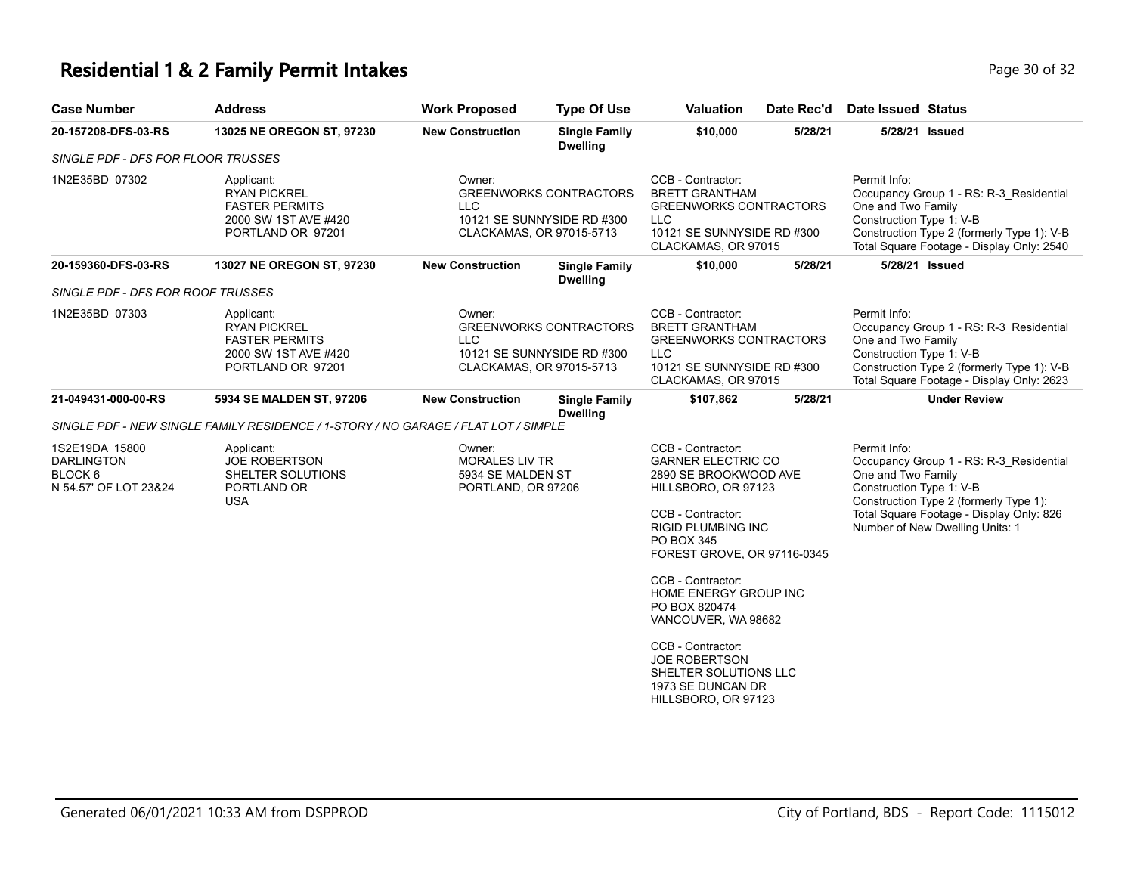## **Residential 1 & 2 Family Permit Intakes Page 10 of 32** Page 30 of 32

| <b>Case Number</b>                                                                 | <b>Address</b>                                                                                          | <b>Work Proposed</b>                                                                                            | <b>Type Of Use</b>                                                                                                                         | <b>Valuation</b>                                                                                                                                                                              | Date Rec'd                                                                                                  | Date Issued Status                                                                                                                                                                                                                 |
|------------------------------------------------------------------------------------|---------------------------------------------------------------------------------------------------------|-----------------------------------------------------------------------------------------------------------------|--------------------------------------------------------------------------------------------------------------------------------------------|-----------------------------------------------------------------------------------------------------------------------------------------------------------------------------------------------|-------------------------------------------------------------------------------------------------------------|------------------------------------------------------------------------------------------------------------------------------------------------------------------------------------------------------------------------------------|
| 20-157208-DFS-03-RS                                                                | 13025 NE OREGON ST, 97230                                                                               | <b>New Construction</b>                                                                                         | <b>Single Family</b><br><b>Dwelling</b>                                                                                                    | \$10,000                                                                                                                                                                                      | 5/28/21                                                                                                     | 5/28/21 Issued                                                                                                                                                                                                                     |
| SINGLE PDF - DFS FOR FLOOR TRUSSES                                                 |                                                                                                         |                                                                                                                 |                                                                                                                                            |                                                                                                                                                                                               |                                                                                                             |                                                                                                                                                                                                                                    |
| 1N2E35BD 07302                                                                     | Applicant:<br><b>RYAN PICKREL</b><br><b>FASTER PERMITS</b><br>2000 SW 1ST AVE #420<br>PORTLAND OR 97201 | Owner:<br><b>LLC</b>                                                                                            | <b>GREENWORKS CONTRACTORS</b><br>10121 SE SUNNYSIDE RD #300<br>CLACKAMAS, OR 97015-5713<br><b>Single Family</b><br><b>New Construction</b> |                                                                                                                                                                                               | <b>BRETT GRANTHAM</b><br><b>GREENWORKS CONTRACTORS</b><br>10121 SE SUNNYSIDE RD #300<br>CLACKAMAS, OR 97015 | Permit Info:<br>Occupancy Group 1 - RS: R-3_Residential<br>One and Two Family<br>Construction Type 1: V-B<br>Construction Type 2 (formerly Type 1): V-B<br>Total Square Footage - Display Only: 2540                               |
| 20-159360-DFS-03-RS                                                                | 13027 NE OREGON ST, 97230                                                                               |                                                                                                                 | <b>Dwelling</b>                                                                                                                            | \$10,000                                                                                                                                                                                      | 5/28/21                                                                                                     | 5/28/21 Issued                                                                                                                                                                                                                     |
| SINGLE PDF - DFS FOR ROOF TRUSSES                                                  |                                                                                                         |                                                                                                                 |                                                                                                                                            |                                                                                                                                                                                               |                                                                                                             |                                                                                                                                                                                                                                    |
| 1N2E35BD 07303                                                                     | Applicant:<br><b>RYAN PICKREL</b><br><b>FASTER PERMITS</b><br>2000 SW 1ST AVE #420<br>PORTLAND OR 97201 | Owner:<br><b>GREENWORKS CONTRACTORS</b><br><b>LLC</b><br>10121 SE SUNNYSIDE RD #300<br>CLACKAMAS, OR 97015-5713 |                                                                                                                                            | CCB - Contractor:<br><b>BRETT GRANTHAM</b><br><b>GREENWORKS CONTRACTORS</b><br><b>LLC</b><br>10121 SE SUNNYSIDE RD #300<br>CLACKAMAS, OR 97015                                                |                                                                                                             | Permit Info:<br>Occupancy Group 1 - RS: R-3 Residential<br>One and Two Family<br>Construction Type 1: V-B<br>Construction Type 2 (formerly Type 1): V-B<br>Total Square Footage - Display Only: 2623                               |
| 21-049431-000-00-RS                                                                | 5934 SE MALDEN ST, 97206                                                                                | <b>New Construction</b>                                                                                         | <b>Single Family</b><br><b>Dwelling</b>                                                                                                    | \$107,862                                                                                                                                                                                     | 5/28/21                                                                                                     | <b>Under Review</b>                                                                                                                                                                                                                |
|                                                                                    | SINGLE PDF - NEW SINGLE FAMILY RESIDENCE / 1-STORY / NO GARAGE / FLAT LOT / SIMPLE                      |                                                                                                                 |                                                                                                                                            |                                                                                                                                                                                               |                                                                                                             |                                                                                                                                                                                                                                    |
| 1S2E19DA 15800<br><b>DARLINGTON</b><br>BLOCK <sub>6</sub><br>N 54.57' OF LOT 23&24 | Applicant:<br><b>JOE ROBERTSON</b><br>SHELTER SOLUTIONS<br>PORTLAND OR<br><b>USA</b>                    | Owner:<br><b>MORALES LIV TR</b><br>5934 SE MALDEN ST<br>PORTLAND, OR 97206                                      |                                                                                                                                            | CCB - Contractor:<br><b>GARNER ELECTRIC CO</b><br>2890 SE BROOKWOOD AVE<br>HILLSBORO, OR 97123<br>CCB - Contractor:<br><b>RIGID PLUMBING INC</b><br>PO BOX 345<br>FOREST GROVE, OR 97116-0345 |                                                                                                             | Permit Info:<br>Occupancy Group 1 - RS: R-3 Residential<br>One and Two Family<br>Construction Type 1: V-B<br>Construction Type 2 (formerly Type 1):<br>Total Square Footage - Display Only: 826<br>Number of New Dwelling Units: 1 |
|                                                                                    |                                                                                                         |                                                                                                                 |                                                                                                                                            | CCB - Contractor:<br>HOME ENERGY GROUP INC<br>PO BOX 820474<br>VANCOUVER, WA 98682                                                                                                            |                                                                                                             |                                                                                                                                                                                                                                    |
|                                                                                    |                                                                                                         |                                                                                                                 |                                                                                                                                            | CCB - Contractor:<br><b>JOE ROBERTSON</b><br>SHELTER SOLUTIONS LLC<br>1973 SE DUNCAN DR<br>HILLSBORO, OR 97123                                                                                |                                                                                                             |                                                                                                                                                                                                                                    |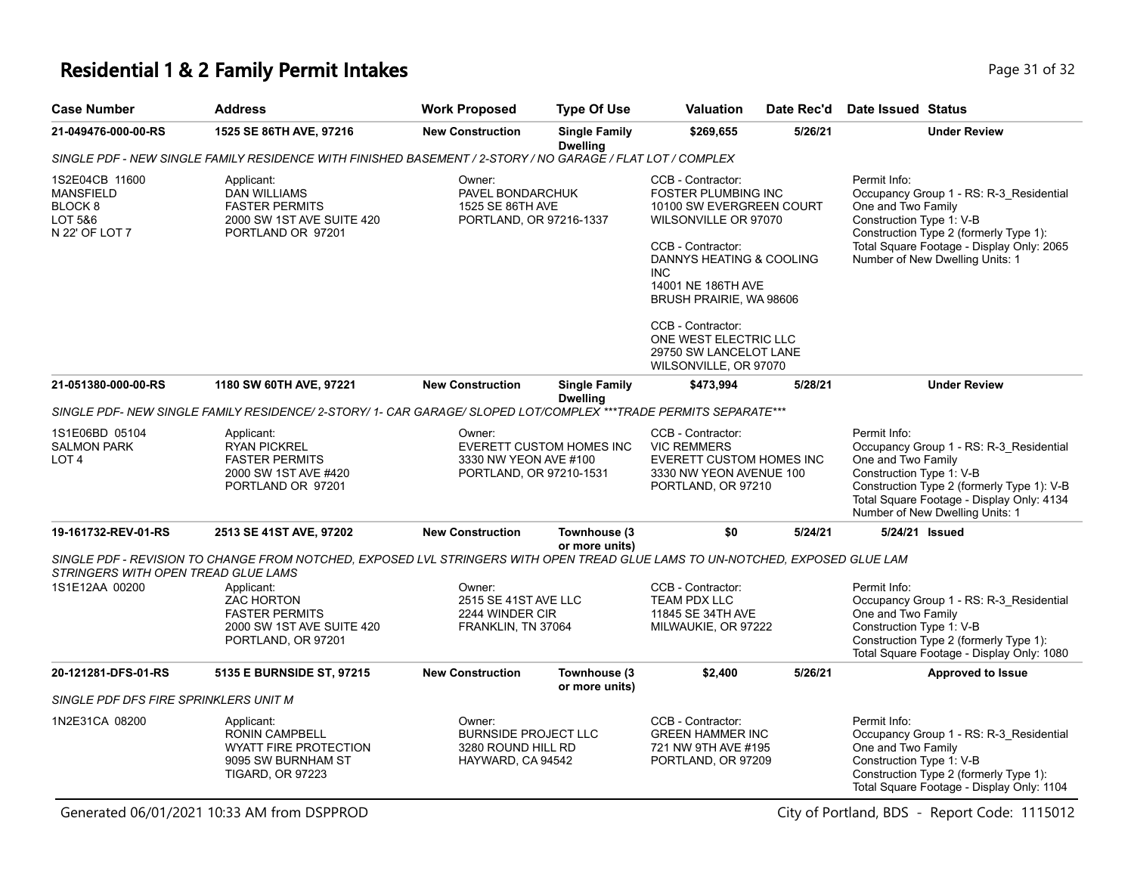#### **Residential 1 & 2 Family Permit Intakes Page 11 of 32** Page 31 of 32

| <b>Case Number</b>                                                                    | Address                                                                                                                       | <b>Work Proposed</b>                                                      | <b>Type Of Use</b>                                            | <b>Valuation</b>                                                                                                                                                                                                                                                                                                     | Date Rec'd          | Date Issued Status                                                                                                                                                                                                                      |
|---------------------------------------------------------------------------------------|-------------------------------------------------------------------------------------------------------------------------------|---------------------------------------------------------------------------|---------------------------------------------------------------|----------------------------------------------------------------------------------------------------------------------------------------------------------------------------------------------------------------------------------------------------------------------------------------------------------------------|---------------------|-----------------------------------------------------------------------------------------------------------------------------------------------------------------------------------------------------------------------------------------|
| 21-049476-000-00-RS                                                                   | 1525 SE 86TH AVE, 97216                                                                                                       | <b>New Construction</b>                                                   | <b>Single Family</b><br><b>Dwelling</b>                       | \$269,655                                                                                                                                                                                                                                                                                                            | 5/26/21             | <b>Under Review</b>                                                                                                                                                                                                                     |
|                                                                                       | SINGLE PDF - NEW SINGLE FAMILY RESIDENCE WITH FINISHED BASEMENT / 2-STORY / NO GARAGE / FLAT LOT / COMPLEX                    |                                                                           |                                                               |                                                                                                                                                                                                                                                                                                                      |                     |                                                                                                                                                                                                                                         |
| 1S2E04CB 11600<br><b>MANSFIELD</b><br>BLOCK <sub>8</sub><br>LOT 5&6<br>N 22' OF LOT 7 | Applicant:<br><b>DAN WILLIAMS</b><br><b>FASTER PERMITS</b><br>2000 SW 1ST AVE SUITE 420<br>PORTLAND OR 97201                  | Owner:<br>PAVEL BONDARCHUK<br>1525 SE 86TH AVE<br>PORTLAND, OR 97216-1337 |                                                               | CCB - Contractor:<br><b>FOSTER PLUMBING INC</b><br>10100 SW EVERGREEN COURT<br>WILSONVILLE OR 97070<br>CCB - Contractor:<br>DANNYS HEATING & COOLING<br><b>INC</b><br>14001 NE 186TH AVE<br>BRUSH PRAIRIE, WA 98606<br>CCB - Contractor:<br>ONE WEST ELECTRIC LLC<br>29750 SW LANCELOT LANE<br>WILSONVILLE, OR 97070 |                     | Permit Info:<br>Occupancy Group 1 - RS: R-3_Residential<br>One and Two Family<br>Construction Type 1: V-B<br>Construction Type 2 (formerly Type 1):<br>Total Square Footage - Display Only: 2065<br>Number of New Dwelling Units: 1     |
| 21-051380-000-00-RS                                                                   | 1180 SW 60TH AVE, 97221                                                                                                       | <b>New Construction</b>                                                   | <b>Single Family</b><br><b>Dwelling</b>                       | \$473,994                                                                                                                                                                                                                                                                                                            | 5/28/21             | <b>Under Review</b>                                                                                                                                                                                                                     |
|                                                                                       | SINGLE PDF- NEW SINGLE FAMILY RESIDENCE/ 2-STORY/ 1- CAR GARAGE/ SLOPED LOT/COMPLEX ***TRADE PERMITS SEPARATE***              |                                                                           |                                                               |                                                                                                                                                                                                                                                                                                                      |                     |                                                                                                                                                                                                                                         |
| 1S1E06BD 05104<br><b>SALMON PARK</b><br>LOT <sub>4</sub>                              | Applicant:<br><b>RYAN PICKREL</b><br><b>FASTER PERMITS</b><br>2000 SW 1ST AVE #420<br>PORTLAND OR 97201                       | Owner:<br>3330 NW YEON AVE #100<br>PORTLAND, OR 97210-1531                | EVERETT CUSTOM HOMES INC                                      | CCB - Contractor:<br><b>VIC REMMERS</b><br><b>EVERETT CUSTOM HOMES INC</b><br>3330 NW YEON AVENUE 100<br>PORTLAND, OR 97210                                                                                                                                                                                          |                     | Permit Info:<br>Occupancy Group 1 - RS: R-3_Residential<br>One and Two Family<br>Construction Type 1: V-B<br>Construction Type 2 (formerly Type 1): V-B<br>Total Square Footage - Display Only: 4134<br>Number of New Dwelling Units: 1 |
| 19-161732-REV-01-RS                                                                   | 2513 SE 41ST AVE, 97202                                                                                                       | <b>New Construction</b>                                                   | Townhouse (3<br>or more units)                                | \$0                                                                                                                                                                                                                                                                                                                  | 5/24/21             | 5/24/21 Issued                                                                                                                                                                                                                          |
| STRINGERS WITH OPEN TREAD GLUE LAMS                                                   | SINGLE PDF - REVISION TO CHANGE FROM NOTCHED. EXPOSED LVL STRINGERS WITH OPEN TREAD GLUE LAMS TO UN-NOTCHED. EXPOSED GLUE LAM |                                                                           |                                                               |                                                                                                                                                                                                                                                                                                                      |                     |                                                                                                                                                                                                                                         |
| 1S1E12AA 00200                                                                        | Applicant:<br><b>ZAC HORTON</b><br><b>FASTER PERMITS</b><br>2000 SW 1ST AVE SUITE 420<br>PORTLAND, OR 97201                   | Owner:                                                                    | 2515 SE 41ST AVE LLC<br>2244 WINDER CIR<br>FRANKLIN, TN 37064 |                                                                                                                                                                                                                                                                                                                      | MILWAUKIE, OR 97222 | Permit Info:<br>Occupancy Group 1 - RS: R-3_Residential<br>One and Two Family<br>Construction Type 1: V-B<br>Construction Type 2 (formerly Type 1):<br>Total Square Footage - Display Only: 1080                                        |
| 20-121281-DFS-01-RS                                                                   | <b>5135 E BURNSIDE ST, 97215</b>                                                                                              | <b>New Construction</b>                                                   | Townhouse (3                                                  | \$2,400                                                                                                                                                                                                                                                                                                              | 5/26/21             | <b>Approved to Issue</b>                                                                                                                                                                                                                |
| SINGLE PDF DFS FIRE SPRINKLERS UNIT M                                                 |                                                                                                                               |                                                                           | or more units)                                                |                                                                                                                                                                                                                                                                                                                      |                     |                                                                                                                                                                                                                                         |
| 1N2E31CA 08200                                                                        | Applicant:<br><b>RONIN CAMPBELL</b><br><b>WYATT FIRE PROTECTION</b>                                                           | Owner:<br><b>BURNSIDE PROJECT LLC</b><br>3280 ROUND HILL RD               |                                                               | CCB - Contractor:<br><b>GREEN HAMMER INC</b><br>721 NW 9TH AVE #195                                                                                                                                                                                                                                                  |                     | Permit Info:<br>Occupancy Group 1 - RS: R-3_Residential<br>One and Two Family                                                                                                                                                           |

HAYWARD, CA 94542

PORTLAND, OR 97209

Generated 06/01/2021 10:33 AM from DSPPROD City of Portland, BDS - Report Code: 1115012

9095 SW BURNHAM ST TIGARD, OR 97223

Construction Type 2 (formerly Type 1): Total Square Footage - Display Only: 1104

Construction Type 1: V-B